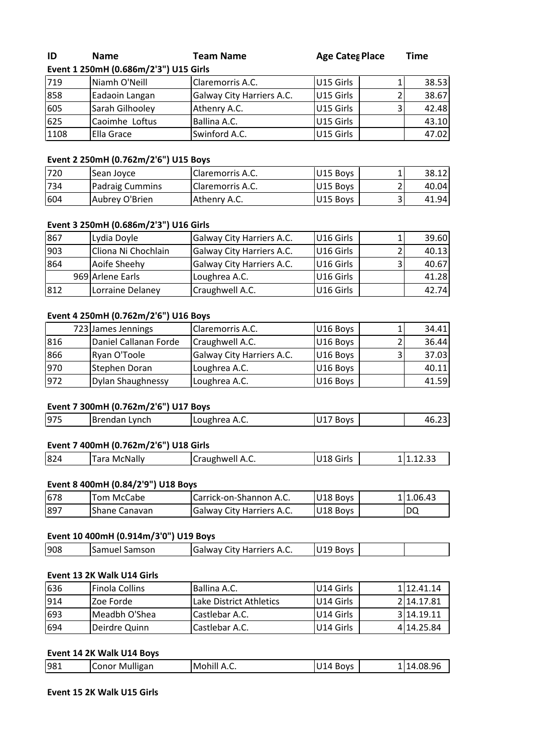# **<sup>1</sup> 250mH (0.686m/2'3") U15 Girls ID** Name Teal<br>Figure 1.250mH (0.686m/2'3") U15 Girls

**Name Team Name Age Categ Place Time** 

| ID   | <b>Name</b>                           | <b>Team Name</b>          | <b>Age Cates Place</b> |   | Time  |
|------|---------------------------------------|---------------------------|------------------------|---|-------|
|      | Event 1 250mH (0.686m/2'3") U15 Girls |                           |                        |   |       |
| 719  | Niamh O'Neill                         | Claremorris A.C.          | U15 Girls              |   | 38.53 |
| 858  | Eadaoin Langan                        | Galway City Harriers A.C. | U15 Girls              |   | 38.67 |
| 605  | Sarah Gilhooley                       | Athenry A.C.              | U15 Girls              | 3 | 42.48 |
| 625  | Caoimhe Loftus                        | Ballina A.C.              | U15 Girls              |   | 43.10 |
| 1108 | <b>Ella Grace</b>                     | Swinford A.C.             | U15 Girls              |   | 47.02 |
|      |                                       |                           |                        |   |       |
|      | Event 2 250mH (0.762m/2'6") U15 Boys  |                           |                        |   |       |
| 720  | Sean Joyce                            | Claremorris A.C.          | U15 Boys               |   | 38.12 |
| 734  | Padraig Cummins                       | Claremorris A.C.          | U15 Boys               |   | 40.04 |

# <u>Eve</u>

| 625  | Caoimhe Loftus                        | Ballina A.C.                       | IU15 Girls | 43.10 |
|------|---------------------------------------|------------------------------------|------------|-------|
| 1108 | Ella Grace                            | Swinford A.C.                      | U15 Girls  | 47.02 |
|      |                                       |                                    |            |       |
|      | Event 2 250mH (0.762m/2'6") U15 Boys  |                                    |            |       |
| 720  | Sean Joyce                            | Claremorris A.C.                   | U15 Boys   | 38.12 |
| 734  | Padraig Cummins                       | Claremorris A.C.                   | U15 Boys   | 40.04 |
| 604  | Aubrey O'Brien                        | Athenry A.C.                       | U15 Boys   | 41.94 |
|      |                                       |                                    |            |       |
|      | Event 3 250mH (0.686m/2'3") U16 Girls |                                    |            |       |
| 867  | Lydia Doyle                           | Galway City Harriers A.C.          | U16 Girls  | 39.60 |
| 903  | Cliona Ni Chochlain                   | <b>I</b> Galway City Harriers A.C. | U16 Girls  | 40.13 |

| 1734 | Padraig Cummins                       | Claremorris A.C.          | U15 Boys  |   | 40.04 |
|------|---------------------------------------|---------------------------|-----------|---|-------|
| 604  | Aubrey O'Brien                        | Athenry A.C.              | U15 Boys  | 3 | 41.94 |
|      |                                       |                           |           |   |       |
|      | Event 3 250mH (0.686m/2'3") U16 Girls |                           |           |   |       |
| 867  | Lydia Doyle                           | Galway City Harriers A.C. | U16 Girls |   | 39.60 |
| 903  | Cliona Ni Chochlain                   | Galway City Harriers A.C. | U16 Girls |   | 40.13 |
| 864  | Aoife Sheehy                          | Galway City Harriers A.C. | U16 Girls |   | 40.67 |
|      | 969 Arlene Earls                      | Loughrea A.C.             | U16 Girls |   | 41.28 |
| 812  | Lorraine Delaney                      | Craughwell A.C.           | U16 Girls |   | 42.74 |
|      |                                       |                           |           |   |       |
|      | Event 4 250mH (0.762m/2'6") U16 Boys  |                           |           |   |       |
|      | 723 James Jennings                    | Claremorris A.C.          | U16 Boys  |   | 34.41 |
| 816  | Daniel Callanan Forde                 | Craughwell A.C.           | U16 Boys  |   | 36.44 |

|     | 969 Arlene Earls                     | Loughrea A.C.             | U16 Girls |   | 41.28 |
|-----|--------------------------------------|---------------------------|-----------|---|-------|
| 812 | Lorraine Delaney                     | Craughwell A.C.           | U16 Girls |   | 42.74 |
|     |                                      |                           |           |   |       |
|     | Event 4 250mH (0.762m/2'6") U16 Boys |                           |           |   |       |
|     | 723 James Jennings                   | <b>Claremorris A.C.</b>   | U16 Boys  |   | 34.41 |
| 816 | Daniel Callanan Forde                | Craughwell A.C.           | U16 Boys  |   | 36.44 |
| 866 | Ryan O'Toole                         | Galway City Harriers A.C. | U16 Boys  | 3 | 37.03 |
| 970 | Stephen Doran                        | Loughrea A.C.             | U16 Boys  |   | 40.11 |
| 972 | <b>Dylan Shaughnessy</b>             | Loughrea A.C.             | U16 Boys  |   | 41.59 |
|     | Event 7 300mH (0.762m/2'6") U17 Boys |                           |           |   |       |
| 975 |                                      |                           |           |   |       |
|     | Brendan Lynch                        | Loughrea A.C.             | U17 Boys  |   | 46.23 |

# Event 7 300mH (0.762m/2'6") U17 Boys

| 46.23<br>U17 Boys |
|-------------------|
|                   |
|                   |
|                   |

| 1975 | Brendan Lynch                         | Loughrea A.C.           | U17 Boys  | 46.23     |
|------|---------------------------------------|-------------------------|-----------|-----------|
|      |                                       |                         |           |           |
|      | Event 7 400mH (0.762m/2'6") U18 Girls |                         |           |           |
| 824  | <b>Tara McNally</b>                   | Craughwell A.C.         | U18 Girls | 11.12.33  |
|      |                                       |                         |           |           |
|      | Event 8 400mH (0.84/2'9") U18 Boys    |                         |           |           |
| 678  | <b>Tom McCabe</b>                     | Carrick-on-Shannon A.C. | U18 Boys  | 111.06.43 |

| 824 | <b>Tara McNally</b>                | Craughwell A.C.           | U18 Girls | 11.12.33 |
|-----|------------------------------------|---------------------------|-----------|----------|
|     | Event 8 400mH (0.84/2'9") U18 Boys |                           |           |          |
| 678 | Tom McCabe                         | Carrick-on-Shannon A.C.   | U18 Boys  | 1.06.43  |
| 897 | Shane Canavan                      | Galway City Harriers A.C. | U18 Boys  | DQ       |

# <u>Eve</u>

| 1897 | IShane Canavan                        | <b>Galway City Harriers A.C.</b> | U18 Boys  | DQ         |
|------|---------------------------------------|----------------------------------|-----------|------------|
|      |                                       |                                  |           |            |
|      | Event 10 400mH (0.914m/3'0") U19 Boys |                                  |           |            |
| 908  | ISamuel Samson                        | Galway City Harriers A.C.        | U19 Boys  |            |
|      |                                       |                                  |           |            |
|      | Event 13 2K Walk U14 Girls            |                                  |           |            |
| 636  | <b>Finola Collins</b>                 | Ballina A.C.                     | U14 Girls | 1112.41.14 |

# **Event 13 2K Walk U14 Girls**

| 908 | Samuel Samson              | Galway City Harriers A.C. | U19 Boys  |            |
|-----|----------------------------|---------------------------|-----------|------------|
|     | Event 13 2K Walk U14 Girls |                           |           |            |
| 636 | <b>Finola Collins</b>      | Ballina A.C.              | U14 Girls | 12.41.14   |
| 914 | Zoe Forde                  | Lake District Athletics   | U14 Girls | 2 14.17.81 |
| 693 | Meadbh O'Shea              | Castlebar A.C.            | U14 Girls | 314.19.11  |
| 694 | Deirdre Quinn              | Castlebar A.C.            | U14 Girls | 4 14.25.84 |

|     | Event 14 2K Walk U14 Boys  |             |          |            |
|-----|----------------------------|-------------|----------|------------|
| 981 | Conor Mulligan             | Mohill A.C. | U14 Boys | 1 14.08.96 |
|     | Event 15 2K Walk U15 Girls |             |          |            |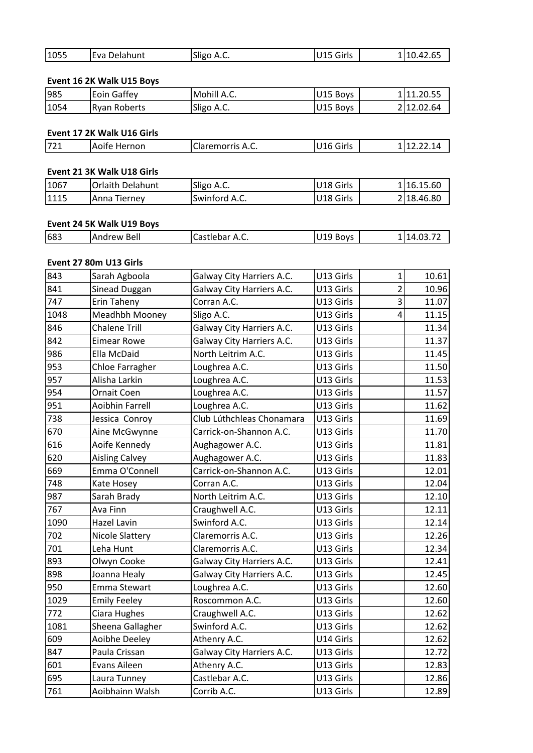| 1055 | Eva Delahunt              | Sligo A.C.  | U15 Girls | 1 10.42.65 |
|------|---------------------------|-------------|-----------|------------|
|      | Event 16 2K Walk U15 Boys |             |           |            |
|      |                           |             |           |            |
| 985  | Eoin Gaffev               | Mohill A.C. | U15 Boys  | 111.20.55  |

| 1055 | Eva Delahunt              | Sligo A.C.  | U15 Girls | 110.42.65  |
|------|---------------------------|-------------|-----------|------------|
|      | Event 16 2K Walk U15 Boys |             |           |            |
| 985  | <b>Eoin Gaffey</b>        | Mohill A.C. | U15 Boys  | 111.20.55  |
| 1054 | <b>Ryan Roberts</b>       | Sligo A.C.  | U15 Boys  | 2 12.02.64 |

| 1054 | Ryan Roberts               | Sligo A.C.       | U15 Boys  | 2112.02.64 |
|------|----------------------------|------------------|-----------|------------|
|      | Event 17 2K Walk U16 Girls |                  |           |            |
| 721  | Aoife Hernon               | Claremorris A.C. | U16 Girls | 112.22.14  |
|      | Event 21 3K Walk U18 Girls |                  |           |            |
| 1067 | <b>IOrlaith Delahunt</b>   | Sligo A.C.       | U18 Girls | 1116.15.60 |

| 721  | Aoife Hernon               | Claremorris A.C. | U16 Girls | 112.22.14  |
|------|----------------------------|------------------|-----------|------------|
|      | Event 21 3K Walk U18 Girls |                  |           |            |
| 1067 | <b>Orlaith Delahunt</b>    | Sligo A.C.       | U18 Girls | 116.15.60  |
| 1115 | Anna Tierney               | Swinford A.C.    | U18 Girls | 2 18.46.80 |

# <u>Eve</u>

| 1115 | Anna Tierney              | <b>Swinford A.C.</b>              | <b>IU18 Girls</b> | 218.46.80 |
|------|---------------------------|-----------------------------------|-------------------|-----------|
|      | Event 24 5K Walk U19 Boys |                                   |                   |           |
| 683  | Andrew Bell               | Castlebar A.C.                    | U19 Boys          | 114.03.72 |
|      | Event 27 80m U13 Girls    |                                   |                   |           |
| 843  | lSarah Agboola            | <b>IGalway City Harriers A.C.</b> | IU13 Girls        | 10.61     |

# Event 27 80m U13 Girls

| 683  | <b>Andrew Bell</b>     | Castlebar A.C.            | U19 Boys  |                | 114.03.72 |
|------|------------------------|---------------------------|-----------|----------------|-----------|
|      |                        |                           |           |                |           |
|      | Event 27 80m U13 Girls |                           |           |                |           |
| 843  | Sarah Agboola          | Galway City Harriers A.C. | U13 Girls | 1              | 10.61     |
| 841  | Sinead Duggan          | Galway City Harriers A.C. | U13 Girls | $\overline{2}$ | 10.96     |
| 747  | Erin Taheny            | Corran A.C.               | U13 Girls | 3              | 11.07     |
| 1048 | Meadhbh Mooney         | Sligo A.C.                | U13 Girls | 4              | 11.15     |
| 846  | <b>Chalene Trill</b>   | Galway City Harriers A.C. | U13 Girls |                | 11.34     |
| 842  | <b>Eimear Rowe</b>     | Galway City Harriers A.C. | U13 Girls |                | 11.37     |
| 986  | Ella McDaid            | North Leitrim A.C.        | U13 Girls |                | 11.45     |
| 953  | Chloe Farragher        | Loughrea A.C.             | U13 Girls |                | 11.50     |
| 957  | Alisha Larkin          | Loughrea A.C.             | U13 Girls |                | 11.53     |
| 954  | Ornait Coen            | Loughrea A.C.             | U13 Girls |                | 11.57     |
| 951  | <b>Aoibhin Farrell</b> | Loughrea A.C.             | U13 Girls |                | 11.62     |
| 738  | Jessica Conroy         | Club Lúthchleas Chonamara | U13 Girls |                | 11.69     |
| 670  | Aine McGwynne          | Carrick-on-Shannon A.C.   | U13 Girls |                | 11.70     |
| 616  | Aoife Kennedy          | Aughagower A.C.           | U13 Girls |                | 11.81     |
| 620  | <b>Aisling Calvey</b>  | Aughagower A.C.           | U13 Girls |                | 11.83     |
| 669  | Emma O'Connell         | Carrick-on-Shannon A.C.   | U13 Girls |                | 12.01     |
| 748  | Kate Hosey             | Corran A.C.               | U13 Girls |                | 12.04     |
| 987  | Sarah Brady            | North Leitrim A.C.        | U13 Girls |                | 12.10     |
| 767  | Ava Finn               | Craughwell A.C.           | U13 Girls |                | 12.11     |
| 1090 | <b>Hazel Lavin</b>     | Swinford A.C.             | U13 Girls |                | 12.14     |
| 702  | <b>Nicole Slattery</b> | Claremorris A.C.          | U13 Girls |                | 12.26     |
| 701  | Leha Hunt              | Claremorris A.C.          | U13 Girls |                | 12.34     |
| 893  | Olwyn Cooke            | Galway City Harriers A.C. | U13 Girls |                | 12.41     |
| 898  | Joanna Healy           | Galway City Harriers A.C. | U13 Girls |                | 12.45     |
| 950  | <b>Emma Stewart</b>    | Loughrea A.C.             | U13 Girls |                | 12.60     |
| 1029 | <b>Emily Feeley</b>    | Roscommon A.C.            | U13 Girls |                | 12.60     |
| 772  | Ciara Hughes           | Craughwell A.C.           | U13 Girls |                | 12.62     |
| 1081 | Sheena Gallagher       | Swinford A.C.             | U13 Girls |                | 12.62     |
| 609  | Aoibhe Deeley          | Athenry A.C.              | U14 Girls |                | 12.62     |
| 847  | Paula Crissan          | Galway City Harriers A.C. | U13 Girls |                | 12.72     |
| 601  | Evans Aileen           | Athenry A.C.              | U13 Girls |                | 12.83     |
| 695  | Laura Tunney           | Castlebar A.C.            | U13 Girls |                | 12.86     |
| 761  | Aoibhainn Walsh        | Corrib A.C.               | U13 Girls |                | 12.89     |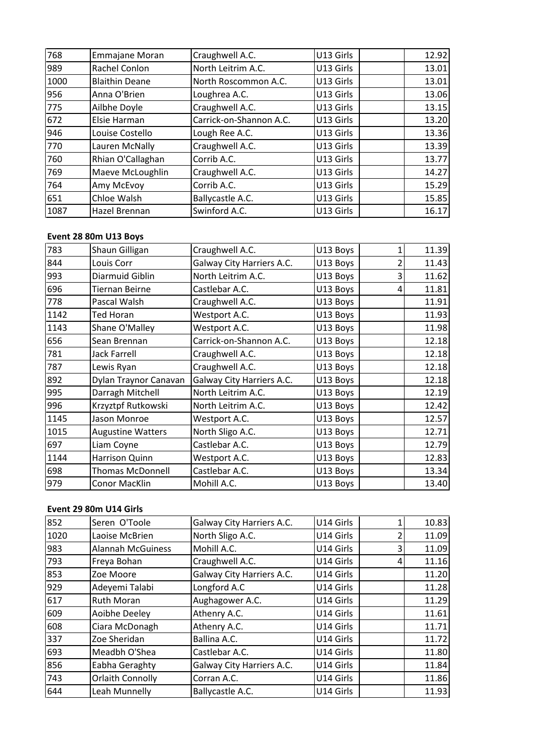| 768  | Emmajane Moran        | Craughwell A.C.                  | U13 Girls |               | 12.92 |
|------|-----------------------|----------------------------------|-----------|---------------|-------|
| 989  | Rachel Conlon         | North Leitrim A.C.               | U13 Girls |               | 13.01 |
| 1000 | <b>Blaithin Deane</b> | North Roscommon A.C.             | U13 Girls |               | 13.01 |
| 956  | Anna O'Brien          | Loughrea A.C.                    | U13 Girls |               | 13.06 |
| 775  | Ailbhe Doyle          | Craughwell A.C.                  | U13 Girls |               | 13.15 |
| 672  | Elsie Harman          | Carrick-on-Shannon A.C.          | U13 Girls |               | 13.20 |
| 946  | Louise Costello       | Lough Ree A.C.                   | U13 Girls |               | 13.36 |
| 770  | Lauren McNally        | Craughwell A.C.                  | U13 Girls |               | 13.39 |
| 760  | Rhian O'Callaghan     | Corrib A.C.                      | U13 Girls |               | 13.77 |
| 769  | Maeve McLoughlin      | Craughwell A.C.                  | U13 Girls |               | 14.27 |
| 764  | Amy McEvoy            | Corrib A.C.                      | U13 Girls |               | 15.29 |
| 651  | Chloe Walsh           | Ballycastle A.C.                 | U13 Girls |               | 15.85 |
| 1087 | Hazel Brennan         | Swinford A.C.                    | U13 Girls |               | 16.17 |
|      |                       |                                  |           |               |       |
|      | Event 28 80m U13 Boys |                                  |           |               |       |
| 783  | Shaun Gilligan        | Craughwell A.C.                  | U13 Boys  | 1             | 11.39 |
| 844  | Louis Corr            | <b>Galway City Harriers A.C.</b> | U13 Bovs  | $\mathcal{P}$ | 11.43 |

# Event 28 80m U13 Boys

| 651  | Chloe Walsh              | Ballycastle A.C.          | U13 Girls |                          | 15.85 |
|------|--------------------------|---------------------------|-----------|--------------------------|-------|
| 1087 | Hazel Brennan            | Swinford A.C.             | U13 Girls |                          | 16.17 |
|      |                          |                           |           |                          |       |
|      | Event 28 80m U13 Boys    |                           |           |                          |       |
| 783  | Shaun Gilligan           | Craughwell A.C.           | U13 Boys  | $\mathbf{1}$             | 11.39 |
| 844  | Louis Corr               | Galway City Harriers A.C. | U13 Boys  | $\overline{2}$           | 11.43 |
| 993  | Diarmuid Giblin          | North Leitrim A.C.        | U13 Boys  | 3                        | 11.62 |
| 696  | <b>Tiernan Beirne</b>    | Castlebar A.C.            | U13 Boys  | 4                        | 11.81 |
| 778  | Pascal Walsh             | Craughwell A.C.           | U13 Boys  |                          | 11.91 |
| 1142 | <b>Ted Horan</b>         | Westport A.C.             | U13 Boys  |                          | 11.93 |
| 1143 | Shane O'Malley           | Westport A.C.             | U13 Boys  |                          | 11.98 |
| 656  | Sean Brennan             | Carrick-on-Shannon A.C.   | U13 Boys  |                          | 12.18 |
| 781  | <b>Jack Farrell</b>      | Craughwell A.C.           | U13 Boys  |                          | 12.18 |
| 787  | Lewis Ryan               | Craughwell A.C.           | U13 Boys  |                          | 12.18 |
| 892  | Dylan Traynor Canavan    | Galway City Harriers A.C. | U13 Boys  |                          | 12.18 |
| 995  | Darragh Mitchell         | North Leitrim A.C.        | U13 Boys  |                          | 12.19 |
| 996  | Krzyztpf Rutkowski       | North Leitrim A.C.        | U13 Boys  |                          | 12.42 |
| 1145 | Jason Monroe             | Westport A.C.             | U13 Boys  |                          | 12.57 |
| 1015 | <b>Augustine Watters</b> | North Sligo A.C.          | U13 Boys  |                          | 12.71 |
| 697  | Liam Coyne               | Castlebar A.C.            | U13 Boys  |                          | 12.79 |
| 1144 | Harrison Quinn           | Westport A.C.             | U13 Boys  |                          | 12.83 |
| 698  | <b>Thomas McDonnell</b>  | Castlebar A.C.            | U13 Boys  |                          | 13.34 |
| 979  | <b>Conor MacKlin</b>     | Mohill A.C.               | U13 Boys  |                          | 13.40 |
|      |                          |                           |           |                          |       |
|      | Event 29 80m U14 Girls   |                           |           |                          |       |
| 852  | Seren O'Toole            | Galway City Harriers A.C. | U14 Girls | 1                        | 10.83 |
| 1020 | Laoise McBrien           | North Sligo A.C.          | U14 Girls | $\overline{\phantom{a}}$ | 11.09 |

# Event 29 80m U14 Girls

| 698  | Thomas McDonnell         | Castlebar A.C.            | U13 Boys  |   | 13.34 |
|------|--------------------------|---------------------------|-----------|---|-------|
| 979  | Conor MacKlin            | Mohill A.C.               | U13 Boys  |   | 13.40 |
|      |                          |                           |           |   |       |
|      | Event 29 80m U14 Girls   |                           |           |   |       |
| 852  | Seren O'Toole            | Galway City Harriers A.C. | U14 Girls |   | 10.83 |
| 1020 | Laoise McBrien           | North Sligo A.C.          | U14 Girls | 2 | 11.09 |
| 983  | <b>Alannah McGuiness</b> | Mohill A.C.               | U14 Girls | 3 | 11.09 |
| 793  | Freya Bohan              | Craughwell A.C.           | U14 Girls | 4 | 11.16 |
| 853  | Zoe Moore                | Galway City Harriers A.C. | U14 Girls |   | 11.20 |
| 929  | Adeyemi Talabi           | Longford A.C              | U14 Girls |   | 11.28 |
| 617  | <b>Ruth Moran</b>        | Aughagower A.C.           | U14 Girls |   | 11.29 |
| 609  | Aoibhe Deeley            | Athenry A.C.              | U14 Girls |   | 11.61 |
| 608  | Ciara McDonagh           | Athenry A.C.              | U14 Girls |   | 11.71 |
| 337  | Zoe Sheridan             | Ballina A.C.              | U14 Girls |   | 11.72 |
| 693  | Meadbh O'Shea            | Castlebar A.C.            | U14 Girls |   | 11.80 |
| 856  | Eabha Geraghty           | Galway City Harriers A.C. | U14 Girls |   | 11.84 |
| 743  | Orlaith Connolly         | Corran A.C.               | U14 Girls |   | 11.86 |
| 644  | Leah Munnelly            | Ballycastle A.C.          | U14 Girls |   | 11.93 |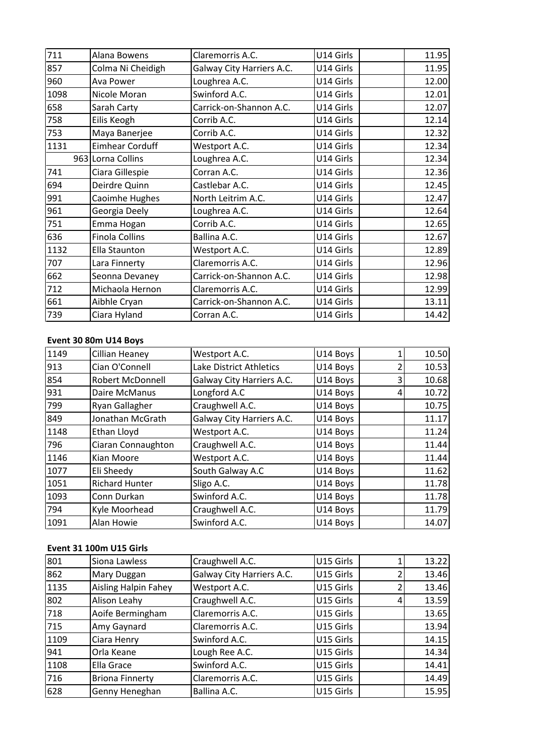| 711  | Alana Bowens           | Claremorris A.C.               | U14 Girls | 11.95                   |
|------|------------------------|--------------------------------|-----------|-------------------------|
| 857  | Colma Ni Cheidigh      | Galway City Harriers A.C.      | U14 Girls | 11.95                   |
| 960  | Ava Power              | Loughrea A.C.                  | U14 Girls | 12.00                   |
| 1098 | Nicole Moran           | Swinford A.C.                  | U14 Girls | 12.01                   |
| 658  | Sarah Carty            | Carrick-on-Shannon A.C.        | U14 Girls | 12.07                   |
| 758  | Eilis Keogh            | Corrib A.C.                    | U14 Girls | 12.14                   |
| 753  | Maya Banerjee          | Corrib A.C.                    | U14 Girls | 12.32                   |
| 1131 | <b>Eimhear Corduff</b> | Westport A.C.                  | U14 Girls | 12.34                   |
|      | 963 Lorna Collins      | Loughrea A.C.                  | U14 Girls | 12.34                   |
| 741  | Ciara Gillespie        | Corran A.C.                    | U14 Girls | 12.36                   |
| 694  | Deirdre Quinn          | Castlebar A.C.                 | U14 Girls | 12.45                   |
| 991  | Caoimhe Hughes         | North Leitrim A.C.             | U14 Girls | 12.47                   |
| 961  | Georgia Deely          | Loughrea A.C.                  | U14 Girls | 12.64                   |
| 751  | Emma Hogan             | Corrib A.C.                    | U14 Girls | 12.65                   |
| 636  | <b>Finola Collins</b>  | Ballina A.C.                   | U14 Girls | 12.67                   |
| 1132 | <b>Ella Staunton</b>   | Westport A.C.                  | U14 Girls | 12.89                   |
| 707  | Lara Finnerty          | Claremorris A.C.               | U14 Girls | 12.96                   |
| 662  | Seonna Devaney         | Carrick-on-Shannon A.C.        | U14 Girls | 12.98                   |
| 712  | Michaola Hernon        | Claremorris A.C.               | U14 Girls | 12.99                   |
| 661  | Aibhle Cryan           | Carrick-on-Shannon A.C.        | U14 Girls | 13.11                   |
| 739  | Ciara Hyland           | Corran A.C.                    | U14 Girls | 14.42                   |
|      |                        |                                |           |                         |
|      | Event 30 80m U14 Boys  |                                |           |                         |
| 1149 | <b>Cillian Heaney</b>  | Westport A.C.                  | U14 Boys  | 10.50<br>$\mathbf{1}$   |
| 913  | Cian O'Connell         | <b>Lake District Athletics</b> | U14 Bovs  | $\overline{2}$<br>10.53 |

# <u>Eve</u>

| 661  | Aibhle Cryan            | Carrick-on-Shannon A.C.          | U14 Girls |                | 13.11 |
|------|-------------------------|----------------------------------|-----------|----------------|-------|
| 739  | Ciara Hyland            | Corran A.C.                      | U14 Girls |                | 14.42 |
|      |                         |                                  |           |                |       |
|      | Event 30 80m U14 Boys   |                                  |           |                |       |
| 1149 | Cillian Heaney          | Westport A.C.                    | U14 Boys  | 1              | 10.50 |
| 913  | Cian O'Connell          | Lake District Athletics          | U14 Boys  | $\overline{2}$ | 10.53 |
| 854  | <b>Robert McDonnell</b> | Galway City Harriers A.C.        | U14 Boys  | 3              | 10.68 |
| 931  | Daire McManus           | Longford A.C                     | U14 Boys  | 4              | 10.72 |
| 799  | Ryan Gallagher          | Craughwell A.C.                  | U14 Boys  |                | 10.75 |
| 849  | Jonathan McGrath        | Galway City Harriers A.C.        | U14 Boys  |                | 11.17 |
| 1148 | Ethan Lloyd             | Westport A.C.                    | U14 Boys  |                | 11.24 |
| 796  | Ciaran Connaughton      | Craughwell A.C.                  | U14 Boys  |                | 11.44 |
| 1146 | Kian Moore              | Westport A.C.                    | U14 Boys  |                | 11.44 |
| 1077 | Eli Sheedy              | South Galway A.C                 | U14 Boys  |                | 11.62 |
| 1051 | <b>Richard Hunter</b>   | Sligo A.C.                       | U14 Boys  |                | 11.78 |
| 1093 | Conn Durkan             | Swinford A.C.                    | U14 Boys  |                | 11.78 |
| 794  | Kyle Moorhead           | Craughwell A.C.                  | U14 Boys  |                | 11.79 |
| 1091 | Alan Howie              | Swinford A.C.                    | U14 Boys  |                | 14.07 |
|      |                         |                                  |           |                |       |
|      | Event 31 100m U15 Girls |                                  |           |                |       |
| 801  | Siona Lawless           | Craughwell A.C.                  | U15 Girls | 1              | 13.22 |
| 862  | <b>Mary Duggan</b>      | <b>Galway City Harriers A.C.</b> | U15 Girls | $\mathfrak{p}$ | 13.46 |

# Event 31 100m U15 Girls

| 794  | Kyle Moorhead                  | Craughwell A.C.           | U14 Boys  |   | 11.79 |
|------|--------------------------------|---------------------------|-----------|---|-------|
| 1091 | Alan Howie                     | Swinford A.C.             | U14 Boys  |   | 14.07 |
|      |                                |                           |           |   |       |
|      | <b>Event 31 100m U15 Girls</b> |                           |           |   |       |
| 801  | Siona Lawless                  | Craughwell A.C.           | U15 Girls |   | 13.22 |
| 862  | Mary Duggan                    | Galway City Harriers A.C. | U15 Girls |   | 13.46 |
| 1135 | <b>Aisling Halpin Fahey</b>    | Westport A.C.             | U15 Girls |   | 13.46 |
| 802  | Alison Leahy                   | Craughwell A.C.           | U15 Girls | 4 | 13.59 |
| 718  | Aoife Bermingham               | Claremorris A.C.          | U15 Girls |   | 13.65 |
| 715  | Amy Gaynard                    | Claremorris A.C.          | U15 Girls |   | 13.94 |
| 1109 | Ciara Henry                    | Swinford A.C.             | U15 Girls |   | 14.15 |
| 941  | Orla Keane                     | Lough Ree A.C.            | U15 Girls |   | 14.34 |
| 1108 | Ella Grace                     | Swinford A.C.             | U15 Girls |   | 14.41 |
| 716  | <b>Briona Finnerty</b>         | Claremorris A.C.          | U15 Girls |   | 14.49 |
| 628  | Genny Heneghan                 | Ballina A.C.              | U15 Girls |   | 15.95 |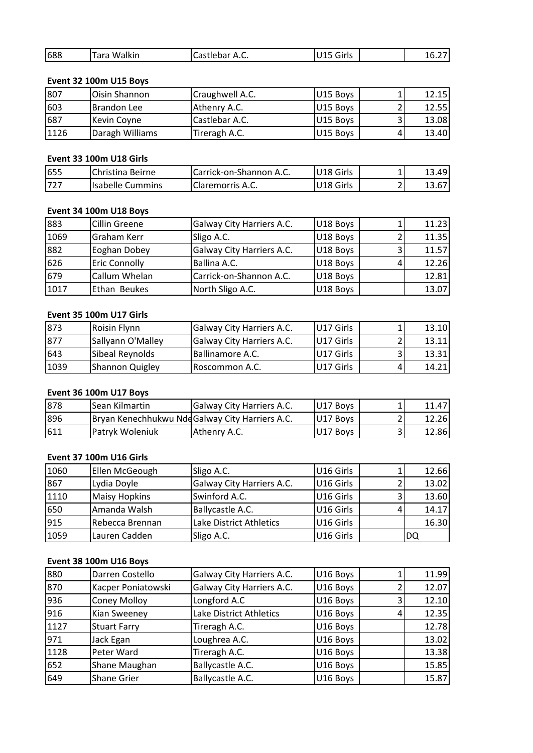| 688 | Tara Walkin            | Castlebar A.C.  | U15 Girls | 16.27 |
|-----|------------------------|-----------------|-----------|-------|
|     |                        |                 |           |       |
|     | Event 32 100m U15 Boys |                 |           |       |
| 807 | <b>Oisin Shannon</b>   | Craughwell A.C. | U15 Boys  | 12.15 |

# **Event**

| 688  | Tara Walkin                   | Castlebar A.C.          | U15 Girls |   | 16.27 |
|------|-------------------------------|-------------------------|-----------|---|-------|
|      | <b>Event 32 100m U15 Boys</b> |                         |           |   |       |
| 807  | Oisin Shannon                 | Craughwell A.C.         | U15 Boys  |   | 12.15 |
| 603  | Brandon Lee                   | Athenry A.C.            | U15 Boys  |   | 12.55 |
| 687  | Kevin Coyne                   | Castlebar A.C.          | U15 Boys  | 3 | 13.08 |
| 1126 | Daragh Williams               | Tireragh A.C.           | U15 Boys  |   | 13.40 |
|      | Event 33 100m U18 Girls       |                         |           |   |       |
| 655  | Christina Beirne              | Carrick-on-Shannon A.C. | U18 Girls |   | 13.49 |
| 727  | Isabelle Cummins              | Claremorris A.C.        | U18 Girls |   | 13.67 |

# Event 33 100m U18 Girls

| 1126 | Daragh Williams         | Tireragh A.C.             | U15 Boys  | 4 | 13.40 |
|------|-------------------------|---------------------------|-----------|---|-------|
|      |                         |                           |           |   |       |
|      | Event 33 100m U18 Girls |                           |           |   |       |
| 655  | Christina Beirne        | Carrick-on-Shannon A.C.   | U18 Girls |   | 13.49 |
| 727  | <b>Isabelle Cummins</b> | <b>Claremorris A.C.</b>   | U18 Girls |   | 13.67 |
|      |                         |                           |           |   |       |
|      | Event 34 100m U18 Boys  |                           |           |   |       |
| 883  | Cillin Greene           | Galway City Harriers A.C. | U18 Boys  |   | 11.23 |
| 1069 | lGraham Kerr            | Sligo A.C.                | U18 Boys  |   | 11.35 |

# Event 34 100m U18 Boys

| 655  | Christina Beirne               | Carrick-on-Shannon A.C.   | U18 Girls |   | 13.49 |
|------|--------------------------------|---------------------------|-----------|---|-------|
| 727  | <b>Isabelle Cummins</b>        | Claremorris A.C.          | U18 Girls |   | 13.67 |
|      |                                |                           |           |   |       |
|      | Event 34 100m U18 Boys         |                           |           |   |       |
| 883  | <b>Cillin Greene</b>           | Galway City Harriers A.C. | U18 Boys  |   | 11.23 |
| 1069 | Graham Kerr                    | Sligo A.C.                | U18 Boys  |   | 11.35 |
| 882  | Eoghan Dobey                   | Galway City Harriers A.C. | U18 Boys  | 3 | 11.57 |
| 626  | <b>Eric Connolly</b>           | Ballina A.C.              | U18 Boys  | 4 | 12.26 |
| 679  | Callum Whelan                  | Carrick-on-Shannon A.C.   | U18 Boys  |   | 12.81 |
| 1017 | Ethan Beukes                   | North Sligo A.C.          | U18 Boys  |   | 13.07 |
|      |                                |                           |           |   |       |
|      | <b>Event 35 100m U17 Girls</b> |                           |           |   |       |
| 873  | Roisin Flynn                   | Galway City Harriers A.C. | U17 Girls |   | 13.10 |
| 877  | <b>Sallvann O'Mallev</b>       | Galway City Harriers A.C. | U17 Girls |   | 13.11 |

# **Event 35 100m U17 Girls**

| 679  | Callum Whelan                  | ICarrick-on-Shannon A.C.                       | U18 Boys  | 12.81 |
|------|--------------------------------|------------------------------------------------|-----------|-------|
| 1017 | Ethan Beukes                   | North Sligo A.C.                               | U18 Boys  | 13.07 |
|      |                                |                                                |           |       |
|      | <b>Event 35 100m U17 Girls</b> |                                                |           |       |
| 873  | Roisin Flynn                   | Galway City Harriers A.C.                      | U17 Girls | 13.10 |
| 877  | Sallyann O'Malley              | Galway City Harriers A.C.                      | U17 Girls | 13.11 |
| 643  | Sibeal Reynolds                | Ballinamore A.C.                               | U17 Girls | 13.31 |
| 1039 | Shannon Quigley                | Roscommon A.C.                                 | U17 Girls | 14.21 |
|      |                                |                                                |           |       |
|      | <b>Event 36 100m U17 Boys</b>  |                                                |           |       |
| 878  | Sean Kilmartin                 | <b>Galway City Harriers A.C.</b>               | U17 Boys  | 11.47 |
| 896  |                                | Brvan Kenechhukwu NddGalway City Harriers A.C. | U17 Boys  | 12.26 |

# <u>Even</u>

| 643  | Sibeal Reynolds                | Ballinamore A.C.                                | IU17 Girls            | 31 | 13.31 |
|------|--------------------------------|-------------------------------------------------|-----------------------|----|-------|
| 1039 | <b>Shannon Quigley</b>         | Roscommon A.C.                                  | U17 Girls             |    | 14.21 |
|      |                                |                                                 |                       |    |       |
|      | <b>Event 36 100m U17 Boys</b>  |                                                 |                       |    |       |
| 878  | Sean Kilmartin                 | Galway City Harriers A.C.                       | U17 Boys              |    | 11.47 |
| 896  |                                | Bryan Kenechhukwu Nde Galway City Harriers A.C. | U17 Boys              |    | 12.26 |
| 611  | Patryk Woleniuk                | Athenry A.C.                                    | U17 Boys              |    | 12.86 |
|      |                                |                                                 |                       |    |       |
|      | <b>Event 37 100m U16 Girls</b> |                                                 |                       |    |       |
| 1060 | Ellen McGeough                 | Sligo A.C.                                      | U16 Girls             |    | 12.66 |
| 867  | Lydia Dovle                    | <b>Galway City Harriers A.C.</b>                | U <sub>16</sub> Girls |    | 13.02 |

# Event 37 100m U16 Girls

| 896  |                                | Bryan Kenechhukwu Nde Galway City Harriers A.C. | U17 Boys  |   | 12.26 |
|------|--------------------------------|-------------------------------------------------|-----------|---|-------|
| 611  | Patryk Woleniuk                | Athenry A.C.                                    | U17 Boys  | 3 | 12.86 |
|      |                                |                                                 |           |   |       |
|      | <b>Event 37 100m U16 Girls</b> |                                                 |           |   |       |
| 1060 | Ellen McGeough                 | Sligo A.C.                                      | U16 Girls |   | 12.66 |
| 867  | Lydia Doyle                    | Galway City Harriers A.C.                       | U16 Girls |   | 13.02 |
| 1110 | <b>Maisy Hopkins</b>           | Swinford A.C.                                   | U16 Girls | 3 | 13.60 |
| 650  | Amanda Walsh                   | Ballycastle A.C.                                | U16 Girls | 4 | 14.17 |
| 915  | Rebecca Brennan                | Lake District Athletics                         | U16 Girls |   | 16.30 |
| 1059 | Lauren Cadden                  | Sligo A.C.                                      | U16 Girls |   | DQ    |
|      |                                |                                                 |           |   |       |
|      | Event 38 100m U16 Boys         |                                                 |           |   |       |
| 880  | Darren Costello                | Galway City Harriers A.C.                       | U16 Boys  |   | 11.99 |
| 870  | Kacper Poniatowski             | Galway City Harriers A.C.                       | U16 Boys  |   | 12.07 |

# Event 38 100m U16 Boys

| 915  | Rebecca Brennan        | Lake District Athletics   | U16 Girls |   | 16.30 |
|------|------------------------|---------------------------|-----------|---|-------|
| 1059 | Lauren Cadden          | Sligo A.C.                | U16 Girls |   | DQ    |
|      |                        |                           |           |   |       |
|      | Event 38 100m U16 Boys |                           |           |   |       |
| 880  | Darren Costello        | Galway City Harriers A.C. | U16 Boys  |   | 11.99 |
| 870  | Kacper Poniatowski     | Galway City Harriers A.C. | U16 Boys  |   | 12.07 |
| 936  | <b>Coney Molloy</b>    | Longford A.C              | U16 Boys  | 3 | 12.10 |
| 916  | Kian Sweeney           | Lake District Athletics   | U16 Boys  | 4 | 12.35 |
| 1127 | <b>Stuart Farry</b>    | Tireragh A.C.             | U16 Boys  |   | 12.78 |
| 971  | Jack Egan              | Loughrea A.C.             | U16 Boys  |   | 13.02 |
| 1128 | Peter Ward             | Tireragh A.C.             | U16 Boys  |   | 13.38 |
| 652  | Shane Maughan          | Ballycastle A.C.          | U16 Boys  |   | 15.85 |
| 649  | Shane Grier            | Ballycastle A.C.          | U16 Boys  |   | 15.87 |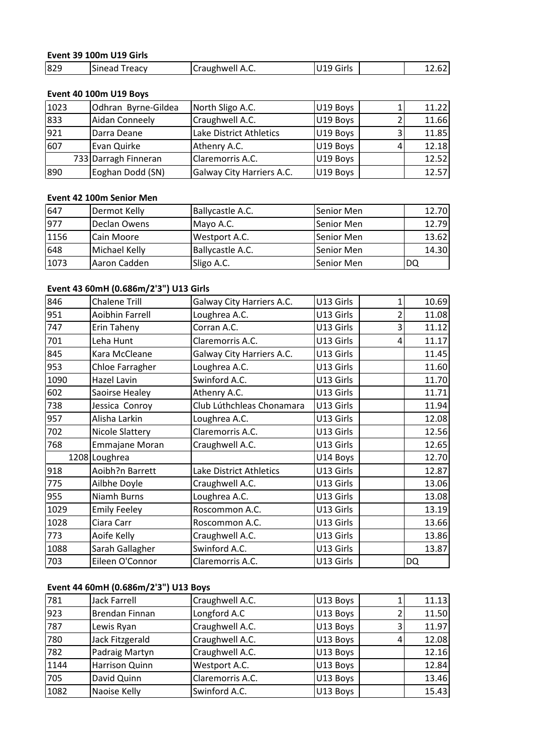# **<sup>39</sup> 100m U19 Girls** Event 39 100m U19 Girls

|      | Event 39 100m U19 Girls |                  |           |        |
|------|-------------------------|------------------|-----------|--------|
| 829  | Sinead Treacy           | Craughwell A.C.  | U19 Girls | 12.62  |
|      |                         |                  |           |        |
|      | Event 40 100m U19 Boys  |                  |           |        |
| 1023 | lOdhran Bvrne-Gildea    | North Sligo A.C. | U19 Boys  | 11.221 |

# Event 40 100m U19 Boys

| 829  | <b>Sinead Treacy</b>     | Craughwell A.C.           | U19 Girls  |   | 12.62 |
|------|--------------------------|---------------------------|------------|---|-------|
|      | Event 40 100m U19 Boys   |                           |            |   |       |
| 1023 | Odhran Byrne-Gildea      | North Sligo A.C.          | U19 Boys   |   | 11.22 |
| 833  | <b>Aidan Conneely</b>    | Craughwell A.C.           | U19 Boys   | 2 | 11.66 |
| 921  | Darra Deane              | Lake District Athletics   | U19 Boys   | 3 | 11.85 |
| 607  | Evan Quirke              | Athenry A.C.              | U19 Boys   | 4 | 12.18 |
|      | 733 Darragh Finneran     | Claremorris A.C.          | U19 Boys   |   | 12.52 |
| 890  | Eoghan Dodd (SN)         | Galway City Harriers A.C. | U19 Boys   |   | 12.57 |
|      |                          |                           |            |   |       |
|      | Event 42 100m Senior Men |                           |            |   |       |
| 647  | Dermot Kelly             | Ballycastle A.C.          | Senior Men |   | 12.70 |
| 977  | Declan Owens             | Mayo A.C.                 | Senior Men |   | 12.79 |

|      | 733 Darragh Finneran                  | Claremorris A.C.          | U19 Boys   | 12.52 |
|------|---------------------------------------|---------------------------|------------|-------|
| 890  | Eoghan Dodd (SN)                      | Galway City Harriers A.C. | U19 Boys   | 12.57 |
|      |                                       |                           |            |       |
|      | Event 42 100m Senior Men              |                           |            |       |
| 647  | Dermot Kelly                          | Ballycastle A.C.          | Senior Men | 12.70 |
| 977  | Declan Owens                          | Mayo A.C.                 | Senior Men | 12.79 |
| 1156 | Cain Moore                            | Westport A.C.             | Senior Men | 13.62 |
| 648  | Michael Kelly                         | Ballycastle A.C.          | Senior Men | 14.30 |
| 1073 | Aaron Cadden                          | Sligo A.C.                | Senior Men | DQ    |
|      |                                       |                           |            |       |
|      | Event 43 60mH (0.686m/2'3") U13 Girls |                           |            |       |
| 846  | <b>Chalene Trill</b>                  | Galway City Harriers A.C. | U13 Girls  | 10.69 |
| 951  | Aoibhin Farrell                       | Loughrea A.C.             | U13 Girls  | 11.08 |

# <u>Eve</u>

| 648  | Michael Kelly                         | Ballycastle A.C.          | Senior Men |                | 14.30     |
|------|---------------------------------------|---------------------------|------------|----------------|-----------|
| 1073 | Aaron Cadden                          | Sligo A.C.                | Senior Men |                | <b>DQ</b> |
|      | Event 43 60mH (0.686m/2'3") U13 Girls |                           |            |                |           |
| 846  | <b>Chalene Trill</b>                  | Galway City Harriers A.C. | U13 Girls  | $\mathbf{1}$   | 10.69     |
| 951  | <b>Aoibhin Farrell</b>                | Loughrea A.C.             | U13 Girls  | $\overline{2}$ | 11.08     |
| 747  | Erin Taheny                           | Corran A.C.               | U13 Girls  | 3              | 11.12     |
| 701  | Leha Hunt                             | Claremorris A.C.          | U13 Girls  | 4              | 11.17     |
| 845  | Kara McCleane                         | Galway City Harriers A.C. | U13 Girls  |                | 11.45     |
| 953  | Chloe Farragher                       | Loughrea A.C.             | U13 Girls  |                | 11.60     |
| 1090 | <b>Hazel Lavin</b>                    | Swinford A.C.             | U13 Girls  |                | 11.70     |
| 602  | Saoirse Healey                        | Athenry A.C.              | U13 Girls  |                | 11.71     |
| 738  | Jessica Conroy                        | Club Lúthchleas Chonamara | U13 Girls  |                | 11.94     |
| 957  | Alisha Larkin                         | Loughrea A.C.             | U13 Girls  |                | 12.08     |
| 702  | Nicole Slattery                       | Claremorris A.C.          | U13 Girls  |                | 12.56     |
| 768  | Emmajane Moran                        | Craughwell A.C.           | U13 Girls  |                | 12.65     |
|      | 1208 Loughrea                         |                           | U14 Boys   |                | 12.70     |
| 918  | Aoibh?n Barrett                       | Lake District Athletics   | U13 Girls  |                | 12.87     |
| 775  | Ailbhe Doyle                          | Craughwell A.C.           | U13 Girls  |                | 13.06     |
| 955  | <b>Niamh Burns</b>                    | Loughrea A.C.             | U13 Girls  |                | 13.08     |
| 1029 | <b>Emily Feeley</b>                   | Roscommon A.C.            | U13 Girls  |                | 13.19     |
| 1028 | Ciara Carr                            | Roscommon A.C.            | U13 Girls  |                | 13.66     |
| 773  | Aoife Kelly                           | Craughwell A.C.           | U13 Girls  |                | 13.86     |
| 1088 | Sarah Gallagher                       | Swinford A.C.             | U13 Girls  |                | 13.87     |
| 703  | Eileen O'Connor                       | Claremorris A.C.          | U13 Girls  |                | <b>DQ</b> |
|      | Event 44 60mH (0.686m/2'3") U13 Boys  |                           |            |                |           |
| 781  | <b>Jack Farrell</b>                   | Craughwell A.C.           | U13 Boys   | 1              | 11.13     |
| 923  | <b>Brendan Finnan</b>                 | Longford A.C              | U13 Bovs   | $\mathcal{P}$  | 11.50     |

# <u>Even</u>

| 1088 | Sarah Gallagher                      | Swinford A.C.    | U13 Girls |   | 13.87 |
|------|--------------------------------------|------------------|-----------|---|-------|
| 703  | Eileen O'Connor                      | Claremorris A.C. | U13 Girls |   | DQ    |
|      |                                      |                  |           |   |       |
|      | Event 44 60mH (0.686m/2'3") U13 Boys |                  |           |   |       |
| 781  | <b>Jack Farrell</b>                  | Craughwell A.C.  | U13 Boys  |   | 11.13 |
| 923  | Brendan Finnan                       | Longford A.C     | U13 Boys  |   | 11.50 |
| 787  | Lewis Ryan                           | Craughwell A.C.  | U13 Boys  |   | 11.97 |
| 780  | Jack Fitzgerald                      | Craughwell A.C.  | U13 Boys  | 4 | 12.08 |
| 782  | Padraig Martyn                       | Craughwell A.C.  | U13 Boys  |   | 12.16 |
| 1144 | Harrison Quinn                       | Westport A.C.    | U13 Boys  |   | 12.84 |
| 705  | David Quinn                          | Claremorris A.C. | U13 Boys  |   | 13.46 |
| 1082 | Naoise Kelly                         | Swinford A.C.    | U13 Boys  |   | 15.43 |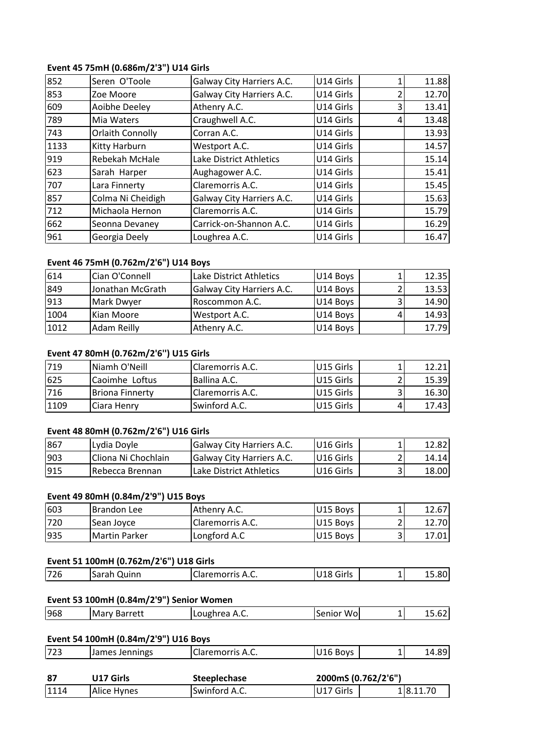# **<sup>45</sup> 75mH (0.686m/2'3") U14 Girls** Event 45 75mH (0.686m/2'3") U14 Girls

|      | Event 45 75mH (0.686m/2'3") U14 Girls |                           |           |                          |       |
|------|---------------------------------------|---------------------------|-----------|--------------------------|-------|
| 852  | Seren O'Toole                         | Galway City Harriers A.C. | U14 Girls | 1                        | 11.88 |
| 853  | Zoe Moore                             | Galway City Harriers A.C. | U14 Girls | $\overline{2}$           | 12.70 |
| 609  | Aoibhe Deeley                         | Athenry A.C.              | U14 Girls | 3                        | 13.41 |
| 789  | Mia Waters                            | Craughwell A.C.           | U14 Girls | 4                        | 13.48 |
| 743  | <b>Orlaith Connolly</b>               | Corran A.C.               | U14 Girls |                          | 13.93 |
| 1133 | Kitty Harburn                         | Westport A.C.             | U14 Girls |                          | 14.57 |
| 919  | Rebekah McHale                        | Lake District Athletics   | U14 Girls |                          | 15.14 |
| 623  | Sarah Harper                          | Aughagower A.C.           | U14 Girls |                          | 15.41 |
| 707  | Lara Finnerty                         | Claremorris A.C.          | U14 Girls |                          | 15.45 |
| 857  | Colma Ni Cheidigh                     | Galway City Harriers A.C. | U14 Girls |                          | 15.63 |
| 712  | Michaola Hernon                       | Claremorris A.C.          | U14 Girls |                          | 15.79 |
| 662  | Seonna Devaney                        | Carrick-on-Shannon A.C.   | U14 Girls |                          | 16.29 |
| 961  | Georgia Deely                         | Loughrea A.C.             | U14 Girls |                          | 16.47 |
|      |                                       |                           |           |                          |       |
|      | Event 46 75mH (0.762m/2'6") U14 Boys  |                           |           |                          |       |
| 614  | Cian O'Connell                        | Lake District Athletics   | U14 Boys  | $\mathbf{1}$             | 12.35 |
| 849  | Jonathan McGrath                      | Galway City Harriers A.C. | U14 Bovs  | $\overline{\phantom{a}}$ | 13.53 |

| 662  | Seonna Devaney                        | Carrick-on-Shannon A.C.   | U14 Girls | 16.29 |
|------|---------------------------------------|---------------------------|-----------|-------|
| 961  | Georgia Deely                         | Loughrea A.C.             | U14 Girls | 16.47 |
|      |                                       |                           |           |       |
|      | Event 46 75mH (0.762m/2'6") U14 Boys  |                           |           |       |
| 614  | Cian O'Connell                        | Lake District Athletics   | U14 Boys  | 12.35 |
| 849  | Jonathan McGrath                      | Galway City Harriers A.C. | U14 Boys  | 13.53 |
| 913  | Mark Dwyer                            | Roscommon A.C.            | U14 Boys  | 14.90 |
| 1004 | Kian Moore                            | Westport A.C.             | U14 Boys  | 14.93 |
| 1012 | Adam Reilly                           | Athenry A.C.              | U14 Boys  | 17.79 |
|      |                                       |                           |           |       |
|      | Event 47 80mH (0.762m/2'6") U15 Girls |                           |           |       |
| 719  | Niamh O'Neill                         | Claremorris A.C.          | U15 Girls | 12.21 |
| 625  | Caoimhe Loftus                        | Ballina A.C.              | U15 Girls | 15.39 |

# Event 47 80mH (0.762m/2'6") U15 Girls

| 1004 | Kian Moore                            | Westport A.C.             | U14 Boys  | 4 | 14.931 |
|------|---------------------------------------|---------------------------|-----------|---|--------|
| 1012 | Adam Reilly                           | Athenry A.C.              | U14 Boys  |   | 17.79  |
|      |                                       |                           |           |   |        |
|      | Event 47 80mH (0.762m/2'6") U15 Girls |                           |           |   |        |
| 719  | Niamh O'Neill                         | Claremorris A.C.          | U15 Girls |   | 12.21  |
| 625  | Caoimhe Loftus                        | Ballina A.C.              | U15 Girls |   | 15.39  |
| 716  | <b>Briona Finnerty</b>                | Claremorris A.C.          | U15 Girls | 3 | 16.30  |
| 1109 | Ciara Henry                           | Swinford A.C.             | U15 Girls |   | 17.43  |
|      |                                       |                           |           |   |        |
|      | Event 48 80mH (0.762m/2'6") U16 Girls |                           |           |   |        |
| 867  | Lydia Doyle                           | Galway City Harriers A.C. | U16 Girls |   | 12.82  |
| 903  | Cliona Ni Chochlain                   | Galway City Harriers A.C. | U16 Girls |   | 14.14  |

# <u>Eve</u>

| 716  | <b>Briona Finnerty</b>                | Claremorris A.C.          | U15 Girls | 3. | 16.30 |
|------|---------------------------------------|---------------------------|-----------|----|-------|
| 1109 | Ciara Henry                           | Swinford A.C.             | U15 Girls |    | 17.43 |
|      |                                       |                           |           |    |       |
|      | Event 48 80mH (0.762m/2'6") U16 Girls |                           |           |    |       |
| 867  | Lydia Doyle                           | Galway City Harriers A.C. | U16 Girls |    | 12.82 |
| 903  | Cliona Ni Chochlain                   | Galway City Harriers A.C. | U16 Girls |    | 14.14 |
| 915  | Rebecca Brennan                       | Lake District Athletics   | U16 Girls | っ  | 18.00 |
|      |                                       |                           |           |    |       |
|      | Event 49 80mH (0.84m/2'9") U15 Boys   |                           |           |    |       |
| 603  | <b>Brandon Lee</b>                    | Athenry A.C.              | U15 Boys  |    | 12.67 |
| 720  | Sean Jovce                            | Claremorris A.C.          | U15 Boys  |    | 12.70 |

# <u>Eve</u>

| 903 | Cliona Ni Chochlain                                   | Galway City Harriers A.C. | U16 Girls | າ | 14.14 |
|-----|-------------------------------------------------------|---------------------------|-----------|---|-------|
| 915 | Rebecca Brennan                                       | Lake District Athletics   | U16 Girls | 3 | 18.00 |
|     |                                                       |                           |           |   |       |
|     | Event 49 80mH (0.84m/2'9") U15 Boys                   |                           |           |   |       |
| 603 | Brandon Lee                                           | Athenry A.C.              | U15 Boys  |   | 12.67 |
| 720 | Sean Joyce                                            | Claremorris A.C.          | U15 Boys  |   | 12.70 |
| 935 | <b>Martin Parker</b>                                  | Longford A.C              | U15 Boys  | 3 | 17.01 |
|     |                                                       |                           |           |   |       |
| 726 | Event 51 100mH (0.762m/2'6") U18 Girls<br>Sarah Quinn | Claremorris A.C.          | U18 Girls |   | 15.80 |

# Event 51 100mH (0.762m/2'6") U18 Girls

| 1935 | <b>IMartin Parker</b>                    | Longford A.C     | U15 Boys   | 17.011 |
|------|------------------------------------------|------------------|------------|--------|
|      | Event 51 100mH (0.762m/2'6") U18 Girls   |                  |            |        |
| 726  | Sarah Quinn                              | Claremorris A.C. | U18 Girls  | 15.80  |
|      | Event 53 100mH (0.84m/2'9") Senior Women |                  |            |        |
| 968  | <b>IMary Barrett</b>                     | l Loughrea A.C.  | Senior Wol | 15.62  |

# <u>Ev</u>

| 15.62<br>14.89 |
|----------------|
|                |
|                |
|                |
|                |
|                |
|                |
|                |
| 15.80          |
|                |
|                |

| נו<br>¬.֊.<br>$\sim$<br>. .<br>--<br>້ | l ¬ ¬ ¬<br>. .<br>723 | ennings<br><b>IJames</b><br>1٣ | laramarric<br>$\mathbf{r}$<br>emon<br>۱۵۱۳ ت | วvs |  | ~~<br> |
|----------------------------------------|-----------------------|--------------------------------|----------------------------------------------|-----|--|--------|
|----------------------------------------|-----------------------|--------------------------------|----------------------------------------------|-----|--|--------|

| 1114 | Alice Hynes                          | Swinford A.C.           | U17 Girls           | 18.11.70 |
|------|--------------------------------------|-------------------------|---------------------|----------|
| -87  | U17 Girls                            | <b>Steeplechase</b>     | 2000mS (0.762/2'6") |          |
| 723  | James Jennings                       | <b>Claremorris A.C.</b> | U16 Boys            | 14.89    |
|      | Event 54 100mH (0.84m/2'9") U16 Boys |                         |                     |          |
|      |                                      |                         |                     |          |
| 968  | <b>Mary Barrett</b>                  | Loughrea A.C.           | Senior Wo           | 15.62    |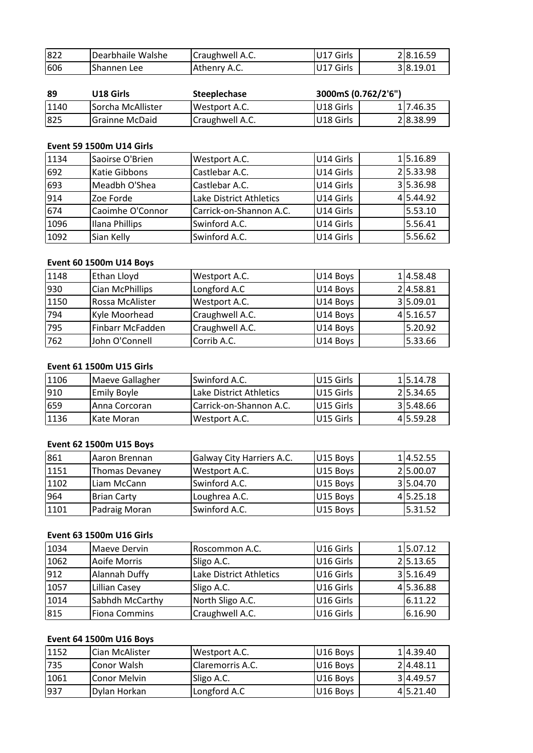| 822 | Dearbhaile Walshe | Craughwell A.C.     | U17 Girls           | 28.16.59 |
|-----|-------------------|---------------------|---------------------|----------|
| 606 | Shannen Lee       | Athenry A.C.        | U17 Girls           | 38.19.01 |
|     |                   |                     |                     |          |
|     |                   |                     |                     |          |
| 89  | U18 Girls         | <b>Steeplechase</b> | 3000mS (0.762/2'6") |          |

| Athenry A.C.        | U17 Girls           | 38.19.01 |
|---------------------|---------------------|----------|
|                     |                     |          |
| <b>Steeplechase</b> | 3000mS (0.762/2'6") |          |
| Westport A.C.       | U18 Girls           | 17.46.35 |
| Craughwell A.C.     | U18 Girls           | 28.38.99 |
|                     |                     |          |

# Event 59 1500m U14 Girls

| 1140 | Sorcha McAllister               | Westport A.C.           | U18 Girls | 1 7.46.35 |
|------|---------------------------------|-------------------------|-----------|-----------|
| 825  | <b>Grainne McDaid</b>           | Craughwell A.C.         | U18 Girls | 28.38.99  |
|      |                                 |                         |           |           |
|      | <b>Event 59 1500m U14 Girls</b> |                         |           |           |
| 1134 | Saoirse O'Brien                 | Westport A.C.           | U14 Girls | 15.16.89  |
| 692  | Katie Gibbons                   | Castlebar A.C.          | U14 Girls | 25.33.98  |
| 693  | Meadbh O'Shea                   | Castlebar A.C.          | U14 Girls | 35.36.98  |
| 914  | Zoe Forde                       | Lake District Athletics | U14 Girls | 4 5.44.92 |
| 674  | Caoimhe O'Connor                | Carrick-on-Shannon A.C. | U14 Girls | 5.53.10   |
| 1096 | Ilana Phillips                  | Swinford A.C.           | U14 Girls | 5.56.41   |
| 1092 | Sian Kelly                      | Swinford A.C.           | U14 Girls | 5.56.62   |
|      |                                 |                         |           |           |
|      | <b>Event 60 1500m U14 Boys</b>  |                         |           |           |
| 1148 | Ethan Lloyd                     | Westport A.C.           | U14 Boys  | 14.58.48  |
| 930  | Cian McPhillips                 | Longford A.C            | U14 Boys  | 2 4.58.81 |

# <u>Eve</u>

| 1096 | Ilana Phillips                  | Swinford A.C.           | U14 Girls | 5.56.41  |
|------|---------------------------------|-------------------------|-----------|----------|
| 1092 | Sian Kelly                      | Swinford A.C.           | U14 Girls | 5.56.62  |
|      |                                 |                         |           |          |
|      | <b>Event 60 1500m U14 Boys</b>  |                         |           |          |
| 1148 | Ethan Lloyd                     | Westport A.C.           | U14 Boys  | 14.58.48 |
| 930  | Cian McPhillips                 | Longford A.C            | U14 Boys  | 24.58.81 |
| 1150 | Rossa McAlister                 | Westport A.C.           | U14 Boys  | 35.09.01 |
| 794  | Kyle Moorhead                   | Craughwell A.C.         | U14 Boys  | 45.16.57 |
| 795  | Finbarr McFadden                | Craughwell A.C.         | U14 Boys  | 5.20.92  |
| 762  | John O'Connell                  | Corrib A.C.             | U14 Boys  | 5.33.66  |
|      |                                 |                         |           |          |
|      | <b>Event 61 1500m U15 Girls</b> |                         |           |          |
| 1106 | Maeve Gallagher                 | Swinford A.C.           | U15 Girls | 15.14.78 |
| 910  | <b>Emily Boyle</b>              | Lake District Athletics | U15 Girls | 25.34.65 |

# **Event 61 1500m U15 Girls**

| 1795 | Finbarr McFadden                | Craughwell A.C.           | U14 Boys  | 5.20.92   |
|------|---------------------------------|---------------------------|-----------|-----------|
| 762  | John O'Connell                  | Corrib A.C.               | U14 Boys  | 5.33.66   |
|      |                                 |                           |           |           |
|      | <b>Event 61 1500m U15 Girls</b> |                           |           |           |
| 1106 | Maeve Gallagher                 | Swinford A.C.             | U15 Girls | 15.14.78  |
| 910  | <b>Emily Boyle</b>              | Lake District Athletics   | U15 Girls | 25.34.65  |
| 659  | Anna Corcoran                   | Carrick-on-Shannon A.C.   | U15 Girls | 35.48.66  |
| 1136 | Kate Moran                      | Westport A.C.             | U15 Girls | 4 5.59.28 |
|      |                                 |                           |           |           |
|      | Event 62 1500m U15 Boys         |                           |           |           |
| 861  | Aaron Brennan                   | Galway City Harriers A.C. | U15 Boys  | 14.52.55  |
| 1151 | <b>Thomas Devanev</b>           | Westport A.C.             | U15 Boys  | 25.00.07  |

| 1659 | Anna Corcoran                   | Carrick-on-Shannon A.C.   | U15 Girls | 315.48.66 |
|------|---------------------------------|---------------------------|-----------|-----------|
| 1136 | Kate Moran                      | Westport A.C.             | U15 Girls | 4 5.59.28 |
|      |                                 |                           |           |           |
|      | <b>Event 62 1500m U15 Boys</b>  |                           |           |           |
| 861  | Aaron Brennan                   | Galway City Harriers A.C. | U15 Boys  | 14.52.55  |
| 1151 | <b>Thomas Devaney</b>           | Westport A.C.             | U15 Boys  | 25.00.07  |
| 1102 | Liam McCann                     | Swinford A.C.             | U15 Boys  | 315.04.70 |
| 964  | <b>Brian Carty</b>              | Loughrea A.C.             | U15 Boys  | 4 5.25.18 |
| 1101 | Padraig Moran                   | Swinford A.C.             | U15 Boys  | 5.31.52   |
|      |                                 |                           |           |           |
|      | <b>Event 63 1500m U16 Girls</b> |                           |           |           |
| 1034 | Maeve Dervin                    | Roscommon A.C.            | U16 Girls | 15.07.12  |
| 1062 | Aoife Morris                    | Sligo A.C.                | U16 Girls | 25.13.65  |

# Event 63 1500m U16 Girls

| 964  | <b>Brian Carty</b>              | Loughrea A.C.           | U15 Boys  | 415.25.18 |
|------|---------------------------------|-------------------------|-----------|-----------|
| 1101 | Padraig Moran                   | Swinford A.C.           | U15 Boys  | 5.31.52   |
|      |                                 |                         |           |           |
|      | <b>Event 63 1500m U16 Girls</b> |                         |           |           |
| 1034 | Maeve Dervin                    | Roscommon A.C.          | U16 Girls | 15.07.12  |
| 1062 | Aoife Morris                    | Sligo A.C.              | U16 Girls | 25.13.65  |
| 912  | Alannah Duffy                   | Lake District Athletics | U16 Girls | 35.16.49  |
| 1057 | Lillian Casey                   | Sligo A.C.              | U16 Girls | 45.36.88  |
| 1014 | Sabhdh McCarthy                 | North Sligo A.C.        | U16 Girls | 6.11.22   |
| 815  | <b>Fiona Commins</b>            | Craughwell A.C.         | U16 Girls | 6.16.90   |
|      |                                 |                         |           |           |
|      | Event 64 1500m U16 Boys         |                         |           |           |
| 1152 | Cian McAlister                  | Westport A.C.           | U16 Boys  | 14.39.40  |
| 735  | Conor Walsh                     | Claremorris A.C.        | U16 Bovs  | 24.48.11  |

| 1014 | Sabhdh McCarthy                | North Sligo A.C. | U16 Girls | 16.11.22  |
|------|--------------------------------|------------------|-----------|-----------|
| 815  | <b>Fiona Commins</b>           | Craughwell A.C.  | U16 Girls | 6.16.90   |
|      | <b>Event 64 1500m U16 Boys</b> |                  |           |           |
| 1152 | Cian McAlister                 | Westport A.C.    | U16 Boys  | 14.39.40  |
| 735  | Conor Walsh                    | Claremorris A.C. | U16 Boys  | 24.48.11  |
| 1061 | <b>Conor Melvin</b>            | Sligo A.C.       | U16 Boys  | 34.49.57  |
| 937  | Dylan Horkan                   | Longford A.C     | U16 Boys  | 4 5.21.40 |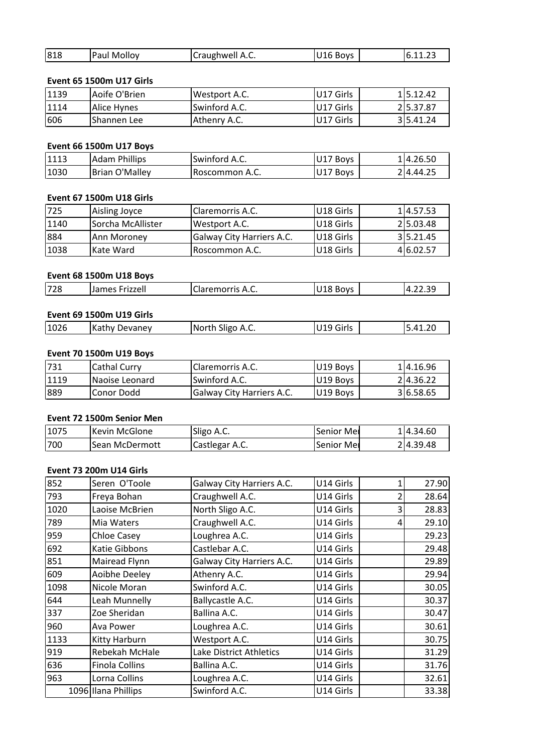| 818  | Paul Molloy              | Craughwell A.C. | U16 Boys  | 6.11.23  |
|------|--------------------------|-----------------|-----------|----------|
|      |                          |                 |           |          |
|      | Event 65 1500m U17 Girls |                 |           |          |
| 1139 | Aoife O'Brien            | Westport A.C.   | U17 Girls | 15.12.42 |

# Event 65 1500m U17 Girls

| 818  | Paul Molloy                     | Craughwell A.C. | U16 Boys  | 6.11.23  |
|------|---------------------------------|-----------------|-----------|----------|
|      | <b>Event 65 1500m U17 Girls</b> |                 |           |          |
| 1139 | Aoife O'Brien                   | Westport A.C.   | U17 Girls | 15.12.42 |
| 1114 | Alice Hynes                     | Swinford A.C.   | U17 Girls | 25.37.87 |
| 606  | Shannen Lee                     | Athenry A.C.    | U17 Girls | 35.41.24 |
|      | Event 66 1500m U17 Boys         |                 |           |          |
| 1113 | <b>Adam Phillips</b>            | Swinford A.C.   | U17 Boys  | 14.26.50 |
| 1030 | <b>Brian O'Malley</b>           | Roscommon A.C.  | U17 Boys  | 24.44.25 |

# Event 66 1500m U17 Boys

| 606  | Shannen Lee                     | Athenry A.C.            | U17 Girls | 35.41.24  |
|------|---------------------------------|-------------------------|-----------|-----------|
|      | <b>Event 66 1500m U17 Boys</b>  |                         |           |           |
| 1113 | <b>Adam Phillips</b>            | Swinford A.C.           | U17 Boys  | 14.26.50  |
| 1030 | <b>Brian O'Malley</b>           | Roscommon A.C.          | U17 Boys  | 24.44.25  |
|      | <b>Event 67 1500m U18 Girls</b> |                         |           |           |
| 725  | Aisling Joyce                   | <b>Claremorris A.C.</b> | U18 Girls | 1 4.57.53 |
| 1140 | Sorcha McAllister               | Westport A.C.           | U18 Girls | 25.03.48  |

# **Event 67 1500m U18 Girls**

| 1113 | Adam Phillips                   | Swinford A.C.             | U17 Boys  | 114.26.50 |
|------|---------------------------------|---------------------------|-----------|-----------|
| 1030 | Brian O'Malley                  | Roscommon A.C.            | U17 Boys  | 2 4.44.25 |
|      |                                 |                           |           |           |
|      | <b>Event 67 1500m U18 Girls</b> |                           |           |           |
| 725  | Aisling Joyce                   | Claremorris A.C.          | U18 Girls | 14.57.53  |
| 1140 | Sorcha McAllister               | Westport A.C.             | U18 Girls | 25.03.48  |
| 884  | Ann Moroney                     | Galway City Harriers A.C. | U18 Girls | 3 5.21.45 |
| 1038 | Kate Ward                       | Roscommon A.C.            | U18 Girls | 4 6.02.57 |
|      |                                 |                           |           |           |
|      | <b>Event 68 1500m U18 Boys</b>  |                           |           |           |
|      | James Frizzell                  | Claremorris A.C.          | U18 Boys  | 4.22.39   |

# **Event 68 1500m U18 Boys**

| 11038 | <b>Kate Ward</b>                | TRoscommon A.C.           | IU18 Girls | 416.02.57 |
|-------|---------------------------------|---------------------------|------------|-----------|
|       | <b>Event 68 1500m U18 Boys</b>  |                           |            |           |
| 728   | James Frizzell                  | <b>I</b> Claremorris A.C. | U18 Boys   | 4.22.39   |
|       | <b>Event 69 1500m U19 Girls</b> |                           |            |           |
| 1026  | IKathy Devanev                  | INorth Sligo A.C.         | U19 Girls  | 5.41.20   |

# Event 69 1500m U19 Girls

|      | <b>Event 68 1500m U18 Boys</b>  |                  |           |           |
|------|---------------------------------|------------------|-----------|-----------|
| 728  | James Frizzell                  | Claremorris A.C. | U18 Boys  | 4.22.39   |
|      |                                 |                  |           |           |
|      | <b>Event 69 1500m U19 Girls</b> |                  |           |           |
| 1026 | <b>Kathy Devaney</b>            | North Sligo A.C. | U19 Girls | 5.41.20   |
|      |                                 |                  |           |           |
|      | <b>Event 70 1500m U19 Boys</b>  |                  |           |           |
| 731  | <b>ICathal Curry</b>            | Claremorris A.C. | U19 Boys  | 114.16.96 |

# Event 70 1500m U19 Boys

| 1026 | <b>Kathy Devaney</b>           | North Sligo A.C.          | U19 Girls  | 5.41.20   |
|------|--------------------------------|---------------------------|------------|-----------|
|      |                                |                           |            |           |
|      | <b>Event 70 1500m U19 Boys</b> |                           |            |           |
| 731  | <b>Cathal Curry</b>            | Claremorris A.C.          | U19 Boys   | 14.16.96  |
| 1119 | Naoise Leonard                 | Swinford A.C.             | U19 Boys   | 2 4.36.22 |
| 889  | <b>Conor Dodd</b>              | Galway City Harriers A.C. | U19 Boys   | 36.58.65  |
|      |                                |                           |            |           |
|      | Event 72 1500m Senior Men      |                           |            |           |
| 1075 | Kevin McGlone                  | Sligo A.C.                | Senior Mer | 14.34.60  |
| 700  | Sean McDermott                 | Castlegar A.C.            | Senior Mei | 24.39.48  |

# <u>Eve</u>

| 889  | Conor Dodd                | Galway City Harriers A.C. | U19 Boys   | 36.58.65 |
|------|---------------------------|---------------------------|------------|----------|
|      | Event 72 1500m Senior Men |                           |            |          |
| 1075 | Kevin McGlone             | Sligo A.C.                | Senior Mer | 14.34.60 |
| 700  | Sean McDermott            | Castlegar A.C.            | Senior Mei | 24.39.48 |
|      | Event 73 200m U14 Girls   |                           |            |          |
| 852  | Seren O'Toole             | Galway City Harriers A.C. | U14 Girls  | 27.90    |
| 793  | <b>IFreva Bohan</b>       | l Craughwell A.C.         | U14 Girls  | 28.64    |

# Event 73 200m U14 Girls

| 1075 | Kevin McGlone                  | Sligo A.C.                | Senior Mei |                | 114.34.60 |
|------|--------------------------------|---------------------------|------------|----------------|-----------|
| 700  | Sean McDermott                 | Castlegar A.C.            | Senior Mer |                | 24.39.48  |
|      |                                |                           |            |                |           |
|      | <b>Event 73 200m U14 Girls</b> |                           |            |                |           |
| 852  | Seren O'Toole                  | Galway City Harriers A.C. | U14 Girls  |                | 27.90     |
| 793  | Freya Bohan                    | Craughwell A.C.           | U14 Girls  | $\overline{2}$ | 28.64     |
| 1020 | Laoise McBrien                 | North Sligo A.C.          | U14 Girls  | 3              | 28.83     |
| 789  | Mia Waters                     | Craughwell A.C.           | U14 Girls  | 4              | 29.10     |
| 959  | Chloe Casey                    | Loughrea A.C.             | U14 Girls  |                | 29.23     |
| 692  | Katie Gibbons                  | Castlebar A.C.            | U14 Girls  |                | 29.48     |
| 851  | Mairead Flynn                  | Galway City Harriers A.C. | U14 Girls  |                | 29.89     |
| 609  | Aoibhe Deeley                  | Athenry A.C.              | U14 Girls  |                | 29.94     |
| 1098 | Nicole Moran                   | Swinford A.C.             | U14 Girls  |                | 30.05     |
| 644  | Leah Munnelly                  | Ballycastle A.C.          | U14 Girls  |                | 30.37     |
| 337  | Zoe Sheridan                   | Ballina A.C.              | U14 Girls  |                | 30.47     |
| 960  | Ava Power                      | Loughrea A.C.             | U14 Girls  |                | 30.61     |
| 1133 | Kitty Harburn                  | Westport A.C.             | U14 Girls  |                | 30.75     |
| 919  | Rebekah McHale                 | Lake District Athletics   | U14 Girls  |                | 31.29     |
| 636  | <b>Finola Collins</b>          | Ballina A.C.              | U14 Girls  |                | 31.76     |
| 963  | Lorna Collins                  | Loughrea A.C.             | U14 Girls  |                | 32.61     |
|      | 1096 Ilana Phillips            | Swinford A.C.             | U14 Girls  |                | 33.38     |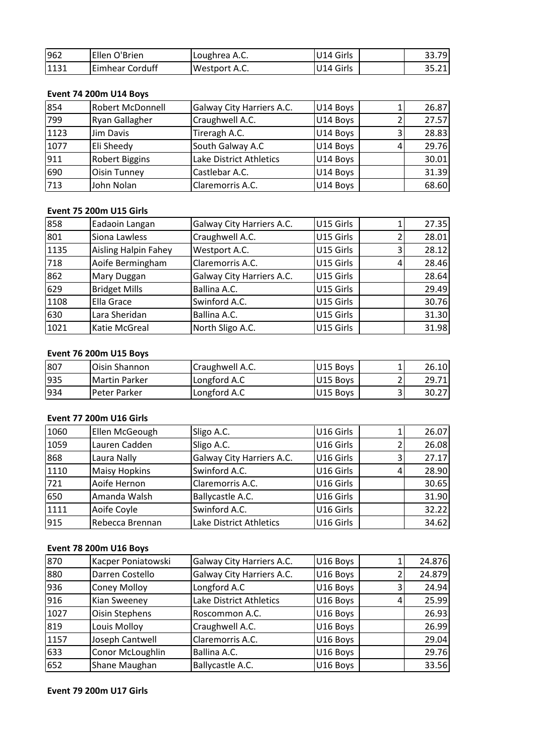| 962  | Ellen O'Brien          | Loughrea A.C.             | U14 Girls | 33.79 |
|------|------------------------|---------------------------|-----------|-------|
| 1131 | Eimhear Corduff        | Westport A.C.             | U14 Girls | 35.21 |
|      |                        |                           |           |       |
|      | Event 74 200m U14 Boys |                           |           |       |
| 854  | Robert McDonnell       | Galway City Harriers A.C. | U14 Boys  | 26.87 |
| 799  | <b>Ryan Gallagher</b>  | Craughwell A.C.           | U14 Boys  | 27.57 |

# Event 74 200m U14 Boys

| 962  | Ellen O'Brien                 | Loughrea A.C.             | U14 Girls |   | 33.79 |
|------|-------------------------------|---------------------------|-----------|---|-------|
| 1131 | <b>Eimhear Corduff</b>        | Westport A.C.             | U14 Girls |   | 35.21 |
|      |                               |                           |           |   |       |
|      | <b>Event 74 200m U14 Boys</b> |                           |           |   |       |
| 854  | <b>Robert McDonnell</b>       | Galway City Harriers A.C. | U14 Boys  |   | 26.87 |
| 799  | Ryan Gallagher                | Craughwell A.C.           | U14 Boys  | າ | 27.57 |
| 1123 | <b>Jim Davis</b>              | Tireragh A.C.             | U14 Boys  | 3 | 28.83 |
| 1077 | Eli Sheedy                    | South Galway A.C          | U14 Boys  | 4 | 29.76 |
| 911  | <b>Robert Biggins</b>         | Lake District Athletics   | U14 Boys  |   | 30.01 |
| 690  | <b>Oisin Tunney</b>           | Castlebar A.C.            | U14 Boys  |   | 31.39 |
| 713  | John Nolan                    | Claremorris A.C.          | U14 Boys  |   | 68.60 |
|      |                               |                           |           |   |       |
|      | Event 75 200m U15 Girls       |                           |           |   |       |
| 858  | Eadaoin Langan                | Galway City Harriers A.C. | U15 Girls |   | 27.35 |
| 801  | Siona Lawless                 | Craughwell A.C.           | U15 Girls |   | 28.01 |

# Event 75 200m U15 Girls

| 690  | Oisin Tunney                   | Castlebar A.C.            | U14 Boys  |   | 31.39 |
|------|--------------------------------|---------------------------|-----------|---|-------|
| 713  | John Nolan                     | Claremorris A.C.          | U14 Boys  |   | 68.60 |
|      |                                |                           |           |   |       |
|      | <b>Event 75 200m U15 Girls</b> |                           |           |   |       |
| 858  | Eadaoin Langan                 | Galway City Harriers A.C. | U15 Girls |   | 27.35 |
| 801  | Siona Lawless                  | Craughwell A.C.           | U15 Girls | 2 | 28.01 |
| 1135 | <b>Aisling Halpin Fahey</b>    | Westport A.C.             | U15 Girls | 3 | 28.12 |
| 718  | Aoife Bermingham               | Claremorris A.C.          | U15 Girls | 4 | 28.46 |
| 862  | Mary Duggan                    | Galway City Harriers A.C. | U15 Girls |   | 28.64 |
| 629  | <b>Bridget Mills</b>           | Ballina A.C.              | U15 Girls |   | 29.49 |
| 1108 | Ella Grace                     | Swinford A.C.             | U15 Girls |   | 30.76 |
| 630  | Lara Sheridan                  | Ballina A.C.              | U15 Girls |   | 31.30 |
| 1021 | Katie McGreal                  | North Sligo A.C.          | U15 Girls |   | 31.98 |
|      |                                |                           |           |   |       |
|      | <b>Event 76 200m U15 Boys</b>  |                           |           |   |       |
| 807  | Oisin Shannon                  | Craughwell A.C.           | U15 Boys  |   | 26.10 |
| 935  | Martin Parker                  | Longford A.C              | U15 Bovs  | 2 | 29.71 |

# Event 76 200m U15 Boys

| 630  | Lara Sheridan                  | Ballina A.C.     | IU15 Girls |   | 31.30 |
|------|--------------------------------|------------------|------------|---|-------|
| 1021 | <b>Katie McGreal</b>           | North Sligo A.C. | U15 Girls  |   | 31.98 |
|      |                                |                  |            |   |       |
|      | <b>Event 76 200m U15 Boys</b>  |                  |            |   |       |
| 807  | Oisin Shannon                  | Craughwell A.C.  | U15 Boys   |   | 26.10 |
| 935  | <b>Martin Parker</b>           | Longford A.C     | U15 Boys   |   | 29.71 |
| 934  | Peter Parker                   | Longford A.C     | U15 Boys   | 3 | 30.27 |
|      |                                |                  |            |   |       |
|      | <b>Event 77 200m U16 Girls</b> |                  |            |   |       |
| 1060 | Ellen McGeough                 | Sligo A.C.       | U16 Girls  |   | 26.07 |
| 1059 | Lauren Cadden                  | Sligo A.C.       | U16 Girls  |   | 26.08 |

# Event 77 200m U16 Girls

| 1935 | <b>Martin Parker</b>           | Longford A.C              | U15 Boys  |   | 29.71  |
|------|--------------------------------|---------------------------|-----------|---|--------|
| 934  | Peter Parker                   | Longford A.C              | U15 Boys  | 3 | 30.27  |
|      |                                |                           |           |   |        |
|      | <b>Event 77 200m U16 Girls</b> |                           |           |   |        |
| 1060 | Ellen McGeough                 | Sligo A.C.                | U16 Girls |   | 26.07  |
| 1059 | Lauren Cadden                  | Sligo A.C.                | U16 Girls |   | 26.08  |
| 868  | Laura Nally                    | Galway City Harriers A.C. | U16 Girls | 3 | 27.17  |
| 1110 | <b>Maisy Hopkins</b>           | Swinford A.C.             | U16 Girls |   | 28.90  |
| 721  | Aoife Hernon                   | Claremorris A.C.          | U16 Girls |   | 30.65  |
| 650  | Amanda Walsh                   | Ballycastle A.C.          | U16 Girls |   | 31.90  |
| 1111 | Aoife Coyle                    | Swinford A.C.             | U16 Girls |   | 32.22  |
| 915  | Rebecca Brennan                | Lake District Athletics   | U16 Girls |   | 34.62  |
|      |                                |                           |           |   |        |
|      | <b>Event 78 200m U16 Boys</b>  |                           |           |   |        |
| 870  | Kacper Poniatowski             | Galway City Harriers A.C. | U16 Boys  |   | 24.876 |
| 880  | Darren Costello                | Galway City Harriers A.C. | U16 Boys  |   | 24.879 |

# Event 78 200m U16 Boys

| 1111 | Aoife Coyle                   | Swinford A.C.             | U16 Girls |   | 32.22  |
|------|-------------------------------|---------------------------|-----------|---|--------|
| 915  | Rebecca Brennan               | Lake District Athletics   | U16 Girls |   | 34.62  |
|      |                               |                           |           |   |        |
|      | <b>Event 78 200m U16 Boys</b> |                           |           |   |        |
| 870  | Kacper Poniatowski            | Galway City Harriers A.C. | U16 Boys  |   | 24.876 |
| 880  | Darren Costello               | Galway City Harriers A.C. | U16 Boys  | 2 | 24.879 |
| 936  | <b>Coney Molloy</b>           | Longford A.C              | U16 Boys  | 3 | 24.94  |
| 916  | Kian Sweeney                  | Lake District Athletics   | U16 Boys  |   | 25.99  |
| 1027 | Oisin Stephens                | Roscommon A.C.            | U16 Boys  |   | 26.93  |
| 819  | Louis Molloy                  | Craughwell A.C.           | U16 Boys  |   | 26.99  |
| 1157 | Joseph Cantwell               | Claremorris A.C.          | U16 Boys  |   | 29.04  |
| 633  | Conor McLoughlin              | Ballina A.C.              | U16 Boys  |   | 29.76  |
| 652  | Shane Maughan                 | Ballycastle A.C.          | U16 Boys  |   | 33.56  |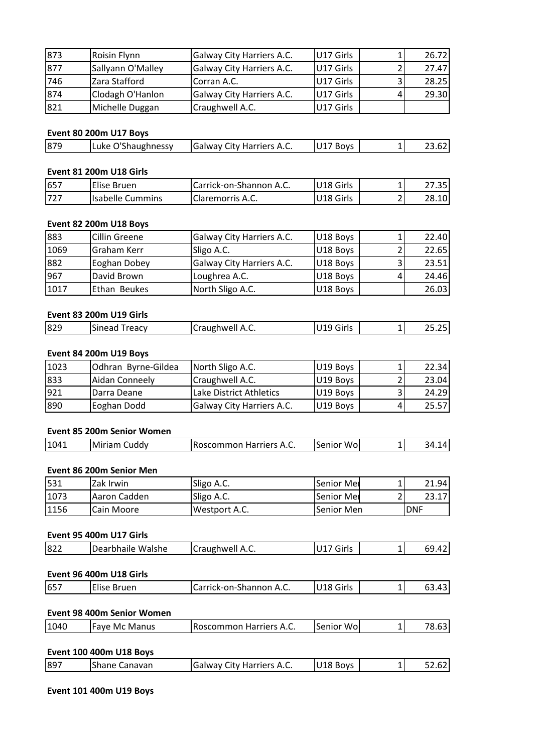| 873 | Roisin Flynn           | Galway City Harriers A.C. | U17 Girls |   | 26.72 |
|-----|------------------------|---------------------------|-----------|---|-------|
| 877 | Sallyann O'Malley      | Galway City Harriers A.C. | U17 Girls | 2 | 27.47 |
| 746 | Zara Stafford          | Corran A.C.               | U17 Girls | 3 | 28.25 |
| 874 | Clodagh O'Hanlon       | Galway City Harriers A.C. | U17 Girls | 4 | 29.30 |
| 821 | Michelle Duggan        | Craughwell A.C.           | U17 Girls |   |       |
|     |                        |                           |           |   |       |
|     | Event 80 200m U17 Boys |                           |           |   |       |
| 879 | Luke O'Shaughnessy     | Galway City Harriers A.C. | U17 Boys  | 1 | 23.62 |

| 1821 | Michelle Duggan         | Craughwell A.C.           | <b>U17 Girls</b> |        |
|------|-------------------------|---------------------------|------------------|--------|
|      | Event 80 200m U17 Boys  |                           |                  |        |
| 879  | Luke O'Shaughnessy      | Galway City Harriers A.C. | U17 Boys         | 23.62  |
|      | Event 81 200m U18 Girls |                           |                  |        |
| 657  | lElise Bruen            | Carrick-on-Shannon A.C.   | IU18 Girls       | 27.35I |

# Event 81 200m U18 Girls

|      | Event 80 200m U17 Boys        |                           |           |       |
|------|-------------------------------|---------------------------|-----------|-------|
| 879  | Luke O'Shaughnessy            | Galway City Harriers A.C. | U17 Boys  | 23.62 |
|      | Event 81 200m U18 Girls       |                           |           |       |
| 657  | Elise Bruen                   | Carrick-on-Shannon A.C.   | U18 Girls | 27.35 |
| 727  | <b>Isabelle Cummins</b>       | <b>Claremorris A.C.</b>   | U18 Girls | 28.10 |
|      | <b>Event 82 200m U18 Boys</b> |                           |           |       |
| 883  | Cillin Greene                 | Galway City Harriers A.C. | U18 Boys  | 22.40 |
| 1069 | Graham Kerr                   | Sligo A.C.                | U18 Boys  | 22.65 |

| 657  | Elise Bruen                   | Carrick-on-Shannon A.C.   | U18 Girls |   | 27.351 |
|------|-------------------------------|---------------------------|-----------|---|--------|
| 727  | <b>Isabelle Cummins</b>       | Claremorris A.C.          | U18 Girls |   | 28.10  |
|      |                               |                           |           |   |        |
|      | <b>Event 82 200m U18 Boys</b> |                           |           |   |        |
| 883  | <b>Cillin Greene</b>          | Galway City Harriers A.C. | U18 Boys  |   | 22.40  |
| 1069 | Graham Kerr                   | Sligo A.C.                | U18 Boys  |   | 22.65  |
| 882  | Eoghan Dobey                  | Galway City Harriers A.C. | U18 Boys  | 3 | 23.51  |
| 967  | David Brown                   | Loughrea A.C.             | U18 Boys  | 4 | 24.46  |
| 1017 | Ethan Beukes                  | North Sligo A.C.          | U18 Boys  |   | 26.03  |
|      |                               |                           |           |   |        |
|      | Event 83 200m U19 Girls       |                           |           |   |        |
| 829  | Sinead Treacy                 | Craughwell A.C.           | U19 Girls |   | 25.25  |

# **Event 83 200m U19 Girls**

| 11017 | <b>I</b> Ethan Beukes   | North Sligo A.C.   | U18 Boys  | 26.03  |
|-------|-------------------------|--------------------|-----------|--------|
|       | Event 83 200m U19 Girls |                    |           |        |
| 829   | <b>Sinead Treacy</b>    | Craughwell A.C.    | U19 Girls | 25.25  |
|       | Event 84 200m U19 Boys  |                    |           |        |
| 1023  | IOdhran Bvrne-Gildea    | l North Sligo A.C. | U19 Boys  | 22.341 |

# **Event**

| 829  | <b>Sinead Treacy</b>       | Craughwell A.C.           | U19 Girls |   | 25.25 |
|------|----------------------------|---------------------------|-----------|---|-------|
|      |                            |                           |           |   |       |
|      | Event 84 200m U19 Boys     |                           |           |   |       |
| 1023 | Odhran Byrne-Gildea        | North Sligo A.C.          | U19 Boys  |   | 22.34 |
| 833  | Aidan Conneely             | Craughwell A.C.           | U19 Boys  |   | 23.04 |
| 921  | Darra Deane                | Lake District Athletics   | U19 Boys  | 3 | 24.29 |
| 890  | Eoghan Dodd                | Galway City Harriers A.C. | U19 Boys  | 4 | 25.57 |
|      |                            |                           |           |   |       |
|      | Event 85 200m Senior Women |                           |           |   |       |
| 1041 | Miriam Cuddy               | Roscommon Harriers A.C.   | Senior Wo |   | 34.14 |

# Event 85 200m Senior Women

| 1890 | Eoghan Dodd                | <b>Galway City Harriers A.C.</b> | U19 Boys    | 25.571 |
|------|----------------------------|----------------------------------|-------------|--------|
|      | Event 85 200m Senior Women |                                  |             |        |
| 1041 | Miriam Cuddy               | <b>Roscommon Harriers A.C.</b>   | Senior Wo   | 34.14  |
|      |                            |                                  |             |        |
|      | Event 86 200m Senior Men   |                                  |             |        |
| 531  | <b>Zak Irwin</b>           | ISligo A.C.                      | lSenior Mel | 21.94  |

# <u>Eve</u>

| 1041 | Miriam Cuddy             | Roscommon Harriers A.C. | Senior Wo  | 34.14      |
|------|--------------------------|-------------------------|------------|------------|
|      | Event 86 200m Senior Men |                         |            |            |
| 531  | Zak Irwin                | Sligo A.C.              | Senior Mer | 21.94      |
| 1073 | Aaron Cadden             | Sligo A.C.              | Senior Mer | 23.17      |
| 1156 | Cain Moore               | Westport A.C.           | Senior Men | <b>DNF</b> |
|      | Event 95 400m U17 Girls  |                         |            |            |
| 822  | Dearbhaile Walshe        | Craughwell A.C.         | U17 Girls  | 69.42      |

# **Event 95 400m U17 Girls**

| 1156 | <b>Cain Moore</b>       | Westport A.C.   | Senior Men | IDNF  |
|------|-------------------------|-----------------|------------|-------|
|      |                         |                 |            |       |
|      | Event 95 400m U17 Girls |                 |            |       |
| 822  | Dearbhaile Walshe       | Craughwell A.C. | U17 Girls  | 69.42 |
|      |                         |                 |            |       |
|      |                         |                 |            |       |
|      | Event 96 400m U18 Girls |                 |            |       |

# **Event 96 400m U18 Girls**

| 822 | Dearbhaile Walshe          | Craughwell A.C.         | U17 Girls | 69.42 |
|-----|----------------------------|-------------------------|-----------|-------|
|     | Event 96 400m U18 Girls    |                         |           |       |
|     |                            |                         |           |       |
| 657 | Elise Bruen                | Carrick-on-Shannon A.C. | U18 Girls |       |
|     | Event 98 400m Senior Women |                         |           | 63.43 |

# **Event**

| 1657 | Elise Bruen                       | Carrick-on-Shannon A.C.           | U18 Girls | 63.43  |
|------|-----------------------------------|-----------------------------------|-----------|--------|
|      | <b>Event 98 400m Senior Women</b> |                                   |           |        |
| 1040 | <b>Faye Mc Manus</b>              | <b>Roscommon Harriers A.C.</b>    | Senior Wo | 78.63  |
|      | <b>Event 100 400m U18 Boys</b>    |                                   |           |        |
| 897  | IShane Canavan                    | <b>IGalway City Harriers A.C.</b> | U18 Boys  | 52.621 |

| <b>Event 100 400m U18 Boys</b> |                                |                                   |          |  |       |  |  |  |
|--------------------------------|--------------------------------|-----------------------------------|----------|--|-------|--|--|--|
| 1897                           | IShane Canavan                 | <b>IGalway City Harriers A.C.</b> | U18 Boys |  | 52.62 |  |  |  |
|                                |                                |                                   |          |  |       |  |  |  |
|                                | <b>Event 101 400m U19 Boys</b> |                                   |          |  |       |  |  |  |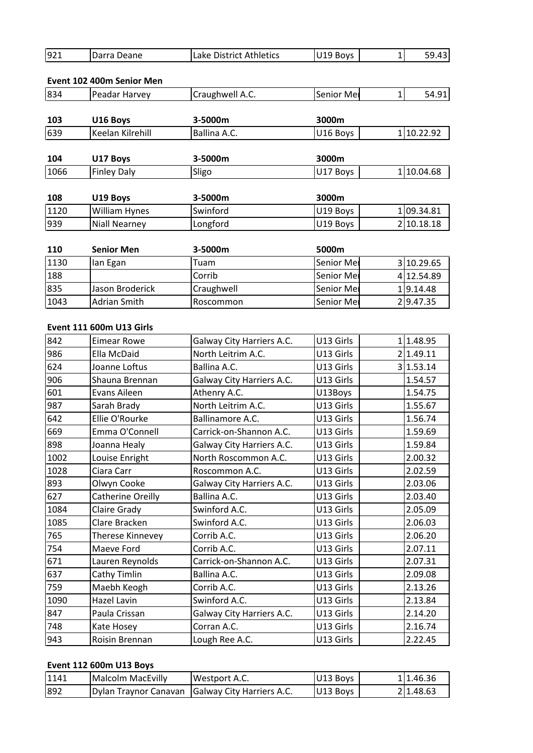| 921 | Darra Deane | Lake District Athletics | U19 Boys | 59.43 |  |
|-----|-------------|-------------------------|----------|-------|--|

| 921  | Darra Deane               | Lake District Athletics | U19 Boys          | 59.43<br>$\mathbf{1}$ |
|------|---------------------------|-------------------------|-------------------|-----------------------|
|      | Event 102 400m Senior Men |                         |                   |                       |
| 834  | Peadar Harvey             | Craughwell A.C.         | Senior Mer        | 54.91<br>1            |
| 103  | U16 Boys                  | 3-5000m                 | 3000m             |                       |
| 639  | Keelan Kilrehill          | Ballina A.C.            | U16 Boys          | 110.22.92             |
| 104  | U17 Boys                  | 3-5000m                 | 3000m             |                       |
| 1066 | <b>Finley Daly</b>        | Sligo                   | U17 Boys          | 110.04.68             |
| 108  | U19 Boys                  | 3-5000m                 | 3000m             |                       |
| 1120 | William Hynes             | Swinford                | U19 Boys          | 109.34.81             |
| 939  | <b>Niall Nearney</b>      | Longford                | U19 Boys          | 2 10.18.18            |
| 110  | <b>Senior Men</b>         | 3-5000m                 | 5000m             |                       |
| 1130 | lan Egan                  | Tuam                    | Senior Mer        | 3<br>10.29.65         |
| 188  |                           | Corrib                  | <b>Senior Mer</b> | 4 12.54.89            |

| 1120 | William Hynes            | Swinford                  | U19 Boys          | 1 09.34.81 |
|------|--------------------------|---------------------------|-------------------|------------|
| 939  | <b>Niall Nearney</b>     | Longford                  | U19 Boys          | 210.18.18  |
|      |                          |                           |                   |            |
| 110  | <b>Senior Men</b>        | 3-5000m                   | 5000m             |            |
| 1130 | lan Egan                 | Tuam                      | Senior Mer        | 3 10.29.65 |
| 188  |                          | Corrib                    | <b>Senior Mer</b> | 4 12.54.89 |
| 835  | Jason Broderick          | Craughwell                | Senior Mer        | 19.14.48   |
| 1043 | <b>Adrian Smith</b>      | Roscommon                 | <b>Senior Mer</b> | 29.47.35   |
|      |                          |                           |                   |            |
|      | Event 111 600m U13 Girls |                           |                   |            |
| 842  | <b>Eimear Rowe</b>       | Galway City Harriers A.C. | U13 Girls         | 1.48.95    |
| 986  | Ella McDaid              | North Leitrim A.C.        | U13 Girls         | 21.49.11   |

# Event 111 600m U13 Girls

| 835  | Jason Broderick                 | Craughwell                | Senior Mer | 19.14.48  |
|------|---------------------------------|---------------------------|------------|-----------|
| 1043 | <b>Adrian Smith</b>             | Roscommon                 | Senior Mei | 29.47.35  |
|      |                                 |                           |            |           |
|      | <b>Event 111 600m U13 Girls</b> |                           |            |           |
| 842  | <b>Eimear Rowe</b>              | Galway City Harriers A.C. | U13 Girls  | 11.48.95  |
| 986  | Ella McDaid                     | North Leitrim A.C.        | U13 Girls  | 2 1.49.11 |
| 624  | Joanne Loftus                   | Ballina A.C.              | U13 Girls  | 3 1.53.14 |
| 906  | Shauna Brennan                  | Galway City Harriers A.C. | U13 Girls  | 1.54.57   |
| 601  | Evans Aileen                    | Athenry A.C.              | U13Boys    | 1.54.75   |
| 987  | Sarah Brady                     | North Leitrim A.C.        | U13 Girls  | 1.55.67   |
| 642  | Ellie O'Rourke                  | Ballinamore A.C.          | U13 Girls  | 1.56.74   |
| 669  | Emma O'Connell                  | Carrick-on-Shannon A.C.   | U13 Girls  | 1.59.69   |
| 898  | Joanna Healy                    | Galway City Harriers A.C. | U13 Girls  | 1.59.84   |
| 1002 | Louise Enright                  | North Roscommon A.C.      | U13 Girls  | 2.00.32   |
| 1028 | Ciara Carr                      | Roscommon A.C.            | U13 Girls  | 2.02.59   |
| 893  | Olwyn Cooke                     | Galway City Harriers A.C. | U13 Girls  | 2.03.06   |
| 627  | Catherine Oreilly               | Ballina A.C.              | U13 Girls  | 2.03.40   |
| 1084 | Claire Grady                    | Swinford A.C.             | U13 Girls  | 2.05.09   |
| 1085 | Clare Bracken                   | Swinford A.C.             | U13 Girls  | 2.06.03   |
| 765  | Therese Kinnevey                | Corrib A.C.               | U13 Girls  | 2.06.20   |
| 754  | Maeve Ford                      | Corrib A.C.               | U13 Girls  | 2.07.11   |
| 671  | Lauren Reynolds                 | Carrick-on-Shannon A.C.   | U13 Girls  | 2.07.31   |
| 637  | Cathy Timlin                    | Ballina A.C.              | U13 Girls  | 2.09.08   |
| 759  | Maebh Keogh                     | Corrib A.C.               | U13 Girls  | 2.13.26   |
| 1090 | Hazel Lavin                     | Swinford A.C.             | U13 Girls  | 2.13.84   |
| 847  | Paula Crissan                   | Galway City Harriers A.C. | U13 Girls  | 2.14.20   |
| 748  | Kate Hosey                      | Corran A.C.               | U13 Girls  | 2.16.74   |
| 943  | Roisin Brennan                  | Lough Ree A.C.            | U13 Girls  | 2.22.45   |
|      |                                 |                           |            |           |
|      | Event 112 600m U13 Boys         |                           |            |           |
| 1141 | <b>Malcolm MacEvilly</b>        | Westport A.C.             | U13 Boys   | 11.46.36  |
| 892  | Dylan Traynor Canavan           | Galway City Harriers A.C. | U13 Boys   | 2 1.48.63 |

| 1141 | Malcolm MacEvilly | Westport A.C.                                             | U13 Boys        | 11.46.36 |
|------|-------------------|-----------------------------------------------------------|-----------------|----------|
| 1892 |                   | <b>IDylan Traynor Canavan   Galway City Harriers A.C.</b> | <b>U13 Bovs</b> | 21.48.63 |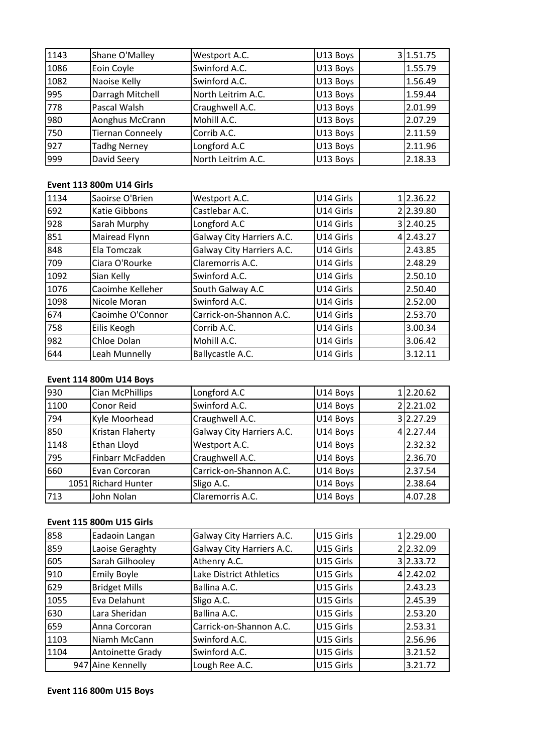| 1143 | Shane O'Malley                  | Westport A.C.      | U13 Boys  | 3 1.51.75 |
|------|---------------------------------|--------------------|-----------|-----------|
| 1086 | Eoin Coyle                      | Swinford A.C.      | U13 Boys  | 1.55.79   |
| 1082 | Naoise Kelly                    | Swinford A.C.      | U13 Boys  | 1.56.49   |
| 995  | Darragh Mitchell                | North Leitrim A.C. | U13 Boys  | 1.59.44   |
| 778  | Pascal Walsh                    | Craughwell A.C.    | U13 Boys  | 2.01.99   |
| 980  | Aonghus McCrann                 | Mohill A.C.        | U13 Boys  | 2.07.29   |
| 750  | <b>Tiernan Conneely</b>         | Corrib A.C.        | U13 Boys  | 2.11.59   |
| 927  | <b>Tadhg Nerney</b>             | Longford A.C       | U13 Boys  | 2.11.96   |
| 999  | David Seery                     | North Leitrim A.C. | U13 Boys  | 2.18.33   |
|      |                                 |                    |           |           |
|      | <b>Event 113 800m U14 Girls</b> |                    |           |           |
| 1134 | Saoirse O'Brien                 | Westport A.C.      | U14 Girls | 12.36.22  |
| 692  | Katie Gibbons                   | Castlebar A.C.     | U14 Girls | 22.39.80  |

# Event 113 800m U14 Girls

| 927  | Tadhg Nerney                    | Longford A.C              | U13 Boys  | 2.11.96   |
|------|---------------------------------|---------------------------|-----------|-----------|
| 999  | David Seery                     | North Leitrim A.C.        | U13 Boys  | 2.18.33   |
|      |                                 |                           |           |           |
|      | <b>Event 113 800m U14 Girls</b> |                           |           |           |
| 1134 | Saoirse O'Brien                 | Westport A.C.             | U14 Girls | 12.36.22  |
| 692  | Katie Gibbons                   | Castlebar A.C.            | U14 Girls | 22.39.80  |
| 928  | Sarah Murphy                    | Longford A.C              | U14 Girls | 3 2.40.25 |
| 851  | Mairead Flynn                   | Galway City Harriers A.C. | U14 Girls | 4 2.43.27 |
| 848  | Ela Tomczak                     | Galway City Harriers A.C. | U14 Girls | 2.43.85   |
| 709  | Ciara O'Rourke                  | Claremorris A.C.          | U14 Girls | 2.48.29   |
| 1092 | Sian Kelly                      | Swinford A.C.             | U14 Girls | 2.50.10   |
| 1076 | Caoimhe Kelleher                | South Galway A.C          | U14 Girls | 2.50.40   |
| 1098 | Nicole Moran                    | Swinford A.C.             | U14 Girls | 2.52.00   |
| 674  | Caoimhe O'Connor                | Carrick-on-Shannon A.C.   | U14 Girls | 2.53.70   |
| 758  | Eilis Keogh                     | Corrib A.C.               | U14 Girls | 3.00.34   |
| 982  | Chloe Dolan                     | Mohill A.C.               | U14 Girls | 3.06.42   |
| 644  | Leah Munnelly                   | Ballycastle A.C.          | U14 Girls | 3.12.11   |
|      |                                 |                           |           |           |
|      | <b>Event 114 800m U14 Boys</b>  |                           |           |           |
| 930  | Cian McPhillips                 | Longford A.C              | U14 Boys  | 12.20.62  |
| 1100 | Conor Reid                      | Swinford A.C.             | U14 Bovs  | 22.21.02  |

# Event 114 800m U14 Boys

| 982  | Chloe Dolan                     | Mohill A.C.               | U14 Girls | 3.06.42   |
|------|---------------------------------|---------------------------|-----------|-----------|
| 644  | Leah Munnelly                   | Ballycastle A.C.          | U14 Girls | 3.12.11   |
|      |                                 |                           |           |           |
|      | <b>Event 114 800m U14 Boys</b>  |                           |           |           |
| 930  | Cian McPhillips                 | Longford A.C              | U14 Boys  | 12.20.62  |
| 1100 | Conor Reid                      | Swinford A.C.             | U14 Boys  | 22.21.02  |
| 794  | Kyle Moorhead                   | Craughwell A.C.           | U14 Boys  | 3 2.27.29 |
| 850  | Kristan Flaherty                | Galway City Harriers A.C. | U14 Boys  | 4 2.27.44 |
| 1148 | Ethan Lloyd                     | Westport A.C.             | U14 Boys  | 2.32.32   |
| 795  | Finbarr McFadden                | Craughwell A.C.           | U14 Boys  | 2.36.70   |
| 660  | Evan Corcoran                   | Carrick-on-Shannon A.C.   | U14 Boys  | 2.37.54   |
|      | 1051 Richard Hunter             | Sligo A.C.                | U14 Boys  | 2.38.64   |
| 713  | John Nolan                      | Claremorris A.C.          | U14 Boys  | 4.07.28   |
|      |                                 |                           |           |           |
|      | <b>Event 115 800m U15 Girls</b> |                           |           |           |
| 858  | Eadaoin Langan                  | Galway City Harriers A.C. | U15 Girls | 2.29.00   |
| 859  | Laoise Geraghty                 | Galway City Harriers A.C. | U15 Girls | 22.32.09  |

# Event 115 800m U15 Girls

|      | 1051 Richard Hunter             | Sligo A.C.                | U14 Boys  | 2.38.64   |
|------|---------------------------------|---------------------------|-----------|-----------|
| 713  | John Nolan                      | Claremorris A.C.          | U14 Boys  | 4.07.28   |
|      |                                 |                           |           |           |
|      | <b>Event 115 800m U15 Girls</b> |                           |           |           |
| 858  | Eadaoin Langan                  | Galway City Harriers A.C. | U15 Girls | 12.29.00  |
| 859  | Laoise Geraghty                 | Galway City Harriers A.C. | U15 Girls | 22.32.09  |
| 605  | Sarah Gilhooley                 | Athenry A.C.              | U15 Girls | 3 2.33.72 |
| 910  | <b>Emily Boyle</b>              | Lake District Athletics   | U15 Girls | 4 2.42.02 |
| 629  | <b>Bridget Mills</b>            | Ballina A.C.              | U15 Girls | 2.43.23   |
| 1055 | Eva Delahunt                    | Sligo A.C.                | U15 Girls | 2.45.39   |
| 630  | Lara Sheridan                   | Ballina A.C.              | U15 Girls | 2.53.20   |
| 659  | Anna Corcoran                   | Carrick-on-Shannon A.C.   | U15 Girls | 2.53.31   |
| 1103 | Niamh McCann                    | Swinford A.C.             | U15 Girls | 2.56.96   |
| 1104 | <b>Antoinette Grady</b>         | Swinford A.C.             | U15 Girls | 3.21.52   |
|      | 947 Aine Kennelly               | Lough Ree A.C.            | U15 Girls | 3.21.72   |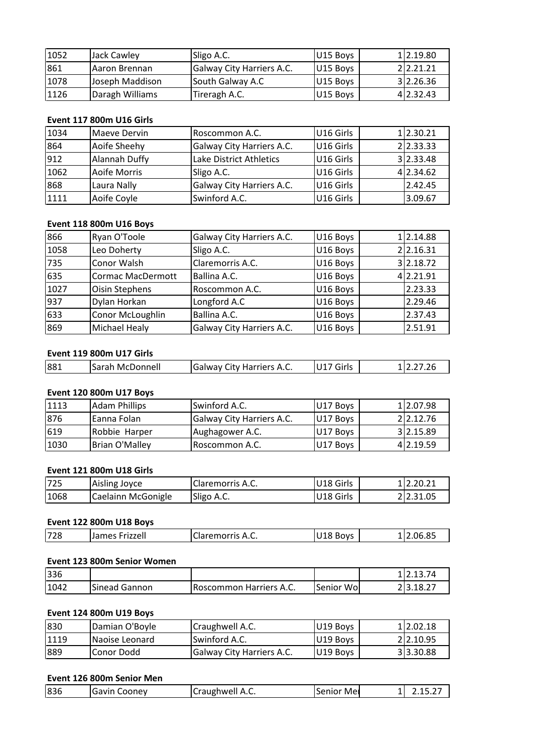| 1052 | Jack Cawley                     | Sligo A.C.                | U15 Boys  | 12.19.80  |
|------|---------------------------------|---------------------------|-----------|-----------|
| 861  | Aaron Brennan                   | Galway City Harriers A.C. | U15 Boys  | 22.21.21  |
| 1078 | Joseph Maddison                 | South Galway A.C          | U15 Boys  | 3 2.26.36 |
| 1126 | Daragh Williams                 | Tireragh A.C.             | U15 Boys  | 4 2.32.43 |
|      |                                 |                           |           |           |
|      | <b>Event 117 800m U16 Girls</b> |                           |           |           |
| 1034 | Maeve Dervin                    | Roscommon A.C.            | U16 Girls | 12.30.21  |
| 864  | Aoife Sheehv                    | Galway City Harriers A.C. | U16 Girls | 22.33.33  |

# Event 117 800m U16 Girls

| 1078 | Joseph Maddison                 | South Galway A.C                 | U15 Boys             | 312.26.36 |
|------|---------------------------------|----------------------------------|----------------------|-----------|
| 1126 | Daragh Williams                 | Tireragh A.C.                    | U15 Boys             | 4 2.32.43 |
|      |                                 |                                  |                      |           |
|      | <b>Event 117 800m U16 Girls</b> |                                  |                      |           |
| 1034 | Maeve Dervin                    | Roscommon A.C.                   | U16 Girls            | 12.30.21  |
| 864  | Aoife Sheehy                    | Galway City Harriers A.C.        | U16 Girls            | 22.33.33  |
| 912  | Alannah Duffy                   | Lake District Athletics          | U16 Girls            | 3 2.33.48 |
| 1062 | Aoife Morris                    | Sligo A.C.                       | U16 Girls            | 4 2.34.62 |
| 868  | Laura Nally                     | Galway City Harriers A.C.        | U16 Girls            | 2.42.45   |
| 1111 | Aoife Coyle                     | Swinford A.C.                    | U16 Girls            | 3.09.67   |
|      |                                 |                                  |                      |           |
|      | <b>Event 118 800m U16 Boys</b>  |                                  |                      |           |
| 866  | Ryan O'Toole                    | <b>Galway City Harriers A.C.</b> | U16 Boys             | 1 2.14.88 |
| 1058 | Leo Dohertv                     | Sligo A.C.                       | U <sub>16</sub> Boys | 22.16.31  |

# Event 118 800m U16 Boys

| 868  | Laura Nally                     | Galway City Harriers A.C. | U16 Girls | 2.42.45   |
|------|---------------------------------|---------------------------|-----------|-----------|
| 1111 | Aoife Coyle                     | Swinford A.C.             | U16 Girls | 3.09.67   |
|      |                                 |                           |           |           |
|      | <b>Event 118 800m U16 Boys</b>  |                           |           |           |
| 866  | Ryan O'Toole                    | Galway City Harriers A.C. | U16 Boys  | 1 2.14.88 |
| 1058 | Leo Doherty                     | Sligo A.C.                | U16 Boys  | 22.16.31  |
| 735  | Conor Walsh                     | Claremorris A.C.          | U16 Boys  | 3 2.18.72 |
| 635  | Cormac MacDermott               | Ballina A.C.              | U16 Boys  | 4 2.21.91 |
| 1027 | Oisin Stephens                  | Roscommon A.C.            | U16 Boys  | 2.23.33   |
| 937  | Dylan Horkan                    | Longford A.C              | U16 Boys  | 2.29.46   |
| 633  | Conor McLoughlin                | Ballina A.C.              | U16 Boys  | 2.37.43   |
| 869  | Michael Healy                   | Galway City Harriers A.C. | U16 Boys  | 2.51.91   |
|      |                                 |                           |           |           |
|      | <b>Event 119 800m U17 Girls</b> |                           |           |           |
| 881  | Sarah McDonnell                 | Galway City Harriers A.C. | U17 Girls | 12.27.26  |

# Event 119 800m U17 Girls

| 869  | Michael Healy                   | <b>Galway City Harriers A.C.</b> | U16 Bovs  | 12.51.91  |
|------|---------------------------------|----------------------------------|-----------|-----------|
|      | <b>Event 119 800m U17 Girls</b> |                                  |           |           |
| 881  | Sarah McDonnell                 | Galway City Harriers A.C.        | U17 Girls | 12.27.26  |
|      |                                 |                                  |           |           |
|      | <b>Event 120 800m U17 Boys</b>  |                                  |           |           |
| 1113 | Adam Phillips                   | Swinford A.C.                    | IU17 Bovs | 112.07.98 |

# **Event 120 800m U17 Boys**

| 881  | Sarah McDonnell                 | Galway City Harriers A.C. | U17 Girls | 12.27.26  |
|------|---------------------------------|---------------------------|-----------|-----------|
|      |                                 |                           |           |           |
|      | Event 120 800m U17 Boys         |                           |           |           |
| 1113 | <b>Adam Phillips</b>            | Swinford A.C.             | U17 Boys  | 12.07.98  |
| 876  | Eanna Folan                     | Galway City Harriers A.C. | U17 Boys  | 22.12.76  |
| 619  | Robbie Harper                   | Aughagower A.C.           | U17 Boys  | 3 2.15.89 |
| 1030 | Brian O'Malley                  | Roscommon A.C.            | U17 Boys  | 4 2.19.59 |
|      |                                 |                           |           |           |
|      | <b>Event 121 800m U18 Girls</b> |                           |           |           |
| 725  | Aisling Joyce                   | Claremorris A.C.          | U18 Girls | 2.20.21   |
| 1068 | Caelainn McGonigle              | Sligo A.C.                | U18 Girls | 2 2.31.05 |

| 1030 | Brian O'Malley                  | Roscommon A.C.   | U17 Boys  | 4 2.19.59 |
|------|---------------------------------|------------------|-----------|-----------|
|      |                                 |                  |           |           |
|      | <b>Event 121 800m U18 Girls</b> |                  |           |           |
| 725  | Aisling Joyce                   | Claremorris A.C. | U18 Girls | 1 2.20.21 |
| 1068 | Caelainn McGonigle              | Sligo A.C.       | U18 Girls | 22.31.05  |
|      |                                 |                  |           |           |
|      | <b>Event 122 800m U18 Boys</b>  |                  |           |           |
| 728  | James Frizzell                  | Claremorris A.C. | U18 Boys  | 12.06.85  |
|      |                                 |                  |           |           |
|      | Event 123 800m Senior Women     |                  |           |           |

| 1068 | Caelainn McGonigle             | Sligo A.C.       | IU18 Girls | 22.31.05  |
|------|--------------------------------|------------------|------------|-----------|
|      | <b>Event 122 800m U18 Boys</b> |                  |            |           |
| 728  | James Frizzell                 | Claremorris A.C. | U18 Boys   | 12.06.85  |
|      | Event 123 800m Senior Women    |                  |            |           |
| 336  |                                |                  |            | 112.13.74 |

# <u>Even</u>

| <b>Event 122 800m U18 Boys</b> |                                |                         |           |           |  |
|--------------------------------|--------------------------------|-------------------------|-----------|-----------|--|
| 728                            | James Frizzell                 | Claremorris A.C.        | U18 Boys  | 12.06.85  |  |
|                                | Event 123 800m Senior Women    |                         |           |           |  |
| 336                            |                                |                         |           | 12.13.74  |  |
| 1042                           | Sinead Gannon                  | Roscommon Harriers A.C. | Senior Wo | 23.18.27  |  |
|                                | <b>Event 124 800m U19 Boys</b> |                         |           |           |  |
| 830                            | Damian O'Boyle                 | Craughwell A.C.         | U19 Boys  | 2.02.18   |  |
| 1119                           | Naoise Leonard                 | Swinford A.C.           | U19 Boys  | 212.10.95 |  |

# Event 124 800m U19 Boys

| 1336 |                                |                           |            | 112.13.74 |
|------|--------------------------------|---------------------------|------------|-----------|
| 1042 | Sinead Gannon                  | Roscommon Harriers A.C.   | Senior Wo  | 23.18.27  |
|      |                                |                           |            |           |
|      | <b>Event 124 800m U19 Boys</b> |                           |            |           |
| 830  | Damian O'Boyle                 | Craughwell A.C.           | U19 Boys   | 1 2.02.18 |
| 1119 | Naoise Leonard                 | Swinford A.C.             | U19 Boys   | 2 2.10.95 |
| 889  | <b>Conor Dodd</b>              | Galway City Harriers A.C. | U19 Boys   | 33.30.88  |
|      |                                |                           |            |           |
|      | Event 126 800m Senior Men      |                           |            |           |
| 836  | lGavin Coonev                  | Craughwell A.C.           | Senior Mei | 2.15.27   |

| ما ہے ،<br>$\Lambda$<br>-----<br>$-$<br>ا مس<br>$-111$<br>$\Omega$<br>.<br>. .<br>- | - | 836 | onev<br>uavir. ' | ┑. ៶. | Mer<br> |  |  |
|-------------------------------------------------------------------------------------|---|-----|------------------|-------|---------|--|--|
|-------------------------------------------------------------------------------------|---|-----|------------------|-------|---------|--|--|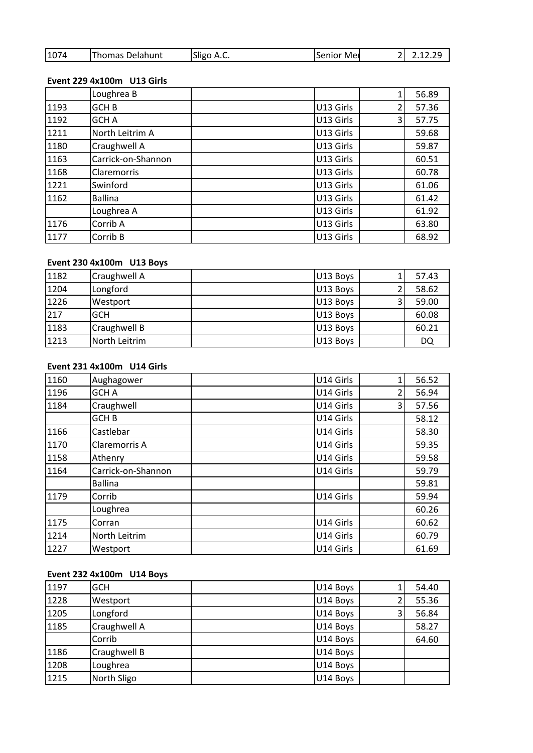| 1074 | Thomas Delahunt            | Sligo A.C. | Senior Mei | 2.12.29 |
|------|----------------------------|------------|------------|---------|
|      |                            |            |            |         |
|      | Event 229 4x100m U13 Girls |            |            |         |
|      | Loughrea B                 |            |            | 56.89   |

# Event 229 4x100m U13 Girls

| 1074 | Thomas Delahunt            | Sligo A.C. | Senior Mer | $\overline{2}$           | 2.12.29 |
|------|----------------------------|------------|------------|--------------------------|---------|
|      | Event 229 4x100m U13 Girls |            |            |                          |         |
|      | Loughrea B                 |            |            | 1                        | 56.89   |
| 1193 | GCH <sub>B</sub>           |            | U13 Girls  | 2                        | 57.36   |
| 1192 | <b>GCH A</b>               |            | U13 Girls  | 3                        | 57.75   |
| 1211 | North Leitrim A            |            | U13 Girls  |                          | 59.68   |
| 1180 | Craughwell A               |            | U13 Girls  |                          | 59.87   |
| 1163 | Carrick-on-Shannon         |            | U13 Girls  |                          | 60.51   |
| 1168 | <b>Claremorris</b>         |            | U13 Girls  |                          | 60.78   |
| 1221 | Swinford                   |            | U13 Girls  |                          | 61.06   |
| 1162 | <b>Ballina</b>             |            | U13 Girls  |                          | 61.42   |
|      | Loughrea A                 |            | U13 Girls  |                          | 61.92   |
| 1176 | Corrib A                   |            | U13 Girls  |                          | 63.80   |
| 1177 | Corrib B                   |            | U13 Girls  |                          | 68.92   |
|      |                            |            |            |                          |         |
|      | Event 230 4x100m U13 Boys  |            |            |                          |         |
| 1182 | Craughwell A               |            | U13 Boys   |                          | 57.43   |
| 1204 | Longford                   |            | U13 Boys   | $\overline{\mathcal{L}}$ | 58.62   |

# <u>Even</u>

| 1176 | Corrib A                   | U13 Girls |   | 63.80 |
|------|----------------------------|-----------|---|-------|
| 1177 | Corrib B                   | U13 Girls |   | 68.92 |
|      |                            |           |   |       |
|      | Event 230 4x100m U13 Boys  |           |   |       |
| 1182 | Craughwell A               | U13 Boys  |   | 57.43 |
| 1204 | Longford                   | U13 Boys  |   | 58.62 |
| 1226 | Westport                   | U13 Boys  | 3 | 59.00 |
| 217  | <b>GCH</b>                 | U13 Boys  |   | 60.08 |
| 1183 | Craughwell B               | U13 Boys  |   | 60.21 |
| 1213 | North Leitrim              | U13 Boys  |   | DQ    |
|      |                            |           |   |       |
|      | Event 231 4x100m U14 Girls |           |   |       |
| 1160 | Aughagower                 | U14 Girls |   | 56.52 |
| 1196 | <b>GCHA</b>                | U14 Girls |   | 56.94 |

# Event 231 4x100m U14 Girls

| 1183 | Craughwell B               | U13 Boys  |                | 60.21 |
|------|----------------------------|-----------|----------------|-------|
| 1213 | North Leitrim              | U13 Boys  |                | DQ    |
|      |                            |           |                |       |
|      | Event 231 4x100m U14 Girls |           |                |       |
| 1160 | Aughagower                 | U14 Girls | $\mathbf{1}$   | 56.52 |
| 1196 | <b>GCH A</b>               | U14 Girls | 2              | 56.94 |
| 1184 | Craughwell                 | U14 Girls | 3              | 57.56 |
|      | GCH <sub>B</sub>           | U14 Girls |                | 58.12 |
| 1166 | Castlebar                  | U14 Girls |                | 58.30 |
| 1170 | Claremorris A              | U14 Girls |                | 59.35 |
| 1158 | Athenry                    | U14 Girls |                | 59.58 |
| 1164 | Carrick-on-Shannon         | U14 Girls |                | 59.79 |
|      | <b>Ballina</b>             |           |                | 59.81 |
| 1179 | Corrib                     | U14 Girls |                | 59.94 |
|      | Loughrea                   |           |                | 60.26 |
| 1175 | Corran                     | U14 Girls |                | 60.62 |
| 1214 | North Leitrim              | U14 Girls |                | 60.79 |
| 1227 | Westport                   | U14 Girls |                | 61.69 |
|      |                            |           |                |       |
|      | Event 232 4x100m U14 Boys  |           |                |       |
| 1197 | <b>GCH</b>                 | U14 Boys  | 1              | 54.40 |
| 1228 | Westport                   | U14 Bovs  | $\overline{2}$ | 55.36 |

# Event 232 4x100m U14 Boys

| 1214 | North Leitrim             | U14 Girls |   | 60.79 |
|------|---------------------------|-----------|---|-------|
| 1227 | Westport                  | U14 Girls |   | 61.69 |
|      |                           |           |   |       |
|      | Event 232 4x100m U14 Boys |           |   |       |
| 1197 | <b>GCH</b>                | U14 Boys  |   | 54.40 |
| 1228 | Westport                  | U14 Boys  |   | 55.36 |
| 1205 | Longford                  | U14 Boys  | 3 | 56.84 |
| 1185 | <b>Craughwell A</b>       | U14 Boys  |   | 58.27 |
|      | Corrib                    | U14 Boys  |   | 64.60 |
| 1186 | <b>Craughwell B</b>       | U14 Boys  |   |       |
| 1208 | Loughrea                  | U14 Boys  |   |       |
| 1215 | North Sligo               | U14 Boys  |   |       |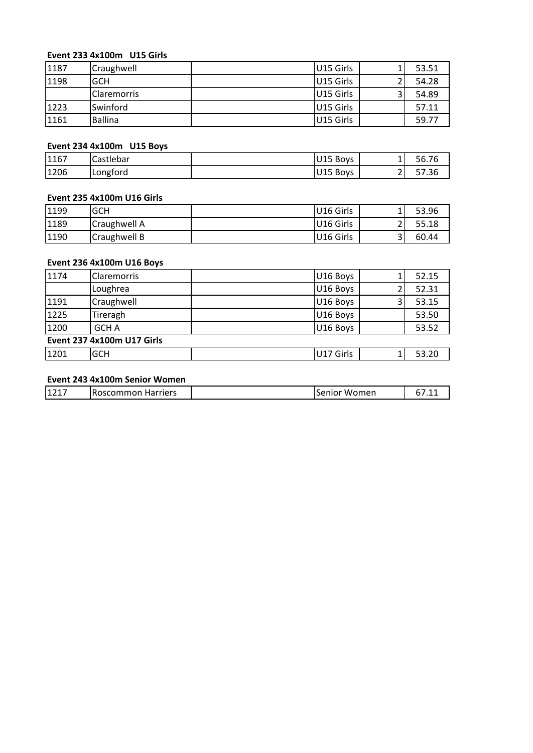# **<sup>233</sup> 4x100m U15 Girls**

|      | Event 233 4x100m U15 Girls |           |                |       |
|------|----------------------------|-----------|----------------|-------|
| 1187 | Craughwell                 | U15 Girls |                | 53.51 |
| 1198 | <b>GCH</b>                 | U15 Girls |                | 54.28 |
|      | Claremorris                | U15 Girls | 3              | 54.89 |
| 1223 | Swinford                   | U15 Girls |                | 57.11 |
| 1161 | <b>Ballina</b>             | U15 Girls |                | 59.77 |
|      |                            |           |                |       |
|      | Event 234 4x100m U15 Boys  |           |                |       |
| 1167 | Castlebar                  | U15 Boys  |                | 56.76 |
| 1206 | Longford                   | U15 Bovs  | $\overline{2}$ | 57.36 |

# <u>Even</u>

|                                              |                                   | U15 Girls             | 59.77 |
|----------------------------------------------|-----------------------------------|-----------------------|-------|
|                                              |                                   |                       |       |
| 1161<br>Ballina<br>Event 234 4x100m U15 Boys |                                   |                       |       |
| 1167                                         | Castlebar                         | U15 Boys              | 56.76 |
| 1206                                         | Longford                          | U15 Boys              | 57.36 |
|                                              |                                   |                       |       |
|                                              | <b>Event 235 4x100m U16 Girls</b> |                       |       |
| 1199                                         | <b>GCH</b>                        | U16 Girls             | 53.96 |
| 1189                                         | Craughwell A                      | U <sub>16</sub> Girls | 55.18 |

# Event 235 4x100m U16 Girls

|                                                                                                                                                                                      |             | U <sub>15</sub> Boys |   | 56.76 |
|--------------------------------------------------------------------------------------------------------------------------------------------------------------------------------------|-------------|----------------------|---|-------|
| 1167<br>Castlebar<br>1206<br>Longford<br><b>Event 235 4x100m U16 Girls</b><br>1199<br><b>GCH</b><br>1189<br>Craughwell A<br>1190<br>Craughwell B<br><b>Event 236 4x100m U16 Boys</b> |             | U15 Boys             |   | 57.36 |
|                                                                                                                                                                                      |             |                      |   |       |
|                                                                                                                                                                                      |             |                      |   |       |
|                                                                                                                                                                                      |             | U16 Girls            |   | 53.96 |
|                                                                                                                                                                                      |             | U16 Girls            |   | 55.18 |
|                                                                                                                                                                                      |             | U16 Girls            | 3 | 60.44 |
|                                                                                                                                                                                      |             |                      |   |       |
|                                                                                                                                                                                      |             |                      |   |       |
| 1174                                                                                                                                                                                 | Claremorris | U16 Boys             |   | 52.15 |
|                                                                                                                                                                                      | Loughrea    | U16 Boys             |   | 52.31 |

# **Event**

| 1189 | Craughwell A                      | U16 Girls    | 2 | 55.18 |
|------|-----------------------------------|--------------|---|-------|
| 1190 | Craughwell B                      | U16 Girls    | 3 | 60.44 |
|      |                                   |              |   |       |
|      | <b>Event 236 4x100m U16 Boys</b>  |              |   |       |
| 1174 | <b>Claremorris</b>                | U16 Boys     |   | 52.15 |
|      | Loughrea                          | U16 Boys     |   | 52.31 |
| 1191 | Craughwell                        | U16 Boys     | 3 | 53.15 |
| 1225 | Tireragh                          | U16 Boys     |   | 53.50 |
| 1200 | <b>GCH A</b>                      | U16 Boys     |   | 53.52 |
|      | <b>Event 237 4x100m U17 Girls</b> |              |   |       |
| 1201 | <b>GCH</b>                        | U17 Girls    |   | 53.20 |
|      |                                   |              |   |       |
|      | Event 243 4x100m Senior Women     |              |   |       |
| 1217 | Roscommon Harriers                | Senior Women |   | 67.11 |

| 1217<br><b>IRoscommon Harriers</b><br>Senior<br>Women |
|-------------------------------------------------------|
|-------------------------------------------------------|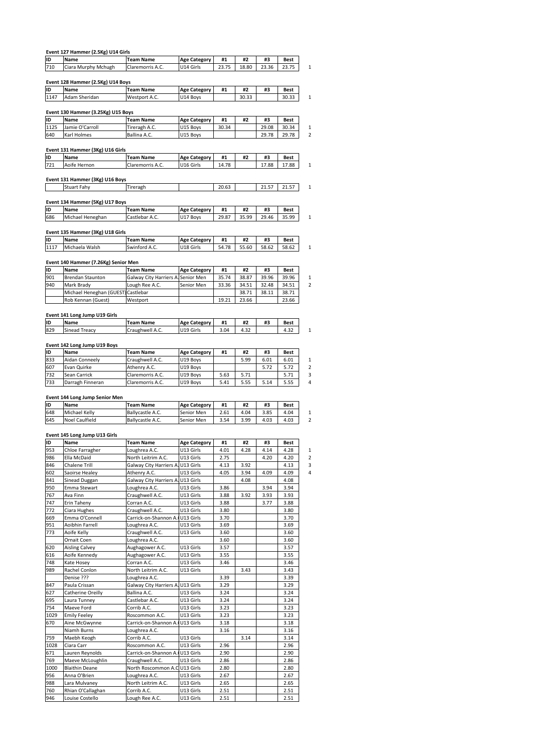|             | Event 127 Hammer (2.5Kg) U14 Girls      |                                                   |                                   |              |              |              |                      |
|-------------|-----------------------------------------|---------------------------------------------------|-----------------------------------|--------------|--------------|--------------|----------------------|
| ID          | Name                                    | <b>Team Name</b>                                  | <b>Age Category</b>               | #1           | #2           | #3           | <b>Best</b>          |
| 710         | Ciara Murphy Mchugh                     | Claremorris A.C.                                  | U14 Girls                         | 23.75        | 18.80        | 23.36        | 23.75                |
|             | Event 128 Hammer (2.5Kg) U14 Boys       |                                                   |                                   |              |              |              |                      |
| ID          | Name                                    | Team Name                                         | <b>Age Category</b>               | #1           | #2           | #3           | Best                 |
| 1147        | Adam Sheridan                           | Westport A.C.                                     | U14 Boys                          |              | 30.33        |              | 30.33                |
|             | Event 130 Hammer (3.25Kg) U15 Boys      |                                                   |                                   |              |              |              |                      |
| ID          | Name                                    | <b>Team Name</b>                                  | <b>Age Category</b>               | #1           | #2           | #3           | Best                 |
| 1125        | Jamie O'Carroll<br>Karl Holmes          | Tireragh A.C.                                     | U15 Boys                          | 30.34        |              | 29.08        | 30.34                |
| 640         |                                         | Ballina A.C.                                      | U15 Boys                          |              |              | 29.78        | 29.78                |
|             | Event 131 Hammer (3Kg) U16 Girls        |                                                   |                                   |              |              |              |                      |
| ID          | Name                                    | <b>Team Name</b>                                  | <b>Age Category</b>               | #1           | #2           | #3           | Best                 |
| 721         | Aoife Hernon                            | Claremorris A.C.                                  | U16 Girls                         | 14.78        |              | 17.88        | 17.88                |
|             | Event 131 Hammer (3Kg) U16 Boys         |                                                   |                                   |              |              |              |                      |
|             | Stuart Fahy                             | Tireragh                                          |                                   | 20.63        |              | 21.57        | 21.57                |
|             |                                         |                                                   |                                   |              |              |              |                      |
| ID          | Event 134 Hammer (5Kg) U17 Boys<br>Name | <b>Team Name</b>                                  | <b>Age Category</b>               | #1           | #2           | #3           | <b>Best</b>          |
| 686         | Michael Heneghan                        | Castlebar A.C.                                    | U17 Boys                          | 29.87        | 35.99        | 29.46        | 35.99                |
|             |                                         |                                                   |                                   |              |              |              |                      |
| ID          | Event 135 Hammer (3Kg) U18 Girls        | <b>Team Name</b>                                  |                                   |              |              |              |                      |
| 1117        | Name<br>Michaela Walsh                  | Swinford A.C.                                     | <b>Age Category</b><br>U18 Girls  | #1<br>54.78  | #2<br>55.60  | #3<br>58.62  | <b>Best</b><br>58.62 |
|             |                                         |                                                   |                                   |              |              |              |                      |
|             | Event 140 Hammer (7.26Kg) Senior Men    |                                                   |                                   |              |              |              |                      |
| ID<br>901   | Name<br><b>Brendan Staunton</b>         | Team Name<br>Galway City Harriers A               | <b>Age Category</b><br>Senior Men | #1<br>35.74  | #2<br>38.87  | #3<br>39.96  | Best<br>39.96        |
| 940         | Mark Brady                              | Lough Ree A.C.                                    | Senior Men                        | 33.36        | 34.51        | 32.48        | 34.51                |
|             | Michael Heneghan (GUEST)                | Castlebar                                         |                                   |              | 38.71        | 38.11        | 38.71                |
|             | Rob Kennan (Guest)                      | Westport                                          |                                   | 19.21        | 23.66        |              | 23.66                |
|             | Event 141 Long Jump U19 Girls           |                                                   |                                   |              |              |              |                      |
| ID          | Name                                    | <b>Team Name</b>                                  | <b>Age Category</b>               | #1           | #2           | #3           | Best                 |
| 829         | Sinead Treacy                           | Craughwell A.C.                                   | U19 Girls                         | 3.04         | 4.32         |              | 4.32                 |
|             |                                         |                                                   |                                   |              |              |              |                      |
| ID          | Event 142 Long Jump U19 Boys<br>Name    | <b>Team Name</b>                                  | <b>Age Category</b>               | #1           | #2           | #3           | Best                 |
| 833         | Aidan Conneely                          | Craughwell A.C.                                   | U19 Boys                          |              | 5.99         | 6.01         | 6.01                 |
| 607         | Evan Quirke                             | Athenry A.C.                                      | U19 Boys                          |              |              | 5.72         | 5.72                 |
| 732<br>733  | Sean Carrick                            | Claremorris A.C.<br>Claremorris A.C.              | U19 Boys                          | 5.63<br>5.41 | 5.71<br>5.55 | 5.14         | 5.71<br>5.55         |
|             | Darragh Finneran                        |                                                   | U19 Boys                          |              |              |              |                      |
|             | Event 144 Long Jump Senior Men          |                                                   |                                   |              |              |              |                      |
| ID          | Name                                    | <b>Team Name</b>                                  | <b>Age Category</b>               | #1           | #2           | #3           | <b>Best</b>          |
| 648<br>645  | Michael Kelly<br>Noel Caulfield         | Ballycastle A.C.<br>Ballycastle A.C.              | Senior Men<br>Senior Men          | 2.61<br>3.54 | 4.04<br>3.99 | 3.85<br>4.03 | 4.04<br>4.03         |
|             |                                         |                                                   |                                   |              |              |              |                      |
|             | Event 145 Long Jump U13 Girls           |                                                   |                                   |              |              |              |                      |
| ID          | Name                                    | <b>Team Name</b>                                  | <b>Age Category</b>               | #1           | #2           | #3           | Best                 |
| 953<br>986  | Chloe Farragher<br>Ella McDaid          | Loughrea A.C.<br>North Leitrim A.C.               | U13 Girls<br>U13 Girls            | 4.01<br>2.75 | 4.28         | 4.14<br>4.20 | 4.28<br>4.20         |
| 846         | Chalene Trill                           | Galway City Harriers A.                           | U13 Girls                         | 4.13         | 3.92         |              | 4.13                 |
| 602         | Saoirse Healey                          | Athenry A.C.                                      | U13 Girls                         | 4.05         | 3.94         | 4.09         | 4.09                 |
| 841         | Sinead Duggan                           | Galway City Harriers A.                           | U13 Girls                         |              | 4.08         |              | 4.08                 |
| 950<br>767  | Emma Stewart<br>Ava Finn                | Loughrea A.C.<br>Craughwell A.C.                  | U13 Girls<br>U13 Girls            | 3.86<br>3.88 | 3.92         | 3.94<br>3.93 | 3.94<br>3.93         |
| 747         | Erin Taheny                             | Corran A.C.                                       | U13 Girls                         | 3.88         |              | 3.77         | 3.88                 |
| 772         | Ciara Hughes                            | Craughwell A.C.                                   | U13 Girls                         | 3.80         |              |              | 3.80                 |
| 669         | Emma O'Connell                          | Carrick-on-Shannon A. U13 Girls                   |                                   | 3.70         |              |              | 3.70                 |
| 951<br>773  | Aoibhin Farrell<br>Aoife Kelly          | Loughrea A.C.<br>Craughwell A.C.                  | U13 Girls<br>U13 Girls            | 3.69<br>3.60 |              |              | 3.69<br>3.60         |
|             | Ornait Coen                             | Loughrea A.C.                                     |                                   | 3.60         |              |              | 3.60                 |
| 620         | <b>Aisling Calvey</b>                   | Aughagower A.C.                                   | U13 Girls                         | 3.57         |              |              | 3.57                 |
| 616         | Aoife Kennedy                           | Aughagower A.C.                                   | U13 Girls                         | 3.55         |              |              | 3.55                 |
| 748<br>989  | Kate Hosey<br>Rachel Conlon             | Corran A.C.<br>North Leitrim A.C.                 | U13 Girls<br>U13 Girls            | 3.46         | 3.43         |              | 3.46<br>3.43         |
|             | Denise ???                              | Loughrea A.C.                                     |                                   | 3.39         |              |              | 3.39                 |
| 847         | Paula Crissan                           | Galway City Harriers A.                           | U13 Girls                         | 3.29         |              |              | 3.29                 |
| 627         | Catherine Oreilly                       | Ballina A.C.                                      | U13 Girls                         | 3.24         |              |              | 3.24                 |
| 695<br>754  | Laura Tunney<br>Maeve Ford              | Castlebar A.C.<br>Corrib A.C.                     | U13 Girls<br>U13 Girls            | 3.24<br>3.23 |              |              | 3.24<br>3.23         |
| 1029        | <b>Emily Feeley</b>                     | Roscommon A.C.                                    | U13 Girls                         | 3.23         |              |              | 3.23                 |
| 670         | Aine McGwynne                           | Carrick-on-Shannon A. U13 Girls                   |                                   | 3.18         |              |              | 3.18                 |
|             | Niamh Burns                             | Loughrea A.C.                                     |                                   | 3.16         |              |              | 3.16                 |
| 759         | Maebh Keogh                             | Corrib A.C.                                       | U13 Girls                         |              | 3.14         |              | 3.14                 |
| 1028<br>671 | Ciara Carr<br>Lauren Reynolds           | Roscommon A.C.<br>Carrick-on-Shannon A. U13 Girls | U13 Girls                         | 2.96<br>2.90 |              |              | 2.96<br>2.90         |
| 769         | Maeve McLoughlin                        | Craughwell A.C.                                   | U13 Girls                         | 2.86         |              |              | 2.86                 |
| 1000        | <b>Blaithin Deane</b>                   | North Roscommon A.C U13 Girls                     |                                   | 2.80         |              |              | 2.80                 |
| 956         | Anna O'Brien                            | Loughrea A.C.                                     | U13 Girls                         | 2.67         |              |              | 2.67                 |
| 988<br>760  | Lara Mulvaney<br>Rhian O'Callaghan      | North Leitrim A.C.<br>Corrib A.C.                 | U13 Girls<br>U13 Girls            | 2.65<br>2.51 |              |              | 2.65<br>2.51         |
| 946         | Louise Costello                         | Lough Ree A.C.                                    | U13 Girls                         | 2.51         |              |              | 2.51                 |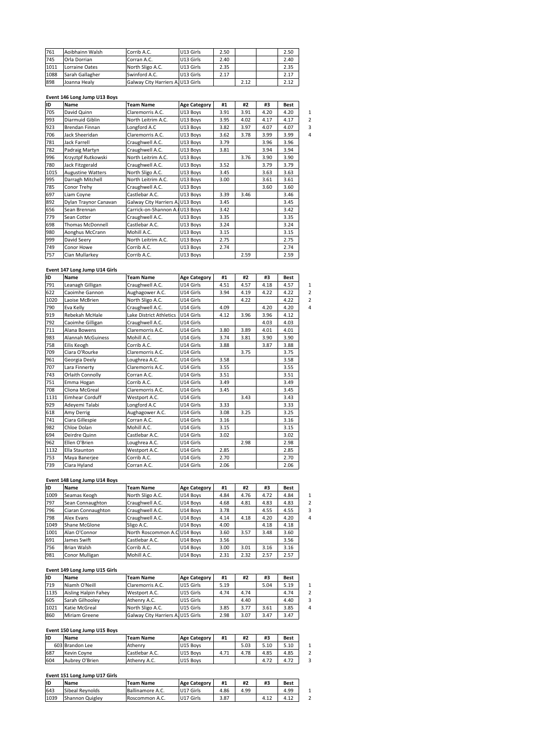|      | Event 146 Long Jump U13 Boys |                                   |           |      |      |      |
|------|------------------------------|-----------------------------------|-----------|------|------|------|
| 898  | Joanna Healy                 | Galway City Harriers A. U13 Girls |           |      | 2.12 | 2.12 |
| 1088 | Sarah Gallagher              | Swinford A.C.                     | U13 Girls | 2.17 |      | 2.17 |
| 1011 | Lorraine Oates               | North Sligo A.C.                  | U13 Girls | 2.35 |      | 2.35 |
| 745  | Orla Dorrian                 | Corran A.C.                       | U13 Girls | 2.40 |      | 2.40 |
| 761  | Aoibhainn Walsh              | Corrib A.C.                       | U13 Girls | 2.50 |      | 2.50 |

# <u>Eve</u>

| 1088 | Saran Gallagher               | Swinford A.C.                     | UI3 GINS            | 2.11 |      |      | 2.17        |
|------|-------------------------------|-----------------------------------|---------------------|------|------|------|-------------|
| 898  | Joanna Healy                  | Galway City Harriers A. U13 Girls |                     |      | 2.12 |      | 2.12        |
|      |                               |                                   |                     |      |      |      |             |
|      | Event 146 Long Jump U13 Boys  |                                   |                     |      |      |      |             |
| ID   | Name                          | <b>Team Name</b>                  | <b>Age Category</b> | #1   | #2   | #3   | <b>Best</b> |
| 705  | David Quinn                   | Claremorris A.C.                  | U13 Boys            | 3.91 | 3.91 | 4.20 | 4.20        |
| 993  | Diarmuid Giblin               | North Leitrim A.C.                | U13 Boys            | 3.95 | 4.02 | 4.17 | 4.17        |
| 923  | Brendan Finnan                | Longford A.C                      | U13 Boys            | 3.82 | 3.97 | 4.07 | 4.07        |
| 706  | Jack Sheeridan                | Claremorris A.C.                  | U13 Boys            | 3.62 | 3.78 | 3.99 | 3.99        |
| 781  | Jack Farrell                  | Craughwell A.C.                   | U13 Boys            | 3.79 |      | 3.96 | 3.96        |
| 782  | Padraig Martyn                | Craughwell A.C.                   | U13 Boys            | 3.81 |      | 3.94 | 3.94        |
| 996  | Krzyztpf Rutkowski            | North Leitrim A.C.                | U13 Boys            |      | 3.76 | 3.90 | 3.90        |
| 780  | Jack Fitzgerald               | Craughwell A.C.                   | U13 Boys            | 3.52 |      | 3.79 | 3.79        |
| 1015 | <b>Augustine Watters</b>      | North Sligo A.C.                  | U13 Boys            | 3.45 |      | 3.63 | 3.63        |
| 995  | Darragh Mitchell              | North Leitrim A.C.                | U13 Boys            | 3.00 |      | 3.61 | 3.61        |
| 785  | Conor Trehy                   | Craughwell A.C.                   | U13 Boys            |      |      | 3.60 | 3.60        |
| 697  | Liam Coyne                    | Castlebar A.C.                    | U13 Boys            | 3.39 | 3.46 |      | 3.46        |
| 892  | Dylan Traynor Canavan         | Galway City Harriers A. U13 Boys  |                     | 3.45 |      |      | 3.45        |
| 656  | Sean Brennan                  | Carrick-on-Shannon A. U13 Boys    |                     | 3.42 |      |      | 3.42        |
| 779  | Sean Cotter                   | Craughwell A.C.                   | U13 Boys            | 3.35 |      |      | 3.35        |
| 698  | Thomas McDonnell              | Castlebar A.C.                    | U13 Boys            | 3.24 |      |      | 3.24        |
| 980  | Aonghus McCrann               | Mohill A.C.                       | U13 Boys            | 3.15 |      |      | 3.15        |
| 999  | David Seery                   | North Leitrim A.C.                | U13 Boys            | 2.75 |      |      | 2.75        |
| 749  | Conor Howe                    | Corrib A.C.                       | U13 Boys            | 2.74 |      |      | 2.74        |
| 757  | Cian Mullarkey                | Corrib A.C.                       | U13 Boys            |      | 2.59 |      | 2.59        |
|      |                               |                                   |                     |      |      |      |             |
|      | Event 147 Long Jump U14 Girls |                                   |                     |      |      |      |             |
| ID   | Name                          | <b>Team Name</b>                  | <b>Age Category</b> | #1   | #2   | #3   | <b>Best</b> |
| 791  | Leanagh Gilligan              | Craughwell A.C.                   | U14 Girls           | 4.51 | 4.57 | 4.18 | 4.57        |

# <u>Eve</u>

| 749  | Conor Howe                    | COITID A.C.             | U13 BOVS            | 2.74 |      |      | 2.74        |
|------|-------------------------------|-------------------------|---------------------|------|------|------|-------------|
| 757  | Cian Mullarkey                | Corrib A.C.             | U13 Boys            |      | 2.59 |      | 2.59        |
|      |                               |                         |                     |      |      |      |             |
|      | Event 147 Long Jump U14 Girls |                         |                     |      |      |      |             |
| ID   | Name                          | <b>Team Name</b>        | <b>Age Category</b> | #1   | #2   | #3   | <b>Best</b> |
| 791  | Leanagh Gilligan              | Craughwell A.C.         | U14 Girls           | 4.51 | 4.57 | 4.18 | 4.57        |
| 622  | Caoimhe Gannon                | Aughagower A.C.         | U14 Girls           | 3.94 | 4.19 | 4.22 | 4.22        |
| 1020 | Laoise McBrien                | North Sligo A.C.        | U14 Girls           |      | 4.22 |      | 4.22        |
| 790  | Eva Kelly                     | Craughwell A.C.         | U14 Girls           | 4.09 |      | 4.20 | 4.20        |
| 919  | Rebekah McHale                | Lake District Athletics | U14 Girls           | 4.12 | 3.96 | 3.96 | 4.12        |
| 792  | Caoimhe Gilligan              | Craughwell A.C.         | U14 Girls           |      |      | 4.03 | 4.03        |
| 711  | Alana Bowens                  | Claremorris A.C.        | U14 Girls           | 3.80 | 3.89 | 4.01 | 4.01        |
| 983  | <b>Alannah McGuiness</b>      | Mohill A.C.             | U14 Girls           | 3.74 | 3.81 | 3.90 | 3.90        |
| 758  | Eilis Keogh                   | Corrib A.C.             | U14 Girls           | 3.88 |      | 3.87 | 3.88        |
| 709  | Ciara O'Rourke                | Claremorris A.C.        | U14 Girls           |      | 3.75 |      | 3.75        |
| 961  | Georgia Deely                 | Loughrea A.C.           | U14 Girls           | 3.58 |      |      | 3.58        |
| 707  | Lara Finnerty                 | Claremorris A.C.        | U14 Girls           | 3.55 |      |      | 3.55        |
| 743  | Orlaith Connolly              | Corran A.C.             | U14 Girls           | 3.51 |      |      | 3.51        |
| 751  | Emma Hogan                    | Corrib A.C.             | U14 Girls           | 3.49 |      |      | 3.49        |
| 708  | Cliona McGreal                | Claremorris A.C.        | U14 Girls           | 3.45 |      |      | 3.45        |
| 1131 | <b>Eimhear Corduff</b>        | Westport A.C.           | U14 Girls           |      | 3.43 |      | 3.43        |
| 929  | Adevemi Talabi                | Longford A.C            | U14 Girls           | 3.33 |      |      | 3.33        |
| 618  | Amy Derrig                    | Aughagower A.C.         | U14 Girls           | 3.08 | 3.25 |      | 3.25        |
| 741  | Ciara Gillespie               | Corran A.C.             | U14 Girls           | 3.16 |      |      | 3.16        |
| 982  | Chloe Dolan                   | Mohill A.C.             | U14 Girls           | 3.15 |      |      | 3.15        |
| 694  | Deirdre Quinn                 | Castlebar A.C.          | U14 Girls           | 3.02 |      |      | 3.02        |
| 962  | Ellen O'Brien                 | Loughrea A.C.           | U14 Girls           |      | 2.98 |      | 2.98        |
| 1132 | Ella Staunton                 | Westport A.C.           | U14 Girls           | 2.85 |      |      | 2.85        |
| 753  | Maya Banerjee                 | Corrib A.C.             | U14 Girls           | 2.70 |      |      | 2.70        |
| 739  | Ciara Hyland                  | Corran A.C.             | U14 Girls           | 2.06 |      |      | 2.06        |
|      |                               |                         |                     |      |      |      |             |
|      | Event 148 Long Jump U14 Boys  |                         |                     |      |      |      |             |
| İID  | Name                          | <b>Team Name</b>        | <b>Age Category</b> | #1   | #2   | #3   | <b>Best</b> |
| 1009 | Seamas Keogh                  | North Sligo A.C.        | U14 Boys            | 4.84 | 4.76 | 4.72 | 4.84        |

# <u>Even</u>

| 753  | Maya Banerjee                 | ICOMID A.C.                  | U14 GIrls           | 2.70 |      |      | 2.70 |
|------|-------------------------------|------------------------------|---------------------|------|------|------|------|
| 739  | Ciara Hyland                  | Corran A.C.                  | U14 Girls           | 2.06 |      |      | 2.06 |
|      |                               |                              |                     |      |      |      |      |
|      | Event 148 Long Jump U14 Boys  |                              |                     |      |      |      |      |
| ID   | Name                          | <b>Team Name</b>             | <b>Age Category</b> | #1   | #2   | #3   | Best |
| 1009 | Seamas Keogh                  | North Sligo A.C.             | U14 Boys            | 4.84 | 4.76 | 4.72 | 4.84 |
| 797  | Sean Connaughton              | Craughwell A.C.              | U14 Boys            | 4.68 | 4.81 | 4.83 | 4.83 |
| 796  | Ciaran Connaughton            | Craughwell A.C.              | U14 Boys            | 3.78 |      | 4.55 | 4.55 |
| 798  | Alex Evans                    | Craughwell A.C.              | U14 Bovs            | 4.14 | 4.18 | 4.20 | 4.20 |
| 1049 | Shane McGlone                 | Sligo A.C.                   | U14 Boys            | 4.00 |      | 4.18 | 4.18 |
| 1001 | Alan O'Connor                 | North Roscommon A.C U14 Boys |                     | 3.60 | 3.57 | 3.48 | 3.60 |
| 691  | James Swift                   | Castlebar A.C.               | U14 Bovs            | 3.56 |      |      | 3.56 |
| 756  | <b>Brian Walsh</b>            | Corrib A.C.                  | U14 Boys            | 3.00 | 3.01 | 3.16 | 3.16 |
| 981  | Conor Mulligan                | Mohill A.C.                  | U14 Boys            | 2.31 | 2.32 | 2.57 | 2.57 |
|      |                               |                              |                     |      |      |      |      |
|      | Event 149 Long Jump U15 Girls |                              |                     |      |      |      |      |
| ID   | Name                          | <b>Team Name</b>             | <b>Age Category</b> | #1   | #2   | #3   | Best |
| 719  | Niamh O'Neill                 | Claremorris A.C.             | U15 Girls           | 5.19 |      | 5.04 | 5.19 |

# <u>Eve</u>

| 981  | Conor Mulligan                | Mohill A.C.                       | U14 Bovs            | 2.31 |      |      |      |
|------|-------------------------------|-----------------------------------|---------------------|------|------|------|------|
|      |                               |                                   |                     |      | 2.32 | 2.57 | 2.57 |
|      |                               |                                   |                     |      |      |      |      |
|      | Event 149 Long Jump U15 Girls |                                   |                     |      |      |      |      |
| İID  | <b>Name</b>                   | <b>Team Name</b>                  | <b>Age Category</b> | #1   | #2   | #3   | Best |
| 719  | Niamh O'Neill                 | Claremorris A.C.                  | U15 Girls           | 5.19 |      | 5.04 | 5.19 |
| 1135 | Aisling Halpin Fahey          | Westport A.C.                     | U15 Girls           | 4.74 | 4.74 |      | 4.74 |
| 605  | Sarah Gilhoolev               | Athenry A.C.                      | U15 Girls           |      | 4.40 |      | 4.40 |
| 1021 | Katie McGreal                 | North Sligo A.C.                  | U15 Girls           | 3.85 | 3.77 | 3.61 | 3.85 |
| 860  | Miriam Greene                 | Galway City Harriers A. U15 Girls |                     | 2.98 | 3.07 | 3.47 | 3.47 |

| 11021 | ikatie McGreal                | INOMN SHEO A.C.                   | IUI5 GINS           | 3.85 | 3.11 | 3.bl | 3.85 | 4 |
|-------|-------------------------------|-----------------------------------|---------------------|------|------|------|------|---|
| 860   | Miriam Greene                 | Galway City Harriers A. U15 Girls |                     | 2.98 | 3.07 | 3.47 | 3.47 |   |
|       |                               |                                   |                     |      |      |      |      |   |
|       | Event 150 Long Jump U15 Boys  |                                   |                     |      |      |      |      |   |
| ID    | Name                          | <b>Team Name</b>                  | <b>Age Category</b> | #1   | #2   | #3   | Best |   |
|       | 603 Brandon Lee               | Athenry                           | U15 Boys            |      | 5.03 | 5.10 | 5.10 | 1 |
| 687   | Kevin Coyne                   | Castlebar A.C.                    | U15 Boys            | 4.71 | 4.78 | 4.85 | 4.85 | 2 |
| 604   | Aubrey O'Brien                | Athenry A.C.                      | U15 Boys            |      |      | 4.72 | 4.72 | 3 |
|       |                               |                                   |                     |      |      |      |      |   |
|       | Event 151 Long Jump U17 Girls |                                   |                     |      |      |      |      |   |
| ID    | Name                          | <b>Team Name</b>                  | <b>Age Category</b> | #1   | #2   | #3   | Best |   |
| 643   | Sibeal Revnolds               | Ballinamore A.C.                  | U17 Girls           | 4.86 | 4.99 |      | 4.99 |   |

# **<sup>151</sup> Long Jump U17 Girls**

| 1687 | Kevin Covne                   | l Castlebar A.C. | U LS BOVS           | 4.71 | 4./ö | 4.85 | 4.85 |  |
|------|-------------------------------|------------------|---------------------|------|------|------|------|--|
| 604  | Aubrey O'Brien                | Athenry A.C.     | U15 Boys            |      |      | 4.72 | 4.72 |  |
|      |                               |                  |                     |      |      |      |      |  |
|      | Event 151 Long Jump U17 Girls |                  |                     |      |      |      |      |  |
| İID  | Name                          | <b>Team Name</b> | <b>Age Category</b> | #1   | #2   | #3   | Best |  |
| 643  | Sibeal Reynolds               | Ballinamore A.C. | U17 Girls           | 4.86 | 4.99 |      | 4.99 |  |
| 1039 | Shannon Quigley               | Roscommon A.C.   | U17 Girls           | 3.87 |      | 4.12 | 4.12 |  |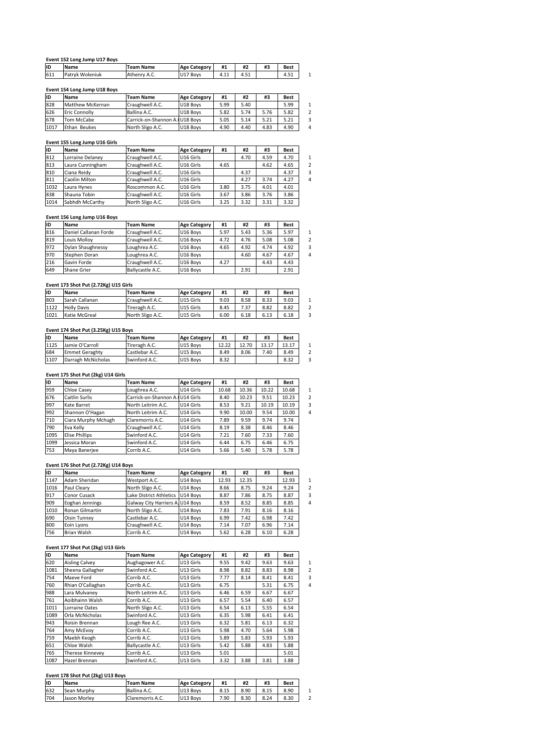|     | Event 152 Long Jump U17 Boys |                  |                     |      |      |    |             |
|-----|------------------------------|------------------|---------------------|------|------|----|-------------|
| ID  | Name                         | <b>Team Name</b> | <b>Age Category</b> | #1   | #2   | #3 | Best        |
| 611 | Patryk Woleniuk              | Athenry A.C.     | U17 Boys            | 4.11 | 4.51 |    | 4.51        |
|     |                              |                  |                     |      |      |    |             |
|     | Event 154 Long Jump U18 Boys |                  |                     |      |      |    |             |
| ID  | Name                         | <b>Team Name</b> | <b>Age Category</b> | #1   | #2   | #3 | <b>Best</b> |
| 828 | Matthew McKernan             | Craughwell A.C.  | U18 Boys            | 5.99 | 5.40 |    | 5.99        |

| 611<br>Patryk Woleniuk<br>Athenry A.C.<br>U17 Boys<br>4.51<br>4.11<br>Event 154 Long Jump U18 Boys<br>İID<br>#3<br>#1<br>#2<br><b>Age Category</b><br><b>Name</b><br><b>Team Name</b><br>828<br>Craughwell A.C.<br>Matthew McKernan<br>U18 Boys<br>5.99<br>5.40<br>626<br>5.76<br>Ballina A.C.<br>U18 Boys<br>5.74<br><b>Eric Connolly</b><br>5.82<br>678<br>Tom McCabe<br>Carrick-on-Shannon A. U18 Boys<br>5.21<br>5.05<br>5.14 | טוו | <b>Name</b>      | Team Name        | Age Category        | #1 | #Z   | #3   | Best |
|-----------------------------------------------------------------------------------------------------------------------------------------------------------------------------------------------------------------------------------------------------------------------------------------------------------------------------------------------------------------------------------------------------------------------------------|-----|------------------|------------------|---------------------|----|------|------|------|
|                                                                                                                                                                                                                                                                                                                                                                                                                                   |     |                  |                  |                     |    |      |      | 4.51 |
|                                                                                                                                                                                                                                                                                                                                                                                                                                   |     |                  |                  |                     |    |      |      |      |
|                                                                                                                                                                                                                                                                                                                                                                                                                                   |     |                  |                  |                     |    |      |      |      |
|                                                                                                                                                                                                                                                                                                                                                                                                                                   |     |                  |                  |                     |    |      |      | Best |
|                                                                                                                                                                                                                                                                                                                                                                                                                                   |     |                  |                  |                     |    |      |      | 5.99 |
|                                                                                                                                                                                                                                                                                                                                                                                                                                   |     |                  |                  |                     |    |      |      | 5.82 |
|                                                                                                                                                                                                                                                                                                                                                                                                                                   |     |                  |                  |                     |    |      |      | 5.21 |
| 1017<br><b>Ethan Beukes</b><br>North Sligo A.C.<br>U18 Bovs<br>4.83<br>4.90<br>4.40                                                                                                                                                                                                                                                                                                                                               |     |                  |                  |                     |    |      |      | 4.90 |
|                                                                                                                                                                                                                                                                                                                                                                                                                                   |     |                  |                  |                     |    |      |      |      |
| Event 155 Long Jump U16 Girls                                                                                                                                                                                                                                                                                                                                                                                                     | lıD | <b>Name</b>      | <b>Team Name</b> | <b>Age Category</b> | #1 | #2   | #3   | Best |
|                                                                                                                                                                                                                                                                                                                                                                                                                                   | 812 | Lorraine Delanev | Craughwell A.C.  | U16 Girls           |    | 4.70 | 4.59 | 4.70 |

# <u>Even</u>

| 0/8  | Tom McCape                    | iCarrick-on-Shannon A.IU18 Boys |                     | 5.U5 | 5.14 | 5.ZI | 5.ZI | 5              |
|------|-------------------------------|---------------------------------|---------------------|------|------|------|------|----------------|
| 1017 | Ethan Beukes                  | North Sligo A.C.                | U18 Bovs            | 4.90 | 4.40 | 4.83 | 4.90 | 4              |
|      |                               |                                 |                     |      |      |      |      |                |
|      | Event 155 Long Jump U16 Girls |                                 |                     |      |      |      |      |                |
| ID   | Name                          | <b>Team Name</b>                | <b>Age Category</b> | #1   | #2   | #3   | Best |                |
| 812  | Lorraine Delaney              | Craughwell A.C.                 | U16 Girls           |      | 4.70 | 4.59 | 4.70 | 1              |
| 813  | Laura Cunningham              | Craughwell A.C.                 | U16 Girls           | 4.65 |      | 4.62 | 4.65 | $\overline{2}$ |
| 810  | Ciana Reidy                   | Craughwell A.C.                 | U16 Girls           |      | 4.37 |      | 4.37 | 3              |
| 811  | Caoilin Milton                | Craughwell A.C.                 | U16 Girls           |      | 4.27 | 3.74 | 4.27 | 4              |
| 1032 | Laura Hynes                   | Roscommon A.C.                  | U16 Girls           | 3.80 | 3.75 | 4.01 | 4.01 |                |
| 838  | Shauna Tobin                  | Craughwell A.C.                 | U16 Girls           | 3.67 | 3.86 | 3.76 | 3.86 |                |
| 1014 | Sabhdh McCarthy               | North Sligo A.C.                | U16 Girls           | 3.25 | 3.32 | 3.31 | 3.32 |                |
|      |                               |                                 |                     |      |      |      |      |                |
|      | Event 156 Long Jump U16 Boys  |                                 |                     |      |      |      |      |                |
| ID   | Name                          | <b>Team Name</b>                | <b>Age Category</b> | #1   | #2   | #3   | Best |                |
| 816  | Daniel Callanan Forde         | Craughwell A.C.                 | U16 Boys            | 5.97 | 5.43 | 5.36 | 5.97 |                |

# <u>Eve</u>

| 838  | shauna Tobin                          | Craughwell A.C.  | UID GINS            | 3.b/ | 3.8b | 3.7b | 3.8b |
|------|---------------------------------------|------------------|---------------------|------|------|------|------|
| 1014 | Sabhdh McCarthy                       | North Sligo A.C. | U16 Girls           | 3.25 | 3.32 | 3.31 | 3.32 |
|      |                                       |                  |                     |      |      |      |      |
|      | Event 156 Long Jump U16 Boys          |                  |                     |      |      |      |      |
| ID   | Name                                  | <b>Team Name</b> | <b>Age Category</b> | #1   | #2   | #3   | Best |
| 816  | Daniel Callanan Forde                 | Craughwell A.C.  | U16 Bovs            | 5.97 | 5.43 | 5.36 | 5.97 |
| 819  | Louis Mollov                          | Craughwell A.C.  | U16 Bovs            | 4.72 | 4.76 | 5.08 | 5.08 |
| 972  | Dylan Shaughnessy                     | Loughrea A.C.    | U16 Bovs            | 4.65 | 4.92 | 4.74 | 4.92 |
| 970  | Stephen Doran                         | Loughrea A.C.    | U16 Boys            |      | 4.60 | 4.67 | 4.67 |
| 216  | Gavin Forde                           | Craughwell A.C.  | U16 Bovs            | 4.27 |      | 4.43 | 4.43 |
| 649  | Shane Grier                           | Ballycastle A.C. | U16 Bovs            |      | 2.91 |      | 2.91 |
|      |                                       |                  |                     |      |      |      |      |
|      | Event 173 Shot Put (2.72Kg) U15 Girls |                  |                     |      |      |      |      |
| ID   | Name                                  | Team Name        | <b>Age Category</b> | #1   | #2   | #3   | Best |
| 803  | Sarah Callanan                        | Craughwell A.C.  | U15 Girls           | 9.03 | 8.58 | 8.33 | 9.03 |

| 21 D | Gavin Forge                           | Craughwell A.C.  | <b>UTP BOAS</b>     | 4.21  |       | 4.45  | 4.45  |
|------|---------------------------------------|------------------|---------------------|-------|-------|-------|-------|
| 649  | Shane Grier                           | Ballycastle A.C. | U16 Bovs            |       | 2.91  |       | 2.91  |
|      |                                       |                  |                     |       |       |       |       |
|      | Event 173 Shot Put (2.72Kg) U15 Girls |                  |                     |       |       |       |       |
| ID   | Name                                  | <b>Team Name</b> | <b>Age Category</b> | #1    | #2    | #3    | Best  |
| 803  | Sarah Callanan                        | Craughwell A.C.  | U15 Girls           | 9.03  | 8.58  | 8.33  | 9.03  |
| 1122 | <b>Holly Davis</b>                    | Tireragh A.C.    | U15 Girls           | 8.45  | 7.37  | 8.82  | 8.82  |
| 1021 | Katie McGreal                         | North Sligo A.C. | U15 Girls           | 6.00  | 6.18  | 6.13  | 6.18  |
|      |                                       |                  |                     |       |       |       |       |
|      | Event 174 Shot Put (3.25Kg) U15 Boys  |                  |                     |       |       |       |       |
| ID   | Name                                  | <b>Team Name</b> | <b>Age Category</b> | #1    | #2    | #3    | Best  |
| 1125 | Jamie O'Carroll                       | Tireragh A.C.    | U15 Boys            | 12.22 | 12.70 | 13.17 | 13.17 |

| 1122 | i Holly Davis                        | Tireragh A.C.    | UIS GIFIS           | 8.45  | 1.31  | 8.8Z  | 8.8Z        |
|------|--------------------------------------|------------------|---------------------|-------|-------|-------|-------------|
| 1021 | Katie McGreal                        | North Sligo A.C. | U15 Girls           | 6.00  | 6.18  | 6.13  | 6.18        |
|      |                                      |                  |                     |       |       |       |             |
|      | Event 174 Shot Put (3.25Kg) U15 Boys |                  |                     |       |       |       |             |
| İID  | <b>Name</b>                          | <b>Team Name</b> | <b>Age Category</b> | #1    | #2    | #3    | <b>Best</b> |
| 1125 | Jamie O'Carroll                      | Tireragh A.C.    | U15 Boys            | 12.22 | 12.70 | 13.17 | 13.17       |
| 684  | <b>Emmet Geraghty</b>                | Castlebar A.C.   | U15 Boys            | 8.49  | 8.06  | 7.40  | 8.49        |
| 1107 | Darragh McNicholas                   | Swinford A.C.    | U15 Boys            | 8.32  |       |       | 8.32        |
|      |                                      |                  |                     |       |       |       |             |
|      | Event 175 Shot Put (2kg) U14 Girls   |                  |                     |       |       |       |             |
| İID  | <b>Name</b>                          | <b>Team Name</b> | <b>Age Category</b> | #1    | #2    | #3    | Best        |
| 959  | Chloe Casey                          | Loughrea A.C.    | U14 Girls           | 10.68 | 10.36 | 10.22 | 10.68       |

# <u>Eve</u>

| 684  | Emmet Geragnty                       | Castlebar A.C.                  | <b>UIS BOYS</b>     | 8.49  | 8.Ub  | 7.40  | 8.49  |
|------|--------------------------------------|---------------------------------|---------------------|-------|-------|-------|-------|
| 1107 | Darragh McNicholas                   | Swinford A.C.                   | U15 Boys            | 8.32  |       |       | 8.32  |
|      |                                      |                                 |                     |       |       |       |       |
|      | Event 175 Shot Put (2kg) U14 Girls   |                                 |                     |       |       |       |       |
| ID   | Name                                 | <b>Team Name</b>                | <b>Age Category</b> | #1    | #2    | #3    | Best  |
| 959  | Chloe Casev                          | Loughrea A.C.                   | U14 Girls           | 10.68 | 10.36 | 10.22 | 10.68 |
| 676  | <b>Caitlin Surlis</b>                | Carrick-on-Shannon A. U14 Girls |                     | 8.40  | 10.23 | 9.51  | 10.23 |
| 997  | Kate Barret                          | North Leitrim A.C.              | U14 Girls           | 8.53  | 9.21  | 10.19 | 10.19 |
| 992  | Shannon O'Hagan                      | North Leitrim A.C.              | U14 Girls           | 9.90  | 10.00 | 9.54  | 10.00 |
| 710  | Ciara Murphy Mchugh                  | Claremorris A.C.                | U14 Girls           | 7.89  | 9.59  | 9.74  | 9.74  |
| 790  | Eva Kelly                            | Craughwell A.C.                 | U14 Girls           | 8.19  | 8.38  | 8.46  | 8.46  |
| 1095 | Elise Phillips                       | Swinford A.C.                   | U14 Girls           | 7.21  | 7.60  | 7.33  | 7.60  |
| 1099 | Jessica Moran                        | Swinford A.C.                   | U14 Girls           | 6.44  | 6.75  | 6.46  | 6.75  |
| 753  | Maya Banerjee                        | Corrib A.C.                     | U14 Girls           | 5.66  | 5.40  | 5.78  | 5.78  |
|      |                                      |                                 |                     |       |       |       |       |
|      | Event 176 Shot Put (2.72Kg) U14 Boys |                                 |                     |       |       |       |       |
| ID   | Name                                 | <b>Team Name</b>                | <b>Age Category</b> | #1    | #2    | #3    | Best  |
| 1147 | Adam Sheridan                        | Westport A.C.                   | U14 Boys            | 12.93 | 12.35 |       | 12.93 |

# <u>Even</u>

| 1099 | Jessica Moran                        | Swinford A.C.                    | U14 GIris           | 6.44  | 6.75  | b.4b | 6.75  |
|------|--------------------------------------|----------------------------------|---------------------|-------|-------|------|-------|
| 753  | Maya Banerjee                        | Corrib A.C.                      | U14 Girls           | 5.66  | 5.40  | 5.78 | 5.78  |
|      |                                      |                                  |                     |       |       |      |       |
|      | Event 176 Shot Put (2.72Kg) U14 Boys |                                  |                     |       |       |      |       |
| ID   | Name                                 | <b>Team Name</b>                 | <b>Age Category</b> | #1    | #2    | #3   | Best  |
| 1147 | Adam Sheridan                        | Westport A.C.                    | U14 Boys            | 12.93 | 12.35 |      | 12.93 |
| 1016 | Paul Cleary                          | North Sligo A.C.                 | U14 Boys            | 8.66  | 8.75  | 9.24 | 9.24  |
| 917  | Conor Cusack                         | Lake District Athletics          | U14 Boys            | 8.87  | 7.86  | 8.75 | 8.87  |
| 909  | Eoghan Jennings                      | Galway City Harriers A. U14 Boys |                     | 8.59  | 8.52  | 8.85 | 8.85  |
| 1010 | Ronan Gilmartin                      | North Sligo A.C.                 | U14 Boys            | 7.83  | 7.91  | 8.16 | 8.16  |
| 690  | Oisin Tunney                         | Castlebar A.C.                   | U14 Boys            | 6.99  | 7.42  | 6.98 | 7.42  |
| 800  | Eoin Lyons                           | Craughwell A.C.                  | U14 Bovs            | 7.14  | 7.07  | 6.96 | 7.14  |
| 756  | Brian Walsh                          | Corrib A.C.                      | U14 Boys            | 5.62  | 6.28  | 6.10 | 6.28  |
|      |                                      |                                  |                     |       |       |      |       |
|      | Event 177 Shot Put (2kg) U13 Girls   |                                  |                     |       |       |      |       |
| ID   | Name                                 | <b>Team Name</b>                 | <b>Age Category</b> | #1    | #2    | #3   | Best  |
| 620  | <b>Aisling Calvey</b>                | Aughagower A.C.                  | U13 Girls           | 9.55  | 9.42  | 9.63 | 9.63  |

# <u>Eve</u>

| <b>BUU</b> | EOIN LYONS                         | Craughwell A.C.    | U14 BOVS            | 7.14 | 1.01 | 6.Yb | 7.14        |
|------------|------------------------------------|--------------------|---------------------|------|------|------|-------------|
| 756        | Brian Walsh                        | Corrib A.C.        | U14 Boys            | 5.62 | 6.28 | 6.10 | 6.28        |
|            |                                    |                    |                     |      |      |      |             |
|            | Event 177 Shot Put (2kg) U13 Girls |                    |                     |      |      |      |             |
| ID         | Name                               | <b>Team Name</b>   | <b>Age Category</b> | #1   | #2   | #3   | <b>Best</b> |
| 620        | <b>Aisling Calvey</b>              | Aughagower A.C.    | U13 Girls           | 9.55 | 9.42 | 9.63 | 9.63        |
| 1081       | Sheena Gallagher                   | Swinford A.C.      | U13 Girls           | 8.98 | 8.82 | 8.83 | 8.98        |
| 754        | Maeve Ford                         | Corrib A.C.        | U13 Girls           | 7.77 | 8.14 | 8.41 | 8.41        |
| 760        | Rhian O'Callaghan                  | Corrib A.C.        | U13 Girls           | 6.75 |      | 5.31 | 6.75        |
| 988        | Lara Mulvaney                      | North Leitrim A.C. | U13 Girls           | 6.46 | 6.59 | 6.67 | 6.67        |
| 761        | Aoibhainn Walsh                    | Corrib A.C.        | U13 Girls           | 6.57 | 5.54 | 6.40 | 6.57        |
| 1011       | Lorraine Oates                     | North Sligo A.C.   | U13 Girls           | 6.54 | 6.13 | 5.55 | 6.54        |
| 1089       | Orla McNicholas                    | Swinford A.C.      | U13 Girls           | 6.35 | 5.98 | 6.41 | 6.41        |
| 943        | Roisin Brennan                     | Lough Ree A.C.     | U13 Girls           | 6.32 | 5.81 | 6.13 | 6.32        |
| 764        | Amy McEvoy                         | Corrib A.C.        | U13 Girls           | 5.98 | 4.70 | 5.64 | 5.98        |
| 759        | Maebh Keogh                        | Corrib A.C.        | U13 Girls           | 5.89 | 5.83 | 5.93 | 5.93        |
| 651        | Chloe Walsh                        | Ballycastle A.C.   | U13 Girls           | 5.42 | 5.88 | 4.83 | 5.88        |
| 765        | Therese Kinnevey                   | Corrib A.C.        | U13 Girls           | 5.01 |      |      | 5.01        |
| 1087       | Hazel Brennan                      | Swinford A.C.      | U13 Girls           | 3.32 | 3.88 | 3.81 | 3.88        |
|            |                                    |                    |                     |      |      |      |             |
|            | Event 178 Shot Put (2kg) U13 Boys  |                    |                     |      |      |      |             |
| ID         | Name                               | <b>Team Name</b>   | <b>Age Category</b> | #1   | #2   | #3   | <b>Best</b> |
| 632        | Sean Murphy                        | Ballina A.C.       | U13 Boys            | 8.15 | 8.90 | 8.15 | 8.90        |

# **<sup>178</sup> Shot Put (2kg) U13 Boys**

| 765  | Therese Kinnevev                  | LOTTID A.C.      | IU IS GIFIS         | 5.UI |      |      | 5.UT |  |
|------|-----------------------------------|------------------|---------------------|------|------|------|------|--|
| 1087 | Hazel Brennan                     | Swinford A.C.    | U13 Girls           | 3.32 | 3.88 | 3.81 | 3.88 |  |
|      |                                   |                  |                     |      |      |      |      |  |
|      | Event 178 Shot Put (2kg) U13 Boys |                  |                     |      |      |      |      |  |
| lid  | Name                              | <b>Team Name</b> | <b>Age Category</b> | #1   | #2   | #3   | Best |  |
| 632  | Sean Murphy                       | Ballina A.C.     | U13 Boys            | 8.15 | 8.90 | 8.15 | 8.90 |  |
| 704  | Jason Morley                      | Claremorris A.C. | U13 Boys            | 7.90 | 8.30 | 8.24 | 8.30 |  |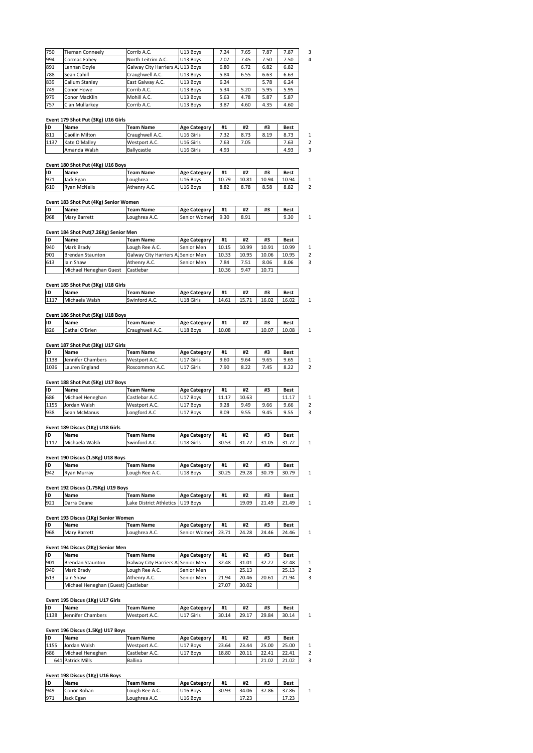| 750 | <b>Tiernan Conneely</b> | Corrib A.C.                      | U13 Boys | 7.24 | 7.65 | 7.87 | 7.87 |
|-----|-------------------------|----------------------------------|----------|------|------|------|------|
| 994 | Cormac Fahey            | North Leitrim A.C.               | U13 Boys | 7.07 | 7.45 | 7.50 | 7.50 |
| 891 | Lennan Doyle            | Galway City Harriers A. U13 Boys |          | 6.80 | 6.72 | 6.82 | 6.82 |
| 788 | Sean Cahill             | Craughwell A.C.                  | U13 Boys | 5.84 | 6.55 | 6.63 | 6.63 |
| 839 | Callum Stanley          | East Galway A.C.                 | U13 Boys | 6.24 |      | 5.78 | 6.24 |
| 749 | Conor Howe              | Corrib A.C.                      | U13 Boys | 5.34 | 5.20 | 5.95 | 5.95 |
| 979 | Conor MacKlin           | Mohill A.C.                      | U13 Boys | 5.63 | 4.78 | 5.87 | 5.87 |
| 757 | Cian Mullarkey          | Corrib A.C.                      | U13 Boys | 3.87 | 4.60 | 4.35 | 4.60 |

|      | Conor MacKin                       |                  | <b>UTS BOAS</b>     |       |       |       |       |
|------|------------------------------------|------------------|---------------------|-------|-------|-------|-------|
| 757  | Cian Mullarkev                     | Corrib A.C.      | U13 Bovs            | 3.87  | 4.60  | 4.35  | 4.60  |
|      |                                    |                  |                     |       |       |       |       |
|      | Event 179 Shot Put (3Kg) U16 Girls |                  |                     |       |       |       |       |
| ID   | Name                               | <b>Team Name</b> | <b>Age Category</b> | #1    | #2    | #3    | Best  |
| 811  | Caoilin Milton                     | Craughwell A.C.  | U16 Girls           | 7.32  | 8.73  | 8.19  | 8.73  |
| 1137 | Kate O'Malley                      | Westport A.C.    | U16 Girls           | 7.63  | 7.05  |       | 7.63  |
|      |                                    |                  |                     |       |       |       |       |
|      | Amanda Walsh                       | Ballycastle      | U16 Girls           | 4.93  |       |       | 4.93  |
|      |                                    |                  |                     |       |       |       |       |
|      | Event 180 Shot Put (4Kg) U16 Boys  |                  |                     |       |       |       |       |
| İID  | Name                               | <b>Team Name</b> | <b>Age Category</b> | #1    | #2    | #3    | Best  |
| 971  | Jack Egan                          | Loughrea         | U16 Bovs            | 10.79 | 10.81 | 10.94 | 10.94 |

# <u>Ev</u>

| 1137 | ikate o Mallev                        | westbort A.C.    | IUID GIFIS          | 7.03  | 7.US  |       | 7.63  |
|------|---------------------------------------|------------------|---------------------|-------|-------|-------|-------|
|      | Amanda Walsh                          | Ballycastle      | U16 Girls           | 4.93  |       |       | 4.93  |
|      |                                       |                  |                     |       |       |       |       |
|      | Event 180 Shot Put (4Kg) U16 Boys     |                  |                     |       |       |       |       |
| lıd  | Name                                  | <b>Team Name</b> | <b>Age Category</b> | #1    | #2    | #3    | Best  |
| 971  | Jack Egan                             | Loughrea         | U16 Boys            | 10.79 | 10.81 | 10.94 | 10.94 |
| 610  | <b>Ryan McNelis</b>                   | Athenry A.C.     | U16 Boys            | 8.82  | 8.78  | 8.58  | 8.82  |
|      |                                       |                  |                     |       |       |       |       |
|      | Event 183 Shot Put (4Kg) Senior Women |                  |                     |       |       |       |       |
| İID  | Name                                  | <b>Team Name</b> | <b>Age Category</b> | #1    | #2    | #3    | Best  |
| 968  | Mary Barrett                          | Loughrea A.C.    | Senior Women        | 9.30  | 8.91  |       | 9.30  |

| <b>10TO</b> | TRVAN MCNETIS                         | Athenry A.C.     | <b>UID BOVS</b>     | 8.82  | 8.78  | 8.58  | 8.82        |  |
|-------------|---------------------------------------|------------------|---------------------|-------|-------|-------|-------------|--|
|             | Event 183 Shot Put (4Kg) Senior Women |                  |                     |       |       |       |             |  |
| İID         | Name                                  | <b>Team Name</b> | <b>Age Category</b> | #1    | #2    | #3    | <b>Best</b> |  |
| 968         | Mary Barrett                          | Loughrea A.C.    | Senior Women        | 9.30  | 8.91  |       | 9.30        |  |
|             | Event 184 Shot Put(7.26Kg) Senior Men |                  |                     |       |       |       |             |  |
| İID         | Name                                  | <b>Team Name</b> | <b>Age Category</b> | #1    | #2    | #3    | Best        |  |
| 940         | Mark Brady                            | Lough Ree A.C.   | Senior Men          | 10.15 | 10.99 | 10.91 | 10.99       |  |

| טו   | <b>Name</b>                           | Team Name                          | Age Category        | #1    | #Z    | #3    | Best        |
|------|---------------------------------------|------------------------------------|---------------------|-------|-------|-------|-------------|
| 968  | <b>Mary Barrett</b>                   | Loughrea A.C.                      | Senior Women        | 9.30  | 8.91  |       | 9.30        |
|      |                                       |                                    |                     |       |       |       |             |
|      | Event 184 Shot Put(7.26Kg) Senior Men |                                    |                     |       |       |       |             |
| İID  | Name                                  | <b>Team Name</b>                   | <b>Age Category</b> | #1    | #2    | #3    | <b>Best</b> |
| 940  | Mark Brady                            | Lough Ree A.C.                     | Senior Men          | 10.15 | 10.99 | 10.91 | 10.99       |
| 901  | <b>Brendan Staunton</b>               | Galway City Harriers A. Senior Men |                     | 10.33 | 10.95 | 10.06 | 10.95       |
| 613  | lain Shaw                             | Athenry A.C.                       | Senior Men          | 7.84  | 7.51  | 8.06  | 8.06        |
|      | Michael Heneghan Guest                | Castlebar                          |                     | 10.36 | 9.47  | 10.71 |             |
|      |                                       |                                    |                     |       |       |       |             |
|      | Event 185 Shot Put (3Kg) U18 Girls    |                                    |                     |       |       |       |             |
| İID  | <b>Name</b>                           | <b>Team Name</b>                   | <b>Age Category</b> | #1    | #2    | #3    | Best        |
| 1117 | Michaela Walsh                        | Swinford A.C.                      | U18 Girls           | 14.61 | 15.71 | 16.02 | 16.02       |

|      | I MIChael Heneghan Guest           | <b>ICastiebar</b> |                     | 10.36 | 9.47  | 10.71 |             |
|------|------------------------------------|-------------------|---------------------|-------|-------|-------|-------------|
|      | Event 185 Shot Put (3Kg) U18 Girls |                   |                     |       |       |       |             |
| ID   | Name                               | Team Name         | <b>Age Category</b> | #1    | #2    | #3    | <b>Best</b> |
| 1117 | Michaela Walsh                     | Swinford A.C.     | U18 Girls           | 14.61 | 15.71 | 16.02 | 16.02       |
|      | Event 186 Shot Put (5Kg) U18 Boys  |                   |                     |       |       |       |             |
| ID   | Name                               | Team Name         | <b>Age Category</b> | #1    | #2    | #3    | <b>Best</b> |
| 826  | Cathal O'Brien                     | Craughwell A.C.   | U18 Boys            | 10.08 |       | 10.07 | 10.08       |

| 1117 | Tiviichaela waish                  | ISWINTORG A.C.   | UIS GINS            | 14.61 | 15.71 | 16.UZ | 16.UZ       |
|------|------------------------------------|------------------|---------------------|-------|-------|-------|-------------|
|      | Event 186 Shot Put (5Kg) U18 Boys  |                  |                     |       |       |       |             |
| ID   | Name                               | <b>Team Name</b> | <b>Age Category</b> | #1    | #2    | #3    | <b>Best</b> |
| 826  | Cathal O'Brien                     | Craughwell A.C.  | U18 Boys            | 10.08 |       | 10.07 | 10.08       |
|      | Event 187 Shot Put (3Kg) U17 Girls |                  |                     |       |       |       |             |
| ID   | Name                               | <b>Team Name</b> | <b>Age Category</b> | #1    | #2    | #3    | <b>Best</b> |
| 1138 | Jennifer Chambers                  | Westport A.C.    | U17 Girls           | 9.60  | 9.64  | 9.65  | 9.65        |

# <u>EV</u>

| טו   | <b>Name</b>                                | Team Name        | Age Category        | #1    | #4    | #5    | <b>Best</b> |
|------|--------------------------------------------|------------------|---------------------|-------|-------|-------|-------------|
| 826  | Cathal O'Brien                             | Craughwell A.C.  | U18 Boys            | 10.08 |       | 10.07 | 10.08       |
|      |                                            |                  |                     |       |       |       |             |
| İID  | Event 187 Shot Put (3Kg) U17 Girls<br>Name | <b>Team Name</b> | <b>Age Category</b> | #1    | #2    | #3    | Best        |
| 1138 | Jennifer Chambers                          | Westport A.C.    | U17 Girls           | 9.60  | 9.64  | 9.65  | 9.65        |
| 1036 | Lauren England                             | Roscommon A.C.   | U17 Girls           | 7.90  | 8.22  | 7.45  | 8.22        |
|      | Event 188 Shot Put (5Kg) U17 Boys          |                  |                     |       |       |       |             |
| ID   | Name                                       | <b>Team Name</b> | <b>Age Category</b> | #1    | #2    | #3    | Best        |
| 686  | Michael Heneghan                           | Castlebar A.C.   | U17 Boys            | 11.17 | 10.63 |       | 11.17       |

# Event 188 Shot Put (5Kg) U17 Boys

| 1138 | Jennifer Chambers                 | Westport A.C.    | IUI7 GINS           | 9.60  | 9.64  | 9.65  | 9.65  |
|------|-----------------------------------|------------------|---------------------|-------|-------|-------|-------|
| 1036 | Lauren England                    | Roscommon A.C.   | U17 Girls           | 7.90  | 8.22  | 7.45  | 8.22  |
|      |                                   |                  |                     |       |       |       |       |
|      | Event 188 Shot Put (5Kg) U17 Boys |                  |                     |       |       |       |       |
| İID  | <b>Name</b>                       | <b>Team Name</b> | <b>Age Category</b> | #1    | #2    | #3    | Best  |
| 686  | Michael Heneghan                  | Castlebar A.C.   | U17 Boys            | 11.17 | 10.63 |       | 11.17 |
| 1155 | Jordan Walsh                      | Westport A.C.    | U17 Boys            | 9.28  | 9.49  | 9.66  | 9.66  |
| 938  | Sean McManus                      | Longford A.C     | U17 Boys            | 8.09  | 9.55  | 9.45  | 9.55  |
|      |                                   |                  |                     |       |       |       |       |
|      | Event 189 Discus (1Kg) U18 Girls  |                  |                     |       |       |       |       |
| İID  | <b>Name</b>                       | <b>Team Name</b> | <b>Age Category</b> | #1    | #2    | #3    | Best  |
| 1117 | Michaela Walsh                    | Swinford A.C.    | U18 Girls           | 30.53 | 31.72 | 31.05 | 31.72 |

| 1938 | ISean McManus                     | Longrord A.C     | <b>UT</b> BOVS       | 8.09  | 9.55  | 9.45  | 9.55        |  |
|------|-----------------------------------|------------------|----------------------|-------|-------|-------|-------------|--|
|      | Event 189 Discus (1Kg) U18 Girls  |                  |                      |       |       |       |             |  |
| İID  | Name                              | <b>Team Name</b> | <b>Age Category</b>  | #1    | #2    | #3    | <b>Best</b> |  |
| 1117 | Michaela Walsh                    | Swinford A.C.    | U18 Girls            | 30.53 | 31.72 | 31.05 | 31.72       |  |
|      | Event 190 Discus (1.5Kg) U18 Boys |                  |                      |       |       |       |             |  |
| İID  | Name                              | <b>Team Name</b> | <b>Age Category</b>  | #1    | #2    | #3    | <b>Best</b> |  |
| 942  | <b>Ryan Murray</b>                | Lough Ree A.C.   | U <sub>18</sub> Boys | 30.25 | 29.28 | 30.79 | 30.79       |  |

| 1117 | Tiviichaela waish                  | ISWINTORG A.C.                    | UIX GINS            | 30.53 | 31.72 | 31.U5 | 31.72       |
|------|------------------------------------|-----------------------------------|---------------------|-------|-------|-------|-------------|
|      | Event 190 Discus (1.5Kg) U18 Boys  |                                   |                     |       |       |       |             |
| lıd  | <b>Name</b>                        | <b>Team Name</b>                  | <b>Age Category</b> | #1    | #2    | #3    | <b>Best</b> |
| 942  | <b>Ryan Murray</b>                 | Lough Ree A.C.                    | U18 Boys            | 30.25 | 29.28 | 30.79 | 30.79       |
|      | Event 192 Discus (1.75Kg) U19 Boys |                                   |                     |       |       |       |             |
| İID  | Name                               | <b>Team Name</b>                  | <b>Age Category</b> | #1    | #2    | #3    | <b>Best</b> |
| 921  | Darra Deane                        | Lake District Athletics 1019 Boys |                     |       | 19.09 | 21.49 | 21.49       |

| 1942 | I Ryan Murray                       | ILOUGN REE A.C.                  | U18 BOVS            | 30.Z5 | 29.28 | 30.79 | 30.79       |
|------|-------------------------------------|----------------------------------|---------------------|-------|-------|-------|-------------|
|      | Event 192 Discus (1.75Kg) U19 Boys  |                                  |                     |       |       |       |             |
| lıd  | Name                                | <b>Team Name</b>                 | <b>Age Category</b> | #1    | #2    | #3    | Best        |
| 921  | Darra Deane                         | Lake District Athletics U19 Boys |                     |       | 19.09 | 21.49 | 21.49       |
|      | Event 193 Discus (1Kg) Senior Women |                                  |                     |       |       |       |             |
| İID  | <b>Name</b>                         | <b>Team Name</b>                 | <b>Age Category</b> | #1    | #2    | #3    | <b>Best</b> |
| 968  | <b>Mary Barrett</b>                 | Loughrea A.C.                    | Senior Women        | 23.71 | 24.28 | 24.46 | 24.46       |

| 1921 | I Darra Deane                       | Lake District Athletics TU19 Boys  |                     |       | 19.09 | 21.49 | 21.49 |
|------|-------------------------------------|------------------------------------|---------------------|-------|-------|-------|-------|
|      | Event 193 Discus (1Kg) Senior Women |                                    |                     |       |       |       |       |
| İID  | Name                                | Team Name                          | <b>Age Category</b> | #1    | #2    | #3    | Best  |
| 968  | Mary Barrett                        | Loughrea A.C.                      | Senior Women        | 23.71 | 24.28 | 24.46 | 24.46 |
|      | Event 194 Discus (2Kg) Senior Men   |                                    |                     |       |       |       |       |
| İID  | Name                                | Team Name                          | <b>Age Category</b> | #1    | #2    | #3    | Best  |
| 901  | Brendan Staunton                    | Galway City Harriers A. Senior Men |                     | 32.48 | 31.01 | 32.27 | 32.48 |

| טו   | <b>Name</b>                        | Team Name                          | Age Category        | #1    | #Z    | #3    | Best        |
|------|------------------------------------|------------------------------------|---------------------|-------|-------|-------|-------------|
| 968  | <b>Mary Barrett</b>                | Loughrea A.C.                      | Senior Women        | 23.71 | 24.28 | 24.46 | 24.46       |
|      |                                    |                                    |                     |       |       |       |             |
|      | Event 194 Discus (2Kg) Senior Men  |                                    |                     |       |       |       |             |
| İID  | <b>Name</b>                        | <b>Team Name</b>                   | <b>Age Category</b> | #1    | #2    | #3    | <b>Best</b> |
| 901  | <b>Brendan Staunton</b>            | Galway City Harriers A. Senior Men |                     | 32.48 | 31.01 | 32.27 | 32.48       |
| 940  | Mark Brady                         | Lough Ree A.C.                     | Senior Men          |       | 25.13 |       | 25.13       |
| 613  | lain Shaw                          | Athenry A.C.                       | Senior Men          | 21.94 | 20.46 | 20.61 | 21.94       |
|      | Michael Heneghan (Guest) Castlebar |                                    |                     | 27.07 | 30.02 |       |             |
|      |                                    |                                    |                     |       |       |       |             |
|      | Event 195 Discus (1Kg) U17 Girls   |                                    |                     |       |       |       |             |
| İID  | Name                               | <b>Team Name</b>                   | <b>Age Category</b> | #1    | #2    | #3    | Best        |
| 1138 | Jennifer Chambers                  | Westport A.C.                      | U17 Girls           | 30.14 | 29.17 | 29.84 | 30.14       |

|           | IMIChael Heneghan (Guest)   Castiebar |               |                     | 27.07 | 30.0Z |       |       |
|-----------|---------------------------------------|---------------|---------------------|-------|-------|-------|-------|
|           | Event 195 Discus (1Kg) U17 Girls      |               |                     |       |       |       |       |
| <b>ID</b> | Name                                  | Team Name     | <b>Age Category</b> | #1    | #2    | #3    | Best  |
| 1138      | Jennifer Chambers                     | Westport A.C. | U17 Girls           | 30.14 | 29.17 | 29.84 | 30.14 |
|           | Event 196 Discus (1.5Kg) U17 Boys     |               |                     |       |       |       |       |
| İID       | Name                                  | Team Name     | <b>Age Category</b> | #1    | #2    | #3    | Best  |
| 1155      | Jordan Walsh                          | Westport A.C. | U17 Boys            | 23.64 | 23.44 | 25.00 | 25.00 |

# **Event 196 Discus (1.5Kg) U17 Boys**

| 1138 | Jennifer Chambers                 | Westport A.C.    | U17 Girls           | 30.14 |       |       |             |
|------|-----------------------------------|------------------|---------------------|-------|-------|-------|-------------|
|      |                                   |                  |                     |       | 29.17 | 29.84 | 30.14       |
|      | Event 196 Discus (1.5Kg) U17 Boys |                  |                     |       |       |       |             |
| İID  | <b>Name</b>                       | <b>Team Name</b> | <b>Age Category</b> | #1    | #2    | #3    | <b>Best</b> |
| 1155 | Jordan Walsh                      | Westport A.C.    | U17 Boys            | 23.64 | 23.44 | 25.00 | 25.00       |
| 686  | Michael Heneghan                  | Castlebar A.C.   | U17 Boys            | 18.80 | 20.11 | 22.41 | 22.41       |
|      | 641 Patrick Mills                 | <b>Ballina</b>   |                     |       |       | 21.02 | 21.02       |

# **<sup>198</sup> Discus (1Kg) U16 Boys**

| 1080       | i ivilchael Heneghan.           | l Castlebar A.C. | UI/BOVS             | 18.8U | 20.II | ZZ.41 | 22.41       |
|------------|---------------------------------|------------------|---------------------|-------|-------|-------|-------------|
|            | 641 Patrick Mills               | Ballina          |                     |       |       | 21.02 | 21.02       |
|            |                                 |                  |                     |       |       |       |             |
|            | Event 198 Discus (1Kg) U16 Boys |                  |                     |       |       |       |             |
|            |                                 |                  |                     |       |       |       |             |
|            | Name                            | <b>Team Name</b> | <b>Age Category</b> | #1    | #2    | #3    | <b>Best</b> |
| İID<br>949 | Conor Rohan                     | Lough Ree A.C.   | U16 Boys            | 30.93 | 34.06 | 37.86 | 37.86       |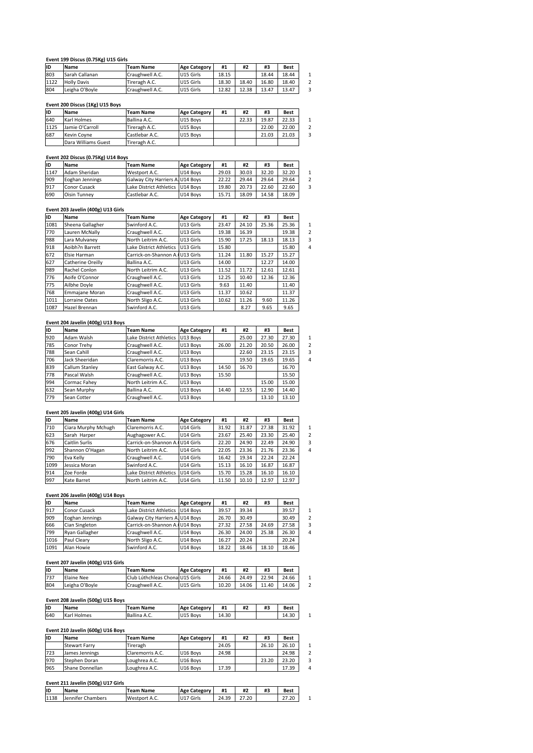# **<sup>199</sup> Discus (0.75Kg) U15 Girls Event**

|      | Event 199 Discus (0.75Kg) U15 Girls |                  |                     |       |       |       |             |
|------|-------------------------------------|------------------|---------------------|-------|-------|-------|-------------|
| İID  | Name                                | <b>Team Name</b> | <b>Age Category</b> | #1    | #2    | #3    | <b>Best</b> |
| 803  | Sarah Callanan                      | Craughwell A.C.  | U15 Girls           | 18.15 |       | 18.44 | 18.44       |
| 1122 | <b>Holly Davis</b>                  | Tireragh A.C.    | U15 Girls           | 18.30 | 18.40 | 16.80 | 18.40       |
| 804  | Leigha O'Boyle                      | Craughwell A.C.  | U15 Girls           | 12.82 | 12.38 | 13.47 | 13.47       |
|      |                                     |                  |                     |       |       |       |             |
|      | Event 200 Discus (1Kg) U15 Boys     |                  |                     |       |       |       |             |
| İID  | Name                                | <b>Team Name</b> | <b>Age Category</b> | #1    | #2    | #3    | Best        |
| 640  | Karl Holmes                         | Ballina A.C.     | U15 Boys            |       | 22.33 | 19.87 | 22.33       |

| 804  |                                 |                  |                     |       |       | 10.8U | 18.4U       |
|------|---------------------------------|------------------|---------------------|-------|-------|-------|-------------|
|      | Leigha O'Boyle                  | Craughwell A.C.  | U15 Girls           | 12.82 | 12.38 | 13.47 | 13.47       |
|      |                                 |                  |                     |       |       |       |             |
|      | Event 200 Discus (1Kg) U15 Boys |                  |                     |       |       |       |             |
| ID   | Name                            | <b>Team Name</b> | <b>Age Category</b> | #1    | #2    | #3    | <b>Best</b> |
| 640  | Karl Holmes                     | Ballina A.C.     | U15 Boys            |       | 22.33 | 19.87 | 22.33       |
| 1125 | Jamie O'Carroll                 | Tireragh A.C.    | U15 Boys            |       |       | 22.00 | 22.00       |
| 687  | Kevin Covne                     | Castlebar A.C.   | U15 Bovs            |       |       | 21.03 | 21.03       |
|      | Dara Williams Guest             | Tireragh A.C.    |                     |       |       |       |             |

| 1687 | ikevin Covne                       | icastiebar A.C.                  | U15 BOVS            |       |       | 21.03 | 21.03       |
|------|------------------------------------|----------------------------------|---------------------|-------|-------|-------|-------------|
|      | Dara Williams Guest                | Tireragh A.C.                    |                     |       |       |       |             |
|      |                                    |                                  |                     |       |       |       |             |
|      | Event 202 Discus (0.75Kg) U14 Boys |                                  |                     |       |       |       |             |
| İID  | <b>Name</b>                        | <b>Team Name</b>                 | <b>Age Category</b> | #1    | #2    | #3    | <b>Best</b> |
| 1147 | Adam Sheridan                      | Westport A.C.                    | U14 Boys            | 29.03 | 30.03 | 32.20 | 32.20       |
| 909  | Eoghan Jennings                    | Galway City Harriers A. U14 Boys |                     | 22.22 | 29.44 | 29.64 | 29.64       |
| 917  | Conor Cusack                       | Lake District Athletics          | U14 Bovs            | 19.80 | 20.73 | 22.60 | 22.60       |
| 690  | <b>Oisin Tunney</b>                | Castlebar A.C.                   | U14 Bovs            | 15.71 | 18.09 | 14.58 | 18.09       |
|      |                                    |                                  |                     |       |       |       |             |
|      | Event 203 Javelin (400g) U13 Girls |                                  |                     |       |       |       |             |
| lıD  | <b>Name</b>                        | <b>Team Name</b>                 | <b>Age Category</b> | #1    | #2    | #3    | <b>Best</b> |
| 1081 | Sheena Gallagher                   | Swinford A.C.                    | U13 Girls           | 23.47 | 24.10 | 25.36 | 25.36       |

# <u>Eve</u>

| 917  | Conor Cusack                       | Lake District Athletics TU14 Boys |                     | 19.80 | 20.73 | 22.60 | 22.60       |
|------|------------------------------------|-----------------------------------|---------------------|-------|-------|-------|-------------|
| 690  | Oisin Tunney                       | Castlebar A.C.                    | U14 Boys            | 15.71 | 18.09 | 14.58 | 18.09       |
|      |                                    |                                   |                     |       |       |       |             |
|      | Event 203 Javelin (400g) U13 Girls |                                   |                     |       |       |       |             |
| ID   | Name                               | <b>Team Name</b>                  | <b>Age Category</b> | #1    | #2    | #3    | Best        |
| 1081 | Sheena Gallagher                   | Swinford A.C.                     | U13 Girls           | 23.47 | 24.10 | 25.36 | 25.36       |
| 770  | Lauren McNally                     | Craughwell A.C.                   | U13 Girls           | 19.38 | 16.39 |       | 19.38       |
| 988  | Lara Mulvaney                      | North Leitrim A.C.                | U13 Girls           | 15.90 | 17.25 | 18.13 | 18.13       |
| 918  | Aoibh?n Barrett                    | Lake District Athletics           | U13 Girls           | 15.80 |       |       | 15.80       |
| 672  | Elsie Harman                       | Carrick-on-Shannon A. U13 Girls   |                     | 11.24 | 11.80 | 15.27 | 15.27       |
| 627  | Catherine Oreilly                  | Ballina A.C.                      | U13 Girls           | 14.00 |       | 12.27 | 14.00       |
| 989  | Rachel Conlon                      | North Leitrim A.C.                | U13 Girls           | 11.52 | 11.72 | 12.61 | 12.61       |
| 776  | Aoife O'Connor                     | Craughwell A.C.                   | U13 Girls           | 12.25 | 10.40 | 12.36 | 12.36       |
| 775  | Ailbhe Doyle                       | Craughwell A.C.                   | U13 Girls           | 9.63  | 11.40 |       | 11.40       |
| 768  | Emmajane Moran                     | Craughwell A.C.                   | U13 Girls           | 11.37 | 10.62 |       | 11.37       |
| 1011 | Lorraine Oates                     | North Sligo A.C.                  | U13 Girls           | 10.62 | 11.26 | 9.60  | 11.26       |
| 1087 | Hazel Brennan                      | Swinford A.C.                     | U13 Girls           |       | 8.27  | 9.65  | 9.65        |
|      |                                    |                                   |                     |       |       |       |             |
|      | Event 204 Javelin (400g) U13 Boys  |                                   |                     |       |       |       |             |
| ID   | Name                               | <b>Team Name</b>                  | <b>Age Category</b> | #1    | #2    | #3    | <b>Best</b> |
| 920  | Adam Walsh                         | Lake District Athletics 1U13 Boys |                     |       | 25.00 | 27.30 | 27.30       |

# <u>Eve</u>

| 1011 | Lorraine Oates                     | NORTH SHEO A.C.         | UIS GINS            | 10.62 | 11.26 | <b>9.60</b> | 11.26       |
|------|------------------------------------|-------------------------|---------------------|-------|-------|-------------|-------------|
| 1087 | Hazel Brennan                      | Swinford A.C.           | U13 Girls           |       | 8.27  | 9.65        | 9.65        |
|      |                                    |                         |                     |       |       |             |             |
|      | Event 204 Javelin (400g) U13 Boys  |                         |                     |       |       |             |             |
| ID   | Name                               | <b>Team Name</b>        | <b>Age Category</b> | #1    | #2    | #3          | <b>Best</b> |
| 920  | Adam Walsh                         | Lake District Athletics | U13 Boys            |       | 25.00 | 27.30       | 27.30       |
| 785  | Conor Trehy                        | Craughwell A.C.         | U13 Boys            | 26.00 | 21.20 | 20.50       | 26.00       |
| 788  | Sean Cahill                        | Craughwell A.C.         | U13 Boys            |       | 22.60 | 23.15       | 23.15       |
| 706  | Jack Sheeridan                     | Claremorris A.C.        | U13 Boys            |       | 19.50 | 19.65       | 19.65       |
| 839  | Callum Stanley                     | East Galway A.C.        | U13 Boys            | 14.50 | 16.70 |             | 16.70       |
| 778  | Pascal Walsh                       | Craughwell A.C.         | U13 Boys            | 15.50 |       |             | 15.50       |
| 994  | Cormac Fahey                       | North Leitrim A.C.      | U13 Boys            |       |       | 15.00       | 15.00       |
| 632  | Sean Murphy                        | Ballina A.C.            | U13 Boys            | 14.40 | 12.55 | 12.90       | 14.40       |
| 779  | Sean Cotter                        | Craughwell A.C.         | U13 Boys            |       |       | 13.10       | 13.10       |
|      |                                    |                         |                     |       |       |             |             |
|      | Event 205 Javelin (400g) U14 Girls |                         |                     |       |       |             |             |
| ID   | Name                               | <b>Team Name</b>        | <b>Age Category</b> | #1    | #2    | #3          | Best        |
| 710  | Ciara Murphy Mchugh                | Claremorris A.C.        | U14 Girls           | 31.92 | 31.87 | 27.38       | 31.92       |

# <u>Eve</u>

| <b>b32</b> | Sean Murphy                        | Ballina A.C.                    | U13 BOVS             | 14.40 | 12.55 | 12.90 | 14.40       |
|------------|------------------------------------|---------------------------------|----------------------|-------|-------|-------|-------------|
| 779        | Sean Cotter                        | Craughwell A.C.                 | U13 Boys             |       |       | 13.10 | 13.10       |
|            |                                    |                                 |                      |       |       |       |             |
|            | Event 205 Javelin (400g) U14 Girls |                                 |                      |       |       |       |             |
| ID         | Name                               | <b>Team Name</b>                | <b>Age Category</b>  | #1    | #2    | #3    | Best        |
| 710        | Ciara Murphy Mchugh                | Claremorris A.C.                | U14 Girls            | 31.92 | 31.87 | 27.38 | 31.92       |
| 623        | Sarah Harper                       | Aughagower A.C.                 | U14 Girls            | 23.67 | 25.40 | 23.30 | 25.40       |
| 676        | Caitlin Surlis                     | Carrick-on-Shannon A. U14 Girls |                      | 22.20 | 24.90 | 22.49 | 24.90       |
| 992        | Shannon O'Hagan                    | North Leitrim A.C.              | U14 Girls            | 22.05 | 23.36 | 21.76 | 23.36       |
| 790        | Eva Kelly                          | Craughwell A.C.                 | U14 Girls            | 16.42 | 19.34 | 22.24 | 22.24       |
| 1099       | Jessica Moran                      | Swinford A.C.                   | U14 Girls            | 15.13 | 16.10 | 16.87 | 16.87       |
| 914        | Zoe Forde                          | Lake District Athletics         | U14 Girls            | 15.70 | 15.28 | 16.10 | 16.10       |
| 997        | Kate Barret                        | North Leitrim A.C.              | U14 Girls            | 11.50 | 10.10 | 12.97 | 12.97       |
|            |                                    |                                 |                      |       |       |       |             |
|            | Event 206 Javelin (400g) U14 Boys  |                                 |                      |       |       |       |             |
| ID         | Name                               | <b>Team Name</b>                | <b>Age Category</b>  | #1    | #2    | #3    | <b>Best</b> |
| 917        | Conor Cusack                       | Lake District Athletics         | U <sub>14</sub> Boys | 39.57 | 39.34 |       | 39.57       |

# <u>Even</u>

| 914  | zoe Forge                          | Lake District Athletics          | TU14 GIFIS          | 15.70 | 15.28 | 16.10 | 16.IU       |
|------|------------------------------------|----------------------------------|---------------------|-------|-------|-------|-------------|
| 997  | Kate Barret                        | North Leitrim A.C.               | U14 Girls           | 11.50 | 10.10 | 12.97 | 12.97       |
|      |                                    |                                  |                     |       |       |       |             |
|      | Event 206 Javelin (400g) U14 Boys  |                                  |                     |       |       |       |             |
| ID   | Name                               | <b>Team Name</b>                 | <b>Age Category</b> | #1    | #2    | #3    | Best        |
| 917  | Conor Cusack                       | Lake District Athletics          | U14 Bovs            | 39.57 | 39.34 |       | 39.57       |
| 909  | Eoghan Jennings                    | Galway City Harriers A. U14 Boys |                     | 26.70 | 30.49 |       | 30.49       |
| 666  | Cian Singleton                     | Carrick-on-Shannon A. U14 Bovs   |                     | 27.32 | 27.58 | 24.69 | 27.58       |
| 799  | Ryan Gallagher                     | Craughwell A.C.                  | U14 Bovs            | 26.30 | 24.00 | 25.38 | 26.30       |
| 1016 | Paul Cleary                        | North Sligo A.C.                 | U14 Boys            | 16.27 | 20.24 |       | 20.24       |
| 1091 | Alan Howie                         | Swinford A.C.                    | U14 Boys            | 18.22 | 18.46 | 18.10 | 18.46       |
|      |                                    |                                  |                     |       |       |       |             |
|      | Event 207 Javelin (400g) U15 Girls |                                  |                     |       |       |       |             |
| ID   | Name                               | <b>Team Name</b>                 | <b>Age Category</b> | #1    | #2    | #3    | <b>Best</b> |
|      | Elaine Nee                         | Club Lúthchleas Chonal U15 Girls |                     | 24.66 | 24.49 | 22.94 | 24.66       |
| 737  |                                    |                                  |                     |       |       |       |             |

# <u>EV</u>

| I TO TP | i Paul Cleary                      | INOMN SHEO A.C.                  | IU14 BOVS            | 16.27 | 20.24 |       | 20.24       |
|---------|------------------------------------|----------------------------------|----------------------|-------|-------|-------|-------------|
| 1091    | Alan Howie                         | Swinford A.C.                    | U14 Boys             | 18.22 | 18.46 | 18.10 | 18.46       |
|         |                                    |                                  |                      |       |       |       |             |
|         | Event 207 Javelin (400g) U15 Girls |                                  |                      |       |       |       |             |
| İID     | Name                               | <b>Team Name</b>                 | <b>Age Category</b>  | #1    | #2    | #3    | Best        |
| 737     | Elaine Nee                         | Club Lúthchleas Chonal U15 Girls |                      | 24.66 | 24.49 | 22.94 | 24.66       |
| 804     | Leigha O'Boyle                     | Craughwell A.C.                  | U15 Girls            | 10.20 | 14.06 | 11.40 | 14.06       |
|         |                                    |                                  |                      |       |       |       |             |
|         | Event 208 Javelin (500g) U15 Boys  |                                  |                      |       |       |       |             |
| ID      | Name                               | <b>Team Name</b>                 | <b>Age Category</b>  | #1    | #2    | #3    | <b>Best</b> |
| 640     | Karl Holmes                        | Ballina A.C.                     | U <sub>15</sub> Boys | 14.30 |       |       | 14.30       |

| 1804 | Leigna O'Boyle                    | <b>Craughwell A.C.</b> | U15 GIris           | 10.20 | 14.Ub | 11.40 | 14.Ub       |  |
|------|-----------------------------------|------------------------|---------------------|-------|-------|-------|-------------|--|
|      | Event 208 Javelin (500g) U15 Boys |                        |                     |       |       |       |             |  |
| ID   | <b>Name</b>                       | <b>Team Name</b>       | <b>Age Category</b> | #1    | #2    | #3    | <b>Best</b> |  |
| 640  | Karl Holmes                       | Ballina A.C.           | U15 Boys            | 14.30 |       |       | 14.30       |  |
|      | Event 210 Javelin (600g) U16 Boys |                        |                     |       |       |       |             |  |
| ID   | Name                              | <b>Team Name</b>       | <b>Age Category</b> | #1    | #2    | #3    | <b>Best</b> |  |
|      | <b>Stewart Farry</b>              | Tireragh               |                     | 24.05 |       | 26.10 | 26.10       |  |

# Event 210 Javelin (600g) U16 Boys

| 640<br>Karl Holmes<br>Ballina A.C.<br>14.30<br>U15 Boys<br>Event 210 Javelin (600g) U16 Boys<br>İID<br>#1<br>#3<br>#2<br><b>Team Name</b><br><b>Age Category</b><br>Name<br>24.05<br>26.10<br><b>Stewart Farry</b><br>Tireragh<br>723<br>Claremorris A.C.<br>U16 Bovs<br>24.98<br>James Jennings | טוו  | <b>Name</b>       | Team Name        | Age Category | #1    | #Z    | #3    | Best  |
|--------------------------------------------------------------------------------------------------------------------------------------------------------------------------------------------------------------------------------------------------------------------------------------------------|------|-------------------|------------------|--------------|-------|-------|-------|-------|
|                                                                                                                                                                                                                                                                                                  |      |                   |                  |              |       |       |       | 14.30 |
|                                                                                                                                                                                                                                                                                                  |      |                   |                  |              |       |       |       |       |
|                                                                                                                                                                                                                                                                                                  |      |                   |                  |              |       |       |       |       |
|                                                                                                                                                                                                                                                                                                  |      |                   |                  |              |       |       |       | Best  |
|                                                                                                                                                                                                                                                                                                  |      |                   |                  |              |       |       |       | 26.10 |
|                                                                                                                                                                                                                                                                                                  |      |                   |                  |              |       |       |       | 24.98 |
|                                                                                                                                                                                                                                                                                                  | 970  | Stephen Doran     | Loughrea A.C.    | U16 Bovs     |       |       | 23.20 | 23.20 |
| 965<br>Shane Donnellan<br>Loughrea A.C.<br>U16 Bovs<br>17.39                                                                                                                                                                                                                                     |      |                   |                  |              |       |       |       | 17.39 |
|                                                                                                                                                                                                                                                                                                  |      |                   |                  |              |       |       |       |       |
| Event 211 Javelin (500g) U17 Girls                                                                                                                                                                                                                                                               | lıD  | <b>Name</b>       | <b>Team Name</b> |              | #1    | #2    | #3    | Best  |
| <b>Age Category</b>                                                                                                                                                                                                                                                                              | 1138 | Jennifer Chambers | Westport A.C.    | U17 Girls    | 24.39 | 27.20 |       | 27.20 |

# **<sup>211</sup> Javelin (500g) U17 Girls**

| lıd  | Name              | Team Name     | <b>Age Category</b> | #1    | #2    | #3 | <b>Best</b> |  |
|------|-------------------|---------------|---------------------|-------|-------|----|-------------|--|
| 1138 | Jennifer Chambers | Westport A.C. | U17 Girls           | 24.39 | 27.20 |    | 27.20       |  |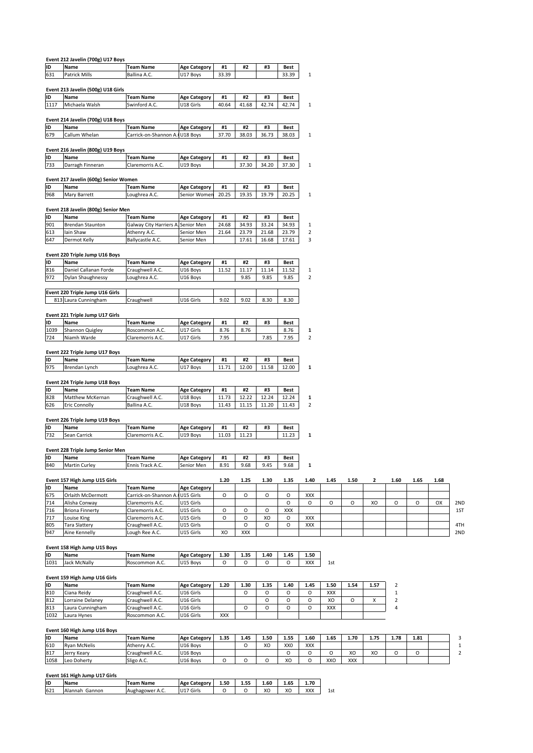|            | Event 212 Javelin (700g) U17 Boys           |                                                        |                                 |              |             |             |               |                             |            |      |      |                |      |      |
|------------|---------------------------------------------|--------------------------------------------------------|---------------------------------|--------------|-------------|-------------|---------------|-----------------------------|------------|------|------|----------------|------|------|
| ID<br>631  | Name<br><b>Patrick Mills</b>                | <b>Team Name</b><br>Ballina A.C.                       | <b>Age Category</b><br>U17 Boys | #1<br>33.39  | #2          | #3          | Best<br>33.39 | $1\,$                       |            |      |      |                |      |      |
|            |                                             |                                                        |                                 |              |             |             |               |                             |            |      |      |                |      |      |
|            | Event 213 Javelin (500g) U18 Girls          |                                                        |                                 |              |             |             |               |                             |            |      |      |                |      |      |
| ID         | Name                                        | <b>Team Name</b>                                       | <b>Age Category</b>             | #1           | #2          | #3          | Best          |                             |            |      |      |                |      |      |
| 1117       | Michaela Walsh                              | Swinford A.C.                                          | U18 Girls                       | 40.64        | 41.68       | 42.74       | 42.74         | $1\,$                       |            |      |      |                |      |      |
|            | Event 214 Javelin (700g) U18 Boys           |                                                        |                                 |              |             |             |               |                             |            |      |      |                |      |      |
| ID         | Name                                        | <b>Team Name</b>                                       | <b>Age Category</b>             | #1           | #2          | #3          | Best          |                             |            |      |      |                |      |      |
| 679        | Callum Whelan                               | Carrick-on-Shannon A.                                  | U18 Boys                        | 37.70        | 38.03       | 36.73       | 38.03         | 1                           |            |      |      |                |      |      |
|            |                                             |                                                        |                                 |              |             |             |               |                             |            |      |      |                |      |      |
|            | Event 216 Javelin (800g) U19 Boys           |                                                        |                                 |              |             |             |               |                             |            |      |      |                |      |      |
| ID<br>733  | Name<br>Darragh Finneran                    | <b>Team Name</b><br>Claremorris A.C.                   | <b>Age Category</b><br>U19 Boys | #1           | #2<br>37.30 | #3<br>34.20 | Best<br>37.30 | $\mathbf{1}$                |            |      |      |                |      |      |
|            |                                             |                                                        |                                 |              |             |             |               |                             |            |      |      |                |      |      |
|            | Event 217 Javelin (600g) Senior Women       |                                                        |                                 |              |             |             |               |                             |            |      |      |                |      |      |
| ID         | Name                                        | <b>Team Name</b>                                       | <b>Age Category</b>             | #1           | #2          | #3          | Best          |                             |            |      |      |                |      |      |
| 968        | Mary Barrett                                | Loughrea A.C.                                          | Senior Women                    | 20.25        | 19.35       | 19.79       | 20.25         | $\mathbf{1}$                |            |      |      |                |      |      |
|            |                                             |                                                        |                                 |              |             |             |               |                             |            |      |      |                |      |      |
|            | Event 218 Javelin (800g) Senior Men<br>Name |                                                        |                                 |              |             |             |               |                             |            |      |      |                |      |      |
| ID<br>901  | <b>Brendan Staunton</b>                     | <b>Team Name</b><br>Galway City Harriers A. Senior Men | <b>Age Category</b>             | #1<br>24.68  | #2<br>34.93 | #3<br>33.24 | Best<br>34.93 | $\mathbf{1}$                |            |      |      |                |      |      |
| 613        | Iain Shaw                                   | Athenry A.C.                                           | Senior Men                      | 21.64        | 23.79       | 21.68       | 23.79         | $\overline{2}$              |            |      |      |                |      |      |
| 647        | Dermot Kelly                                | Ballycastle A.C.                                       | Senior Men                      |              | 17.61       | 16.68       | 17.61         | 3                           |            |      |      |                |      |      |
|            |                                             |                                                        |                                 |              |             |             |               |                             |            |      |      |                |      |      |
|            | Event 220 Triple Jump U16 Boys              |                                                        |                                 |              |             |             |               |                             |            |      |      |                |      |      |
| ID         | Name                                        | <b>Team Name</b>                                       | <b>Age Category</b>             | #1           | #2          | #3          | Best          |                             |            |      |      |                |      |      |
| 816        | Daniel Callanan Forde                       | Craughwell A.C.                                        | U16 Boys                        | 11.52        | 11.17       | 11.14       | 11.52         | $\mathbf{1}$<br>$\mathbf 2$ |            |      |      |                |      |      |
| 972        | Dylan Shaughnessy                           | Loughrea A.C.                                          | U16 Boys                        |              | 9.85        | 9.85        | 9.85          |                             |            |      |      |                |      |      |
|            | Event 220 Triple Jump U16 Girls             |                                                        |                                 |              |             |             |               |                             |            |      |      |                |      |      |
|            | 813 Laura Cunningham                        | Craughwell                                             | U16 Girls                       | 9.02         | 9.02        | 8.30        | 8.30          |                             |            |      |      |                |      |      |
|            |                                             |                                                        |                                 |              |             |             |               |                             |            |      |      |                |      |      |
|            | Event 221 Triple Jump U17 Girls             |                                                        |                                 |              |             |             |               |                             |            |      |      |                |      |      |
| ID         | Name                                        | <b>Team Name</b>                                       | <b>Age Category</b>             | #1           | #2          | #3          | Best          |                             |            |      |      |                |      |      |
| 1039       | Shannon Quigley<br>Niamh Warde              | Roscommon A.C.<br>Claremorris A.C.                     | U17 Girls<br>U17 Girls          | 8.76<br>7.95 | 8.76        | 7.85        | 8.76<br>7.95  | 1<br>$\overline{2}$         |            |      |      |                |      |      |
| 724        |                                             |                                                        |                                 |              |             |             |               |                             |            |      |      |                |      |      |
|            | Event 222 Triple Jump U17 Boys              |                                                        |                                 |              |             |             |               |                             |            |      |      |                |      |      |
| ID         | Name                                        | <b>Team Name</b>                                       | <b>Age Category</b>             | #1           | #2          | #3          | Best          |                             |            |      |      |                |      |      |
| 975        | Brendan Lynch                               | Loughrea A.C.                                          | U17 Boys                        | 11.71        | 12.00       | 11.58       | 12.00         | 1                           |            |      |      |                |      |      |
|            |                                             |                                                        |                                 |              |             |             |               |                             |            |      |      |                |      |      |
|            | Event 224 Triple Jump U18 Boys              |                                                        |                                 |              |             |             |               |                             |            |      |      |                |      |      |
| ID<br>828  | Name<br>Matthew McKernan                    | <b>Team Name</b><br>Craughwell A.C.                    | <b>Age Category</b><br>U18 Boys | #1<br>11.73  | #2<br>12.22 | #3<br>12.24 | Best<br>12.24 | 1                           |            |      |      |                |      |      |
| 626        | <b>Eric Connolly</b>                        | Ballina A.C.                                           | U18 Boys                        | 11.43        | 11.15       | 11.20       | 11.43         | $\overline{2}$              |            |      |      |                |      |      |
|            |                                             |                                                        |                                 |              |             |             |               |                             |            |      |      |                |      |      |
|            | Event 226 Triple Jump U19 Boys              |                                                        |                                 |              |             |             |               |                             |            |      |      |                |      |      |
| ID         | Name                                        | Team Name                                              | <b>Age Category</b>             | #1           | #2          | #3          | Best          |                             |            |      |      |                |      |      |
| 732        | Sean Carrick                                | Claremorris A.C.                                       | U19 Boys                        | 11.03        | 11.23       |             | 11.23         | 1                           |            |      |      |                |      |      |
|            | <b>Event 228 Triple Jump Senior Men</b>     |                                                        |                                 |              |             |             |               |                             |            |      |      |                |      |      |
| ID         | Name                                        | <b>Team Name</b>                                       | <b>Age Category</b>             | #1           | #2          | #3          | Best          |                             |            |      |      |                |      |      |
| 840        | <b>Martin Curley</b>                        | Ennis Track A.C.                                       | Senior Men                      | 8.91         | 9.68        | 9.45        | 9.68          | 1                           |            |      |      |                |      |      |
|            |                                             |                                                        |                                 |              |             |             |               |                             |            |      |      |                |      |      |
|            | Event 157 High Jump U15 Girls               |                                                        |                                 | 1.20         | 1.25        | 1.30        | 1.35          | 1.40                        | 1.45       | 1.50 | 2    | 1.60           | 1.65 | 1.68 |
| ID         | Name                                        | <b>Team Name</b>                                       | <b>Age Category</b>             |              |             |             |               |                             |            |      |      |                |      |      |
| 675<br>714 | Orlaith McDermott<br>Alisha Conway          | Carrick-on-Shannon A. U15 Girls<br>Claremorris A.C.    | U15 Girls                       | O            | O           | O           | O<br>$\circ$  | XXX<br>O                    | O          | o    | XO   | O              | O    | OX   |
| 716        | <b>Briona Finnerty</b>                      | Claremorris A.C.                                       | U15 Girls                       | O            | O           | O           | XXX           |                             |            |      |      |                |      |      |
| 717        | Louise King                                 | Claremorris A.C.                                       | U15 Girls                       | O            | 0           | XO          | O             | XXX                         |            |      |      |                |      |      |
| 805        | <b>Tara Slattery</b>                        | Craughwell A.C.                                        | U15 Girls                       |              | O           | О           | O             | XXX                         |            |      |      |                |      |      |
| 947        | Aine Kennelly                               | Lough Ree A.C.                                         | U15 Girls                       | XO           | XXX         |             |               |                             |            |      |      |                |      |      |
|            |                                             |                                                        |                                 |              |             |             |               |                             |            |      |      |                |      |      |
|            | Event 158 High Jump U15 Boys                |                                                        |                                 |              |             |             |               |                             |            |      |      |                |      |      |
| ID<br>1031 | Name                                        | <b>Team Name</b><br>Roscommon A.C.                     | <b>Age Category</b>             | 1.30<br>O    | 1.35<br>0   | 1.40<br>O   | 1.45<br>O     | 1.50<br>XXX                 | 1st        |      |      |                |      |      |
|            | Jack McNally                                |                                                        | U15 Boys                        |              |             |             |               |                             |            |      |      |                |      |      |
|            | Event 159 High Jump U16 Girls               |                                                        |                                 |              |             |             |               |                             |            |      |      |                |      |      |
| ID         | Name                                        | <b>Team Name</b>                                       | <b>Age Category</b>             | 1.20         | 1.30        | 1.35        | 1.40          | 1.45                        | 1.50       | 1.54 | 1.57 | 2              |      |      |
| 810        | Ciana Reidy                                 | Craughwell A.C.                                        | U16 Girls                       |              | O           | o           | O             | O                           | <b>XXX</b> |      |      | $\mathbf 1$    |      |      |
| 812        | Lorraine Delaney                            | Craughwell A.C.                                        | U16 Girls                       |              |             | О           | O             | o                           | XO         | o    | х    | $\overline{2}$ |      |      |
| 813        | Laura Cunningham                            | Craughwell A.C.                                        | U16 Girls                       |              | O           | O           | O             | O                           | XXX        |      |      | 4              |      |      |
| 1032       | Laura Hynes                                 | Roscommon A.C.                                         | U16 Girls                       | XXX          |             |             |               |                             |            |      |      |                |      |      |
|            | Event 160 High Jump U16 Boys                |                                                        |                                 |              |             |             |               |                             |            |      |      |                |      |      |
| ID         | Name                                        | <b>Team Name</b>                                       | <b>Age Category</b>             | 1.35         | 1.45        | 1.50        | 1.55          | 1.60                        | 1.65       | 1.70 | 1.75 | 1.78           | 1.81 |      |
| 610        | <b>Ryan McNelis</b>                         | Athenry A.C.                                           | U16 Boys                        |              | $\Omega$    | XO          | <b>XXO</b>    | <b>XXX</b>                  |            |      |      |                |      |      |

| 813  | Laura Cunningnam              | <b>Craughwell A.C.</b> | TUI6 GINS           |          | U        | U    |                 |            | <b>XXX</b> |            |      | 4    |          |  |
|------|-------------------------------|------------------------|---------------------|----------|----------|------|-----------------|------------|------------|------------|------|------|----------|--|
| 1032 | Laura Hynes                   | Roscommon A.C.         | U16 Girls           | XXX      |          |      |                 |            |            |            |      |      |          |  |
|      |                               |                        |                     |          |          |      |                 |            |            |            |      |      |          |  |
|      | Event 160 High Jump U16 Boys  |                        |                     |          |          |      |                 |            |            |            |      |      |          |  |
| İID  | Name                          | <b>Team Name</b>       | <b>Age Category</b> | 1.35     | 1.45     | 1.50 | 1.55            | 1.60       | 1.65       | 1.70       | 1.75 | 1.78 | 1.81     |  |
| 610  | <b>Ryan McNelis</b>           | Athenry A.C.           | U16 Boys            |          | O        | XO   | XX <sub>0</sub> | <b>XXX</b> |            |            |      |      |          |  |
| 817  | Jerry Keary                   | Craughwell A.C.        | U16 Boys            |          |          |      | Ω               |            |            | XO         | XO   | O    | $\Omega$ |  |
| 1058 | Leo Doherty                   | Sligo A.C.             | U16 Boys            | $\Omega$ | $\Omega$ | O    | XO              |            | XXO        | <b>XXX</b> |      |      |          |  |
|      |                               |                        |                     |          |          |      |                 |            |            |            |      |      |          |  |
|      | Event 161 High Jump U17 Girls |                        |                     |          |          |      |                 |            |            |            |      |      |          |  |
| İID  | Name                          | <b>Team Name</b>       | <b>Age Category</b> | 1.50     | 1.55     | 1.60 | 1.65            | 1.70       |            |            |      |      |          |  |
| 621  | Alannah Gannon                | Aughagower A.C.        | U17 Girls           | O        |          | XΟ   | XO              | <b>XXX</b> | 1st        |            |      |      |          |  |

# **<sup>161</sup> High Jump U17 Girls**

| lıc | Name              | Name<br>.eam                    | category .<br>Age    | 1.50 | 1.55 | cc<br>1.bU                | 1.65    | 1.70 |     |
|-----|-------------------|---------------------------------|----------------------|------|------|---------------------------|---------|------|-----|
| 621 | Gannon<br>Alannah | Aughagower<br><sup>⊶</sup> A.∟. | Girls<br>1147<br>UI/ |      |      | $\ddot{\phantom{0}}$<br>∼ | vr<br>ᄮ | XXX  | 1st |